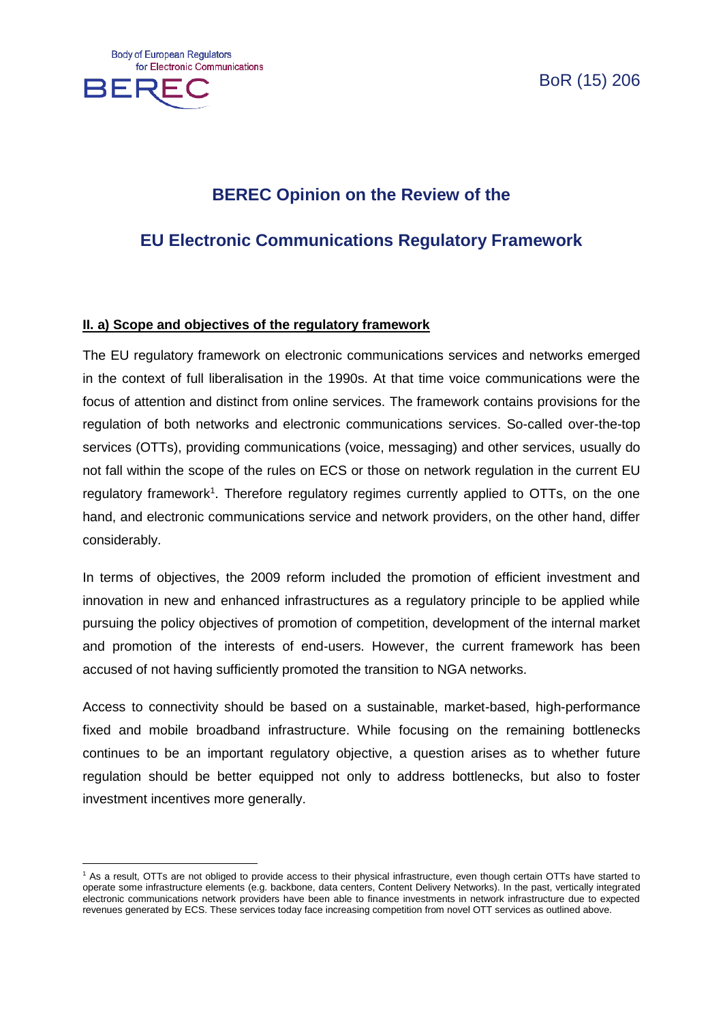

 $\overline{a}$ 

BoR (15) 206

# **BEREC Opinion on the Review of the**

# **EU Electronic Communications Regulatory Framework**

## **II. a) Scope and objectives of the regulatory framework**

The EU regulatory framework on electronic communications services and networks emerged in the context of full liberalisation in the 1990s. At that time voice communications were the focus of attention and distinct from online services. The framework contains provisions for the regulation of both networks and electronic communications services. So-called over-the-top services (OTTs), providing communications (voice, messaging) and other services, usually do not fall within the scope of the rules on ECS or those on network regulation in the current EU regulatory framework<sup>1</sup>. Therefore regulatory regimes currently applied to OTTs, on the one hand, and electronic communications service and network providers, on the other hand, differ considerably.

In terms of objectives, the 2009 reform included the promotion of efficient investment and innovation in new and enhanced infrastructures as a regulatory principle to be applied while pursuing the policy objectives of promotion of competition, development of the internal market and promotion of the interests of end-users. However, the current framework has been accused of not having sufficiently promoted the transition to NGA networks.

Access to connectivity should be based on a sustainable, market-based, high-performance fixed and mobile broadband infrastructure. While focusing on the remaining bottlenecks continues to be an important regulatory objective, a question arises as to whether future regulation should be better equipped not only to address bottlenecks, but also to foster investment incentives more generally.

<sup>1</sup> As a result, OTTs are not obliged to provide access to their physical infrastructure, even though certain OTTs have started to operate some infrastructure elements (e.g. backbone, data centers, Content Delivery Networks). In the past, vertically integrated electronic communications network providers have been able to finance investments in network infrastructure due to expected revenues generated by ECS. These services today face increasing competition from novel OTT services as outlined above.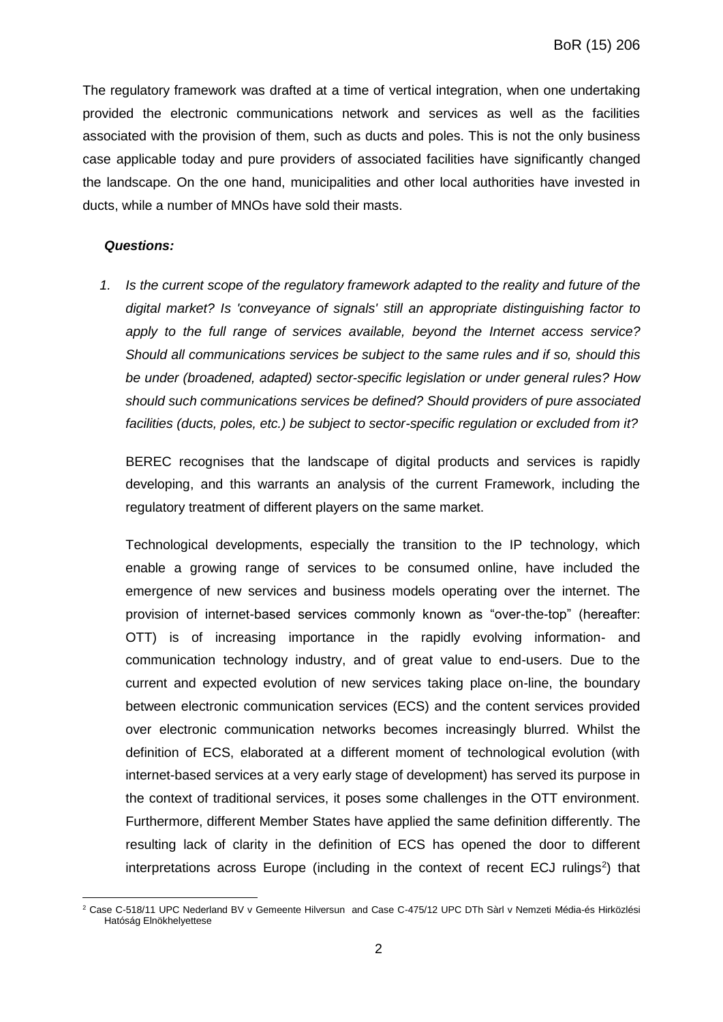The regulatory framework was drafted at a time of vertical integration, when one undertaking provided the electronic communications network and services as well as the facilities associated with the provision of them, such as ducts and poles. This is not the only business case applicable today and pure providers of associated facilities have significantly changed the landscape. On the one hand, municipalities and other local authorities have invested in ducts, while a number of MNOs have sold their masts.

### *Questions:*

*1. Is the current scope of the regulatory framework adapted to the reality and future of the digital market? Is 'conveyance of signals' still an appropriate distinguishing factor to apply to the full range of services available, beyond the Internet access service? Should all communications services be subject to the same rules and if so, should this be under (broadened, adapted) sector-specific legislation or under general rules? How should such communications services be defined? Should providers of pure associated facilities (ducts, poles, etc.) be subject to sector-specific regulation or excluded from it?*

BEREC recognises that the landscape of digital products and services is rapidly developing, and this warrants an analysis of the current Framework, including the regulatory treatment of different players on the same market.

Technological developments, especially the transition to the IP technology, which enable a growing range of services to be consumed online, have included the emergence of new services and business models operating over the internet. The provision of internet-based services commonly known as "over-the-top" (hereafter: OTT) is of increasing importance in the rapidly evolving information- and communication technology industry, and of great value to end-users. Due to the current and expected evolution of new services taking place on-line, the boundary between electronic communication services (ECS) and the content services provided over electronic communication networks becomes increasingly blurred. Whilst the definition of ECS, elaborated at a different moment of technological evolution (with internet-based services at a very early stage of development) has served its purpose in the context of traditional services, it poses some challenges in the OTT environment. Furthermore, different Member States have applied the same definition differently. The resulting lack of clarity in the definition of ECS has opened the door to different interpretations across Europe (including in the context of recent ECJ rulings<sup>2</sup>) that

 $\overline{a}$ <sup>2</sup> Case C-518/11 UPC Nederland BV v Gemeente Hilversun and Case C-475/12 UPC DTh Sàrl v Nemzeti Média-és Hirközlési Hatóság Elnökhelyettese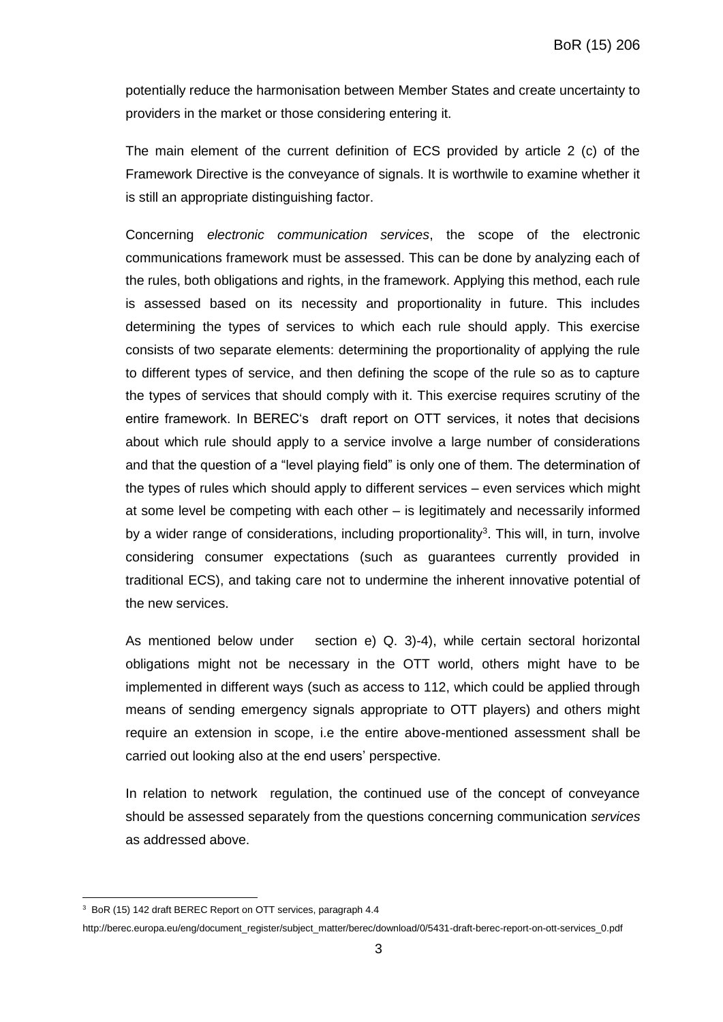potentially reduce the harmonisation between Member States and create uncertainty to providers in the market or those considering entering it.

The main element of the current definition of ECS provided by article 2 (c) of the Framework Directive is the conveyance of signals. It is worthwile to examine whether it is still an appropriate distinguishing factor.

Concerning *electronic communication services*, the scope of the electronic communications framework must be assessed. This can be done by analyzing each of the rules, both obligations and rights, in the framework. Applying this method, each rule is assessed based on its necessity and proportionality in future. This includes determining the types of services to which each rule should apply. This exercise consists of two separate elements: determining the proportionality of applying the rule to different types of service, and then defining the scope of the rule so as to capture the types of services that should comply with it. This exercise requires scrutiny of the entire framework. In BEREC's draft report on OTT services, it notes that decisions about which rule should apply to a service involve a large number of considerations and that the question of a "level playing field" is only one of them. The determination of the types of rules which should apply to different services – even services which might at some level be competing with each other – is legitimately and necessarily informed by a wider range of considerations, including proportionality<sup>3</sup>. This will, in turn, involve considering consumer expectations (such as guarantees currently provided in traditional ECS), and taking care not to undermine the inherent innovative potential of the new services.

As mentioned below under section e) Q. 3)-4), while certain sectoral horizontal obligations might not be necessary in the OTT world, others might have to be implemented in different ways (such as access to 112, which could be applied through means of sending emergency signals appropriate to OTT players) and others might require an extension in scope, i.e the entire above-mentioned assessment shall be carried out looking also at the end users' perspective.

In relation to network regulation, the continued use of the concept of conveyance should be assessed separately from the questions concerning communication *services* as addressed above.

 $\overline{a}$ 

<sup>&</sup>lt;sup>3</sup> BoR (15) 142 draft BEREC Report on OTT services, paragraph 4.4

http://berec.europa.eu/eng/document\_register/subject\_matter/berec/download/0/5431-draft-berec-report-on-ott-services\_0.pdf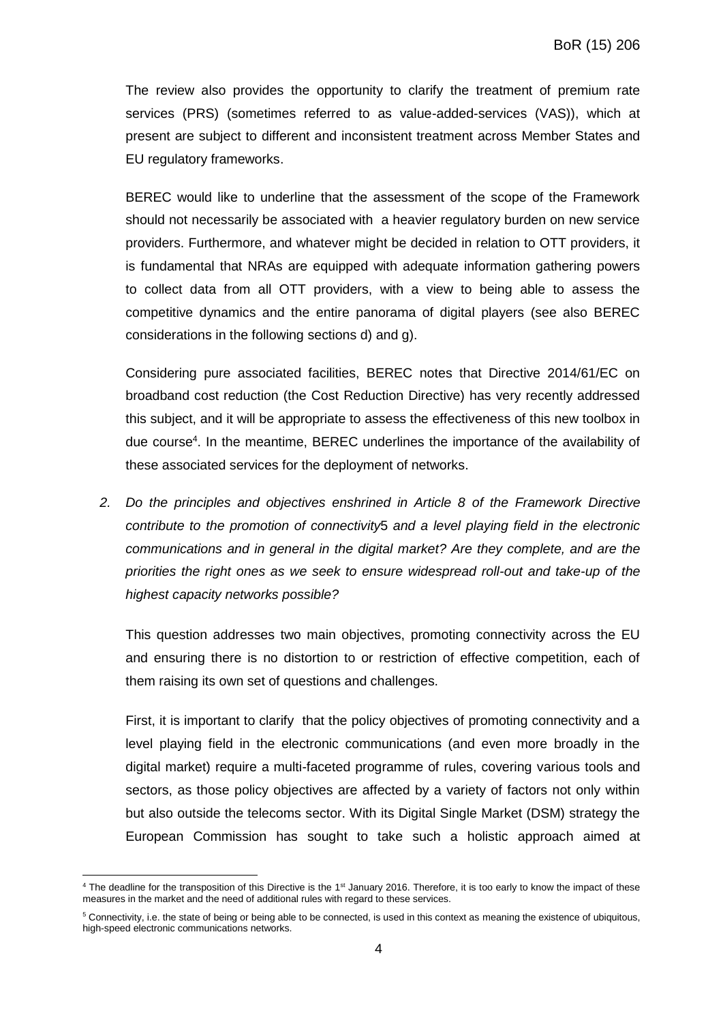The review also provides the opportunity to clarify the treatment of premium rate services (PRS) (sometimes referred to as value-added-services (VAS)), which at present are subject to different and inconsistent treatment across Member States and EU regulatory frameworks.

BEREC would like to underline that the assessment of the scope of the Framework should not necessarily be associated with a heavier regulatory burden on new service providers. Furthermore, and whatever might be decided in relation to OTT providers, it is fundamental that NRAs are equipped with adequate information gathering powers to collect data from all OTT providers, with a view to being able to assess the competitive dynamics and the entire panorama of digital players (see also BEREC considerations in the following sections d) and g).

Considering pure associated facilities, BEREC notes that Directive 2014/61/EC on broadband cost reduction (the Cost Reduction Directive) has very recently addressed this subject, and it will be appropriate to assess the effectiveness of this new toolbox in due course<sup>4</sup>. In the meantime, BEREC underlines the importance of the availability of these associated services for the deployment of networks.

*2. Do the principles and objectives enshrined in Article 8 of the Framework Directive contribute to the promotion of connectivity*5 *and a level playing field in the electronic communications and in general in the digital market? Are they complete, and are the priorities the right ones as we seek to ensure widespread roll-out and take-up of the highest capacity networks possible?*

This question addresses two main objectives, promoting connectivity across the EU and ensuring there is no distortion to or restriction of effective competition, each of them raising its own set of questions and challenges.

First, it is important to clarify that the policy objectives of promoting connectivity and a level playing field in the electronic communications (and even more broadly in the digital market) require a multi-faceted programme of rules, covering various tools and sectors, as those policy objectives are affected by a variety of factors not only within but also outside the telecoms sector. With its Digital Single Market (DSM) strategy the European Commission has sought to take such a holistic approach aimed at

 $\overline{a}$  $4$  The deadline for the transposition of this Directive is the  $1<sup>st</sup>$  January 2016. Therefore, it is too early to know the impact of these measures in the market and the need of additional rules with regard to these services.

<sup>5</sup> Connectivity, i.e. the state of being or being able to be connected, is used in this context as meaning the existence of ubiquitous, high-speed electronic communications networks.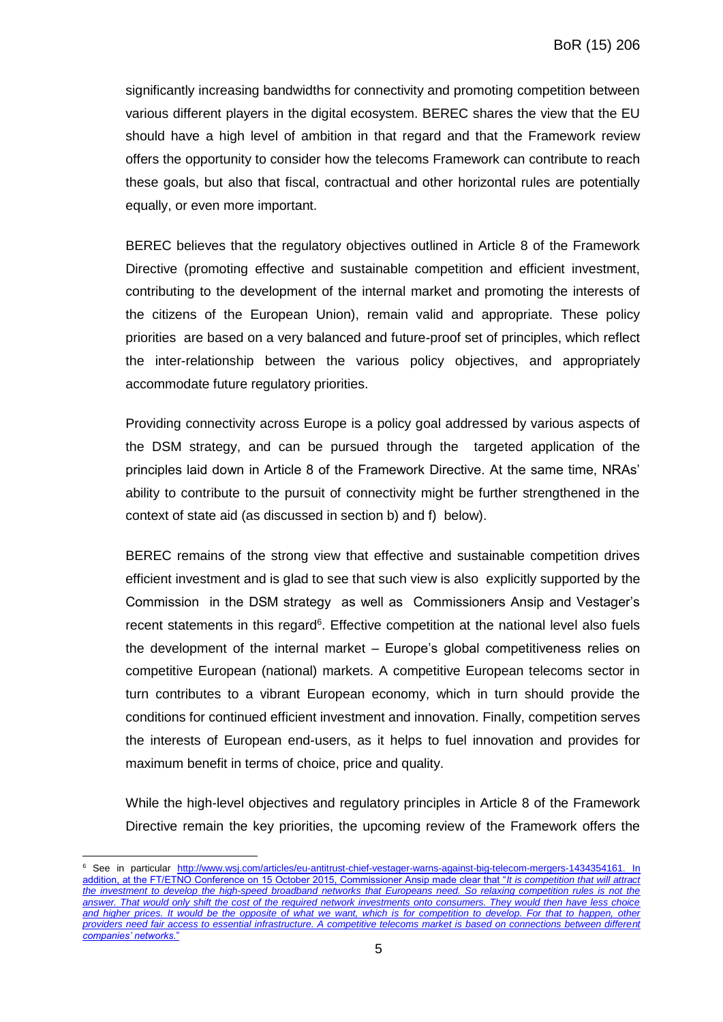significantly increasing bandwidths for connectivity and promoting competition between various different players in the digital ecosystem. BEREC shares the view that the EU should have a high level of ambition in that regard and that the Framework review offers the opportunity to consider how the telecoms Framework can contribute to reach these goals, but also that fiscal, contractual and other horizontal rules are potentially equally, or even more important.

BEREC believes that the regulatory objectives outlined in Article 8 of the Framework Directive (promoting effective and sustainable competition and efficient investment, contributing to the development of the internal market and promoting the interests of the citizens of the European Union), remain valid and appropriate. These policy priorities are based on a very balanced and future-proof set of principles, which reflect the inter-relationship between the various policy objectives, and appropriately accommodate future regulatory priorities.

Providing connectivity across Europe is a policy goal addressed by various aspects of the DSM strategy, and can be pursued through the targeted application of the principles laid down in Article 8 of the Framework Directive. At the same time, NRAs' ability to contribute to the pursuit of connectivity might be further strengthened in the context of state aid (as discussed in section b) and f) below).

BEREC remains of the strong view that effective and sustainable competition drives efficient investment and is glad to see that such view is also explicitly supported by the Commission in the DSM strategy as well as Commissioners Ansip and Vestager's recent statements in this regard<sup>6</sup>. Effective competition at the national level also fuels the development of the internal market – Europe's global competitiveness relies on competitive European (national) markets. A competitive European telecoms sector in turn contributes to a vibrant European economy, which in turn should provide the conditions for continued efficient investment and innovation. Finally, competition serves the interests of European end-users, as it helps to fuel innovation and provides for maximum benefit in terms of choice, price and quality.

While the high-level objectives and regulatory principles in Article 8 of the Framework Directive remain the key priorities, the upcoming review of the Framework offers the

 $\overline{a}$ 

<sup>&</sup>lt;sup>6</sup> See in particular [http://www.wsj.com/articles/eu-antitrust-chief-vestager-warns-against-big-telecom-mergers-1434354161.](http://www.wsj.com/articles/eu-antitrust-chief-vestager-warns-against-big-telecom-mergers-1434354161) In addition, at the FT/ETNO Conference on 15 October 2015, Commissioner Ansip made clear that "*It is competition that will attract the investment to develop the high-speed broadband networks that Europeans need. So relaxing competition rules is not the answer. That would only shift the cost of the required network investments onto consumers. They would then have less choice*  and higher prices. It would be the opposite of what we want, which is for competition to develop. For that to happen, other *providers need fair access to essential infrastructure. A competitive telecoms market is based on connections between different companies' networks*."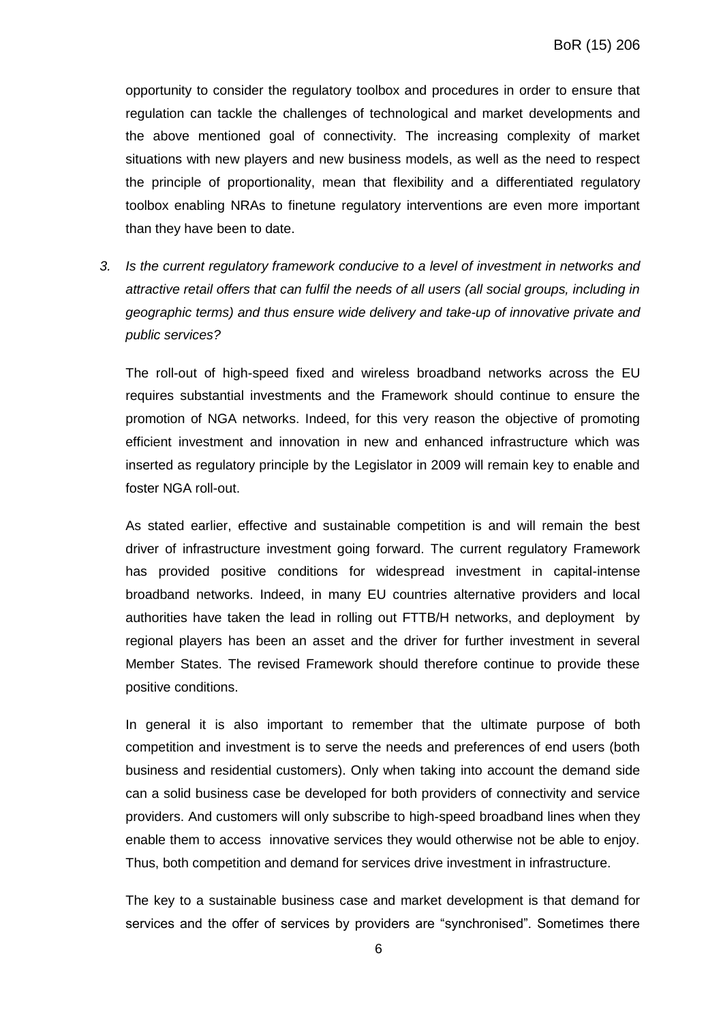opportunity to consider the regulatory toolbox and procedures in order to ensure that regulation can tackle the challenges of technological and market developments and the above mentioned goal of connectivity. The increasing complexity of market situations with new players and new business models, as well as the need to respect the principle of proportionality, mean that flexibility and a differentiated regulatory toolbox enabling NRAs to finetune regulatory interventions are even more important than they have been to date.

*3. Is the current regulatory framework conducive to a level of investment in networks and attractive retail offers that can fulfil the needs of all users (all social groups, including in geographic terms) and thus ensure wide delivery and take-up of innovative private and public services?*

The roll-out of high-speed fixed and wireless broadband networks across the EU requires substantial investments and the Framework should continue to ensure the promotion of NGA networks. Indeed, for this very reason the objective of promoting efficient investment and innovation in new and enhanced infrastructure which was inserted as regulatory principle by the Legislator in 2009 will remain key to enable and foster NGA roll-out.

As stated earlier, effective and sustainable competition is and will remain the best driver of infrastructure investment going forward. The current regulatory Framework has provided positive conditions for widespread investment in capital-intense broadband networks. Indeed, in many EU countries alternative providers and local authorities have taken the lead in rolling out FTTB/H networks, and deployment by regional players has been an asset and the driver for further investment in several Member States. The revised Framework should therefore continue to provide these positive conditions.

In general it is also important to remember that the ultimate purpose of both competition and investment is to serve the needs and preferences of end users (both business and residential customers). Only when taking into account the demand side can a solid business case be developed for both providers of connectivity and service providers. And customers will only subscribe to high-speed broadband lines when they enable them to access innovative services they would otherwise not be able to enjoy. Thus, both competition and demand for services drive investment in infrastructure.

The key to a sustainable business case and market development is that demand for services and the offer of services by providers are "synchronised". Sometimes there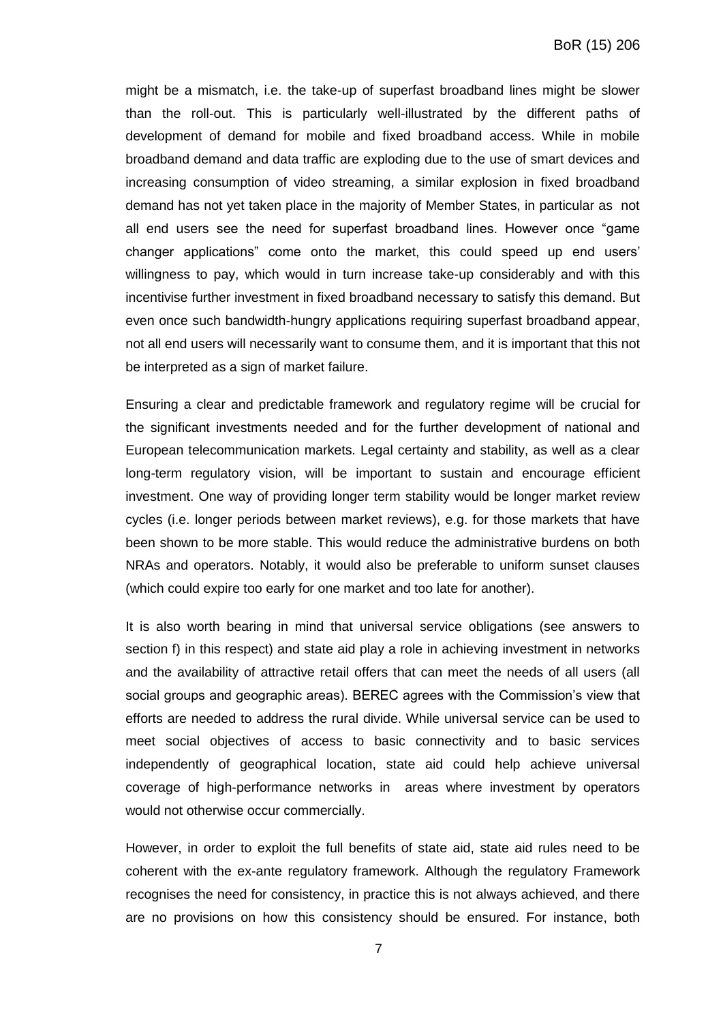might be a mismatch, i.e. the take-up of superfast broadband lines might be slower than the roll-out. This is particularly well-illustrated by the different paths of development of demand for mobile and fixed broadband access. While in mobile broadband demand and data traffic are exploding due to the use of smart devices and increasing consumption of video streaming, a similar explosion in fixed broadband demand has not yet taken place in the majority of Member States, in particular as not all end users see the need for superfast broadband lines. However once "game changer applications" come onto the market, this could speed up end users' willingness to pay, which would in turn increase take-up considerably and with this incentivise further investment in fixed broadband necessary to satisfy this demand. But even once such bandwidth-hungry applications requiring superfast broadband appear, not all end users will necessarily want to consume them, and it is important that this not be interpreted as a sign of market failure.

Ensuring a clear and predictable framework and regulatory regime will be crucial for the significant investments needed and for the further development of national and European telecommunication markets. Legal certainty and stability, as well as a clear long-term regulatory vision, will be important to sustain and encourage efficient investment. One way of providing longer term stability would be longer market review cycles (i.e. longer periods between market reviews), e.g. for those markets that have been shown to be more stable. This would reduce the administrative burdens on both NRAs and operators. Notably, it would also be preferable to uniform sunset clauses (which could expire too early for one market and too late for another).

It is also worth bearing in mind that universal service obligations (see answers to section f) in this respect) and state aid play a role in achieving investment in networks and the availability of attractive retail offers that can meet the needs of all users (all social groups and geographic areas). BEREC agrees with the Commission's view that efforts are needed to address the rural divide. While universal service can be used to meet social objectives of access to basic connectivity and to basic services independently of geographical location, state aid could help achieve universal coverage of high-performance networks in areas where investment by operators would not otherwise occur commercially.

However, in order to exploit the full benefits of state aid, state aid rules need to be coherent with the ex-ante regulatory framework. Although the regulatory Framework recognises the need for consistency, in practice this is not always achieved, and there are no provisions on how this consistency should be ensured. For instance, both

7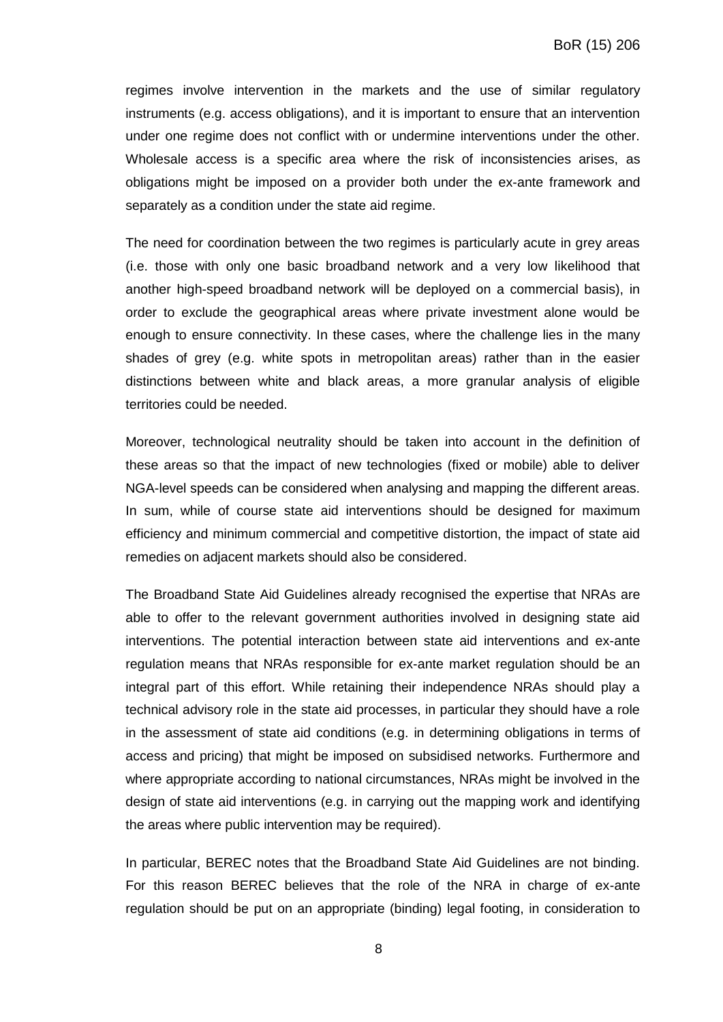regimes involve intervention in the markets and the use of similar regulatory instruments (e.g. access obligations), and it is important to ensure that an intervention under one regime does not conflict with or undermine interventions under the other. Wholesale access is a specific area where the risk of inconsistencies arises, as obligations might be imposed on a provider both under the ex-ante framework and separately as a condition under the state aid regime.

The need for coordination between the two regimes is particularly acute in grey areas (i.e. those with only one basic broadband network and a very low likelihood that another high-speed broadband network will be deployed on a commercial basis), in order to exclude the geographical areas where private investment alone would be enough to ensure connectivity. In these cases, where the challenge lies in the many shades of grey (e.g. white spots in metropolitan areas) rather than in the easier distinctions between white and black areas, a more granular analysis of eligible territories could be needed.

Moreover, technological neutrality should be taken into account in the definition of these areas so that the impact of new technologies (fixed or mobile) able to deliver NGA-level speeds can be considered when analysing and mapping the different areas. In sum, while of course state aid interventions should be designed for maximum efficiency and minimum commercial and competitive distortion, the impact of state aid remedies on adjacent markets should also be considered.

The Broadband State Aid Guidelines already recognised the expertise that NRAs are able to offer to the relevant government authorities involved in designing state aid interventions. The potential interaction between state aid interventions and ex-ante regulation means that NRAs responsible for ex-ante market regulation should be an integral part of this effort. While retaining their independence NRAs should play a technical advisory role in the state aid processes, in particular they should have a role in the assessment of state aid conditions (e.g. in determining obligations in terms of access and pricing) that might be imposed on subsidised networks. Furthermore and where appropriate according to national circumstances, NRAs might be involved in the design of state aid interventions (e.g. in carrying out the mapping work and identifying the areas where public intervention may be required).

In particular, BEREC notes that the Broadband State Aid Guidelines are not binding. For this reason BEREC believes that the role of the NRA in charge of ex-ante regulation should be put on an appropriate (binding) legal footing, in consideration to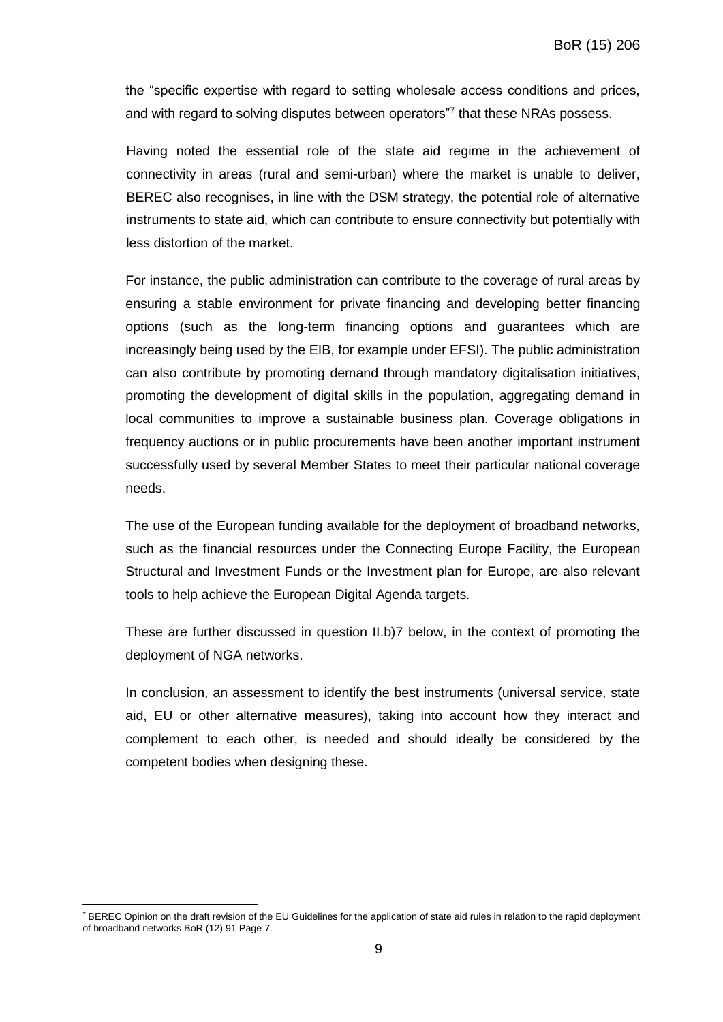the "specific expertise with regard to setting wholesale access conditions and prices, and with regard to solving disputes between operators"7 that these NRAs possess.

Having noted the essential role of the state aid regime in the achievement of connectivity in areas (rural and semi-urban) where the market is unable to deliver, BEREC also recognises, in line with the DSM strategy, the potential role of alternative instruments to state aid, which can contribute to ensure connectivity but potentially with less distortion of the market.

For instance, the public administration can contribute to the coverage of rural areas by ensuring a stable environment for private financing and developing better financing options (such as the long-term financing options and guarantees which are increasingly being used by the EIB, for example under EFSI). The public administration can also contribute by promoting demand through mandatory digitalisation initiatives, promoting the development of digital skills in the population, aggregating demand in local communities to improve a sustainable business plan. Coverage obligations in frequency auctions or in public procurements have been another important instrument successfully used by several Member States to meet their particular national coverage needs.

The use of the European funding available for the deployment of broadband networks, such as the financial resources under the Connecting Europe Facility, the European Structural and Investment Funds or the Investment plan for Europe, are also relevant tools to help achieve the European Digital Agenda targets.

These are further discussed in question II.b)7 below, in the context of promoting the deployment of NGA networks.

In conclusion, an assessment to identify the best instruments (universal service, state aid, EU or other alternative measures), taking into account how they interact and complement to each other, is needed and should ideally be considered by the competent bodies when designing these.

 $\overline{a}$ <sup>7</sup> BEREC Opinion on the draft revision of the EU Guidelines for the application of state aid rules in relation to the rapid deployment of broadband networks BoR (12) 91 Page 7.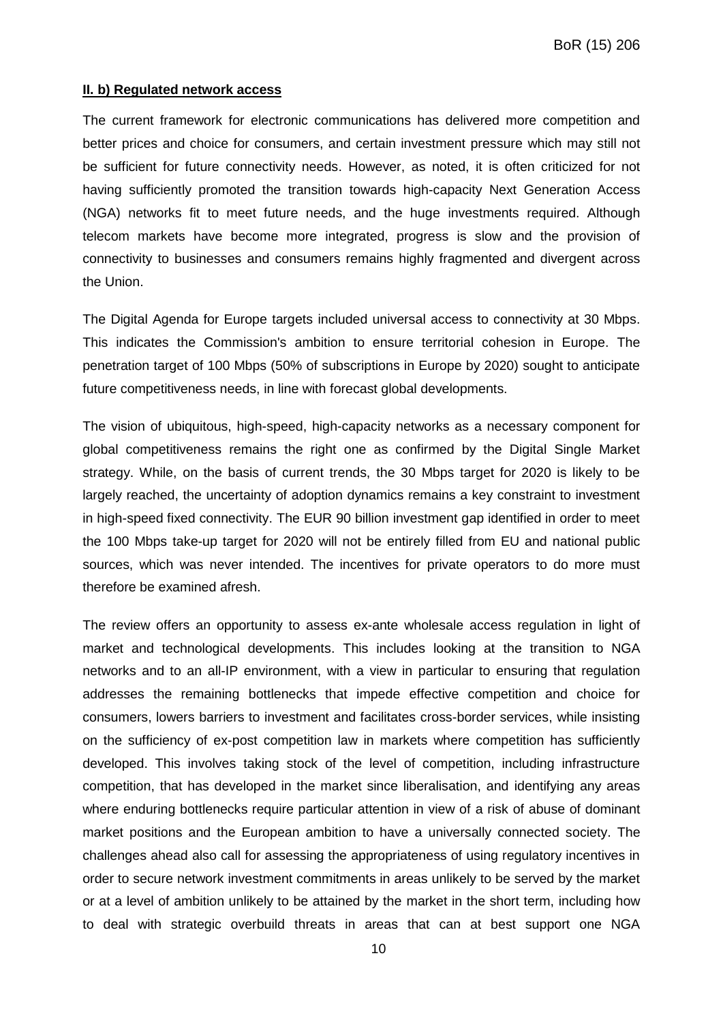#### **II. b) Regulated network access**

The current framework for electronic communications has delivered more competition and better prices and choice for consumers, and certain investment pressure which may still not be sufficient for future connectivity needs. However, as noted, it is often criticized for not having sufficiently promoted the transition towards high-capacity Next Generation Access (NGA) networks fit to meet future needs, and the huge investments required. Although telecom markets have become more integrated, progress is slow and the provision of connectivity to businesses and consumers remains highly fragmented and divergent across the Union.

The Digital Agenda for Europe targets included universal access to connectivity at 30 Mbps. This indicates the Commission's ambition to ensure territorial cohesion in Europe. The penetration target of 100 Mbps (50% of subscriptions in Europe by 2020) sought to anticipate future competitiveness needs, in line with forecast global developments.

The vision of ubiquitous, high-speed, high-capacity networks as a necessary component for global competitiveness remains the right one as confirmed by the Digital Single Market strategy. While, on the basis of current trends, the 30 Mbps target for 2020 is likely to be largely reached, the uncertainty of adoption dynamics remains a key constraint to investment in high-speed fixed connectivity. The EUR 90 billion investment gap identified in order to meet the 100 Mbps take-up target for 2020 will not be entirely filled from EU and national public sources, which was never intended. The incentives for private operators to do more must therefore be examined afresh.

The review offers an opportunity to assess ex-ante wholesale access regulation in light of market and technological developments. This includes looking at the transition to NGA networks and to an all-IP environment, with a view in particular to ensuring that regulation addresses the remaining bottlenecks that impede effective competition and choice for consumers, lowers barriers to investment and facilitates cross-border services, while insisting on the sufficiency of ex-post competition law in markets where competition has sufficiently developed. This involves taking stock of the level of competition, including infrastructure competition, that has developed in the market since liberalisation, and identifying any areas where enduring bottlenecks require particular attention in view of a risk of abuse of dominant market positions and the European ambition to have a universally connected society. The challenges ahead also call for assessing the appropriateness of using regulatory incentives in order to secure network investment commitments in areas unlikely to be served by the market or at a level of ambition unlikely to be attained by the market in the short term, including how to deal with strategic overbuild threats in areas that can at best support one NGA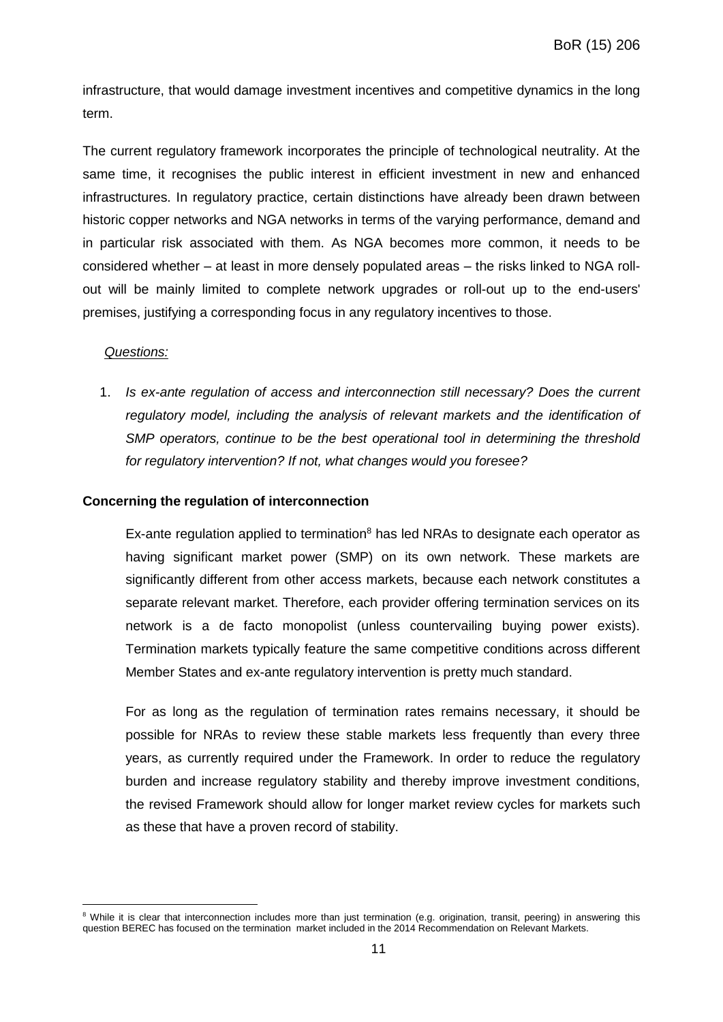infrastructure, that would damage investment incentives and competitive dynamics in the long term.

The current regulatory framework incorporates the principle of technological neutrality. At the same time, it recognises the public interest in efficient investment in new and enhanced infrastructures. In regulatory practice, certain distinctions have already been drawn between historic copper networks and NGA networks in terms of the varying performance, demand and in particular risk associated with them. As NGA becomes more common, it needs to be considered whether – at least in more densely populated areas – the risks linked to NGA rollout will be mainly limited to complete network upgrades or roll-out up to the end-users' premises, justifying a corresponding focus in any regulatory incentives to those.

## *Questions:*

 $\overline{a}$ 

1. *Is ex-ante regulation of access and interconnection still necessary? Does the current regulatory model, including the analysis of relevant markets and the identification of SMP operators, continue to be the best operational tool in determining the threshold for regulatory intervention? If not, what changes would you foresee?*

#### **Concerning the regulation of interconnection**

Ex-ante regulation applied to termination<sup>8</sup> has led NRAs to designate each operator as having significant market power (SMP) on its own network. These markets are significantly different from other access markets, because each network constitutes a separate relevant market. Therefore, each provider offering termination services on its network is a de facto monopolist (unless countervailing buying power exists). Termination markets typically feature the same competitive conditions across different Member States and ex-ante regulatory intervention is pretty much standard.

For as long as the regulation of termination rates remains necessary, it should be possible for NRAs to review these stable markets less frequently than every three years, as currently required under the Framework. In order to reduce the regulatory burden and increase regulatory stability and thereby improve investment conditions, the revised Framework should allow for longer market review cycles for markets such as these that have a proven record of stability.

<sup>&</sup>lt;sup>8</sup> While it is clear that interconnection includes more than just termination (e.g. origination, transit, peering) in answering this question BEREC has focused on the termination market included in the 2014 Recommendation on Relevant Markets.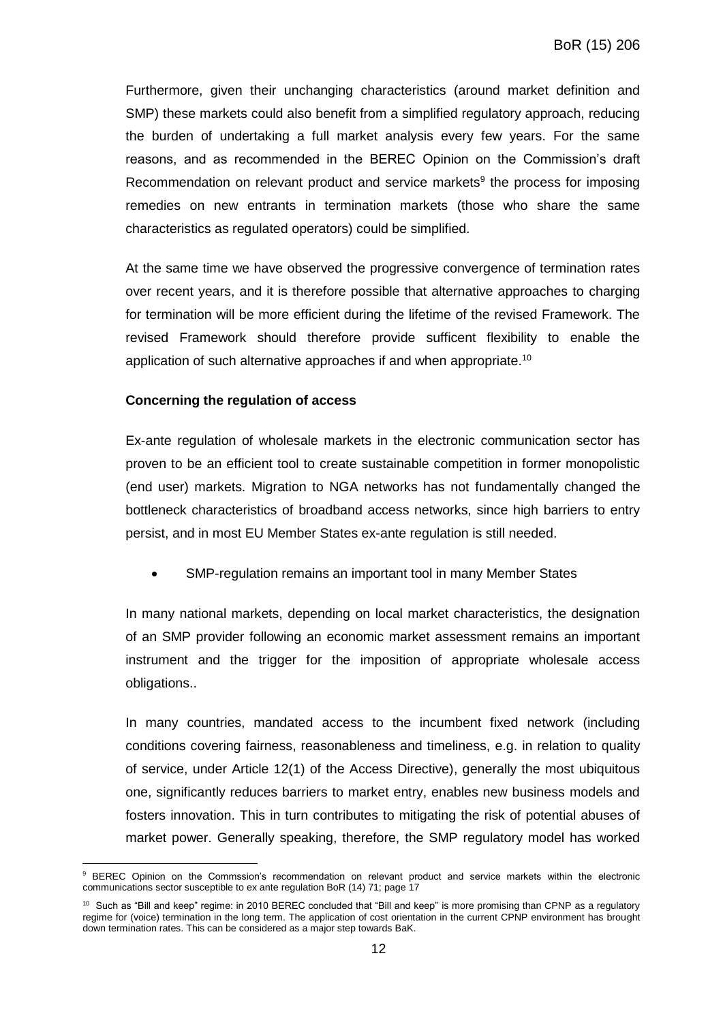Furthermore, given their unchanging characteristics (around market definition and SMP) these markets could also benefit from a simplified regulatory approach, reducing the burden of undertaking a full market analysis every few years. For the same reasons, and as recommended in the BEREC Opinion on the Commission's draft Recommendation on relevant product and service markets<sup>9</sup> the process for imposing remedies on new entrants in termination markets (those who share the same characteristics as regulated operators) could be simplified.

At the same time we have observed the progressive convergence of termination rates over recent years, and it is therefore possible that alternative approaches to charging for termination will be more efficient during the lifetime of the revised Framework. The revised Framework should therefore provide sufficent flexibility to enable the application of such alternative approaches if and when appropriate.<sup>10</sup>

#### **Concerning the regulation of access**

 $\overline{a}$ 

Ex-ante regulation of wholesale markets in the electronic communication sector has proven to be an efficient tool to create sustainable competition in former monopolistic (end user) markets. Migration to NGA networks has not fundamentally changed the bottleneck characteristics of broadband access networks, since high barriers to entry persist, and in most EU Member States ex-ante regulation is still needed.

SMP-regulation remains an important tool in many Member States

In many national markets, depending on local market characteristics, the designation of an SMP provider following an economic market assessment remains an important instrument and the trigger for the imposition of appropriate wholesale access obligations..

In many countries, mandated access to the incumbent fixed network (including conditions covering fairness, reasonableness and timeliness, e.g. in relation to quality of service, under Article 12(1) of the Access Directive), generally the most ubiquitous one, significantly reduces barriers to market entry, enables new business models and fosters innovation. This in turn contributes to mitigating the risk of potential abuses of market power. Generally speaking, therefore, the SMP regulatory model has worked

<sup>9</sup> BEREC Opinion on the Commssion's recommendation on relevant product and service markets within the electronic communications sector susceptible to ex ante regulation BoR (14) 71; page 17

<sup>&</sup>lt;sup>10</sup> Such as "Bill and keep" regime: in 2010 BEREC concluded that "Bill and keep" is more promising than CPNP as a regulatory regime for (voice) termination in the long term. The application of cost orientation in the current CPNP environment has brought down termination rates. This can be considered as a major step towards BaK.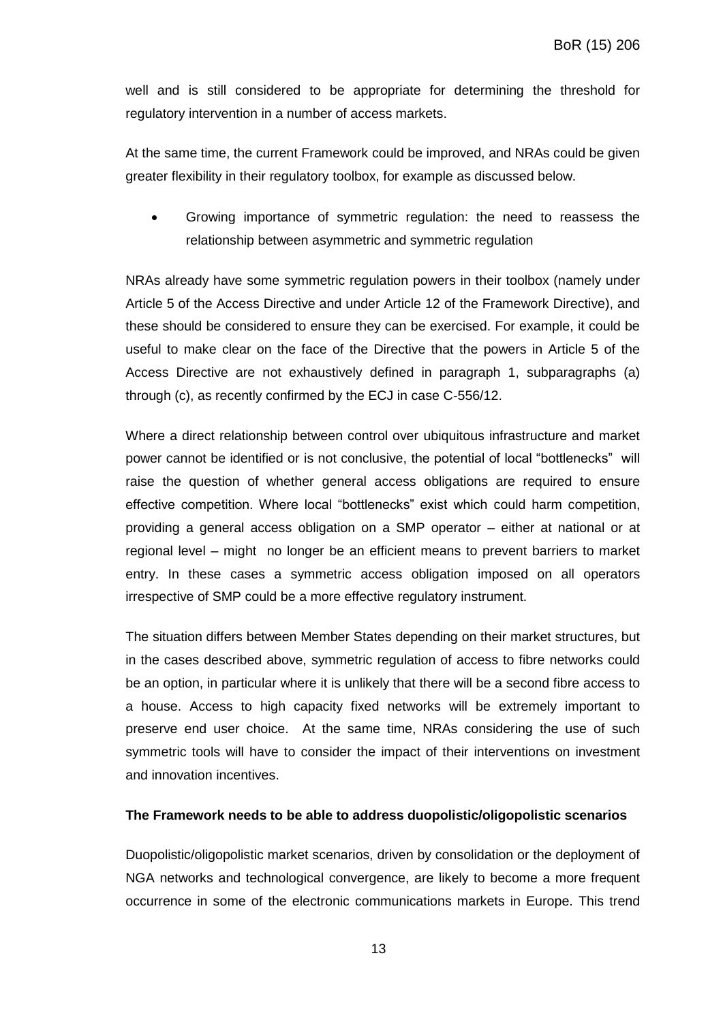well and is still considered to be appropriate for determining the threshold for regulatory intervention in a number of access markets.

At the same time, the current Framework could be improved, and NRAs could be given greater flexibility in their regulatory toolbox, for example as discussed below.

 Growing importance of symmetric regulation: the need to reassess the relationship between asymmetric and symmetric regulation

NRAs already have some symmetric regulation powers in their toolbox (namely under Article 5 of the Access Directive and under Article 12 of the Framework Directive), and these should be considered to ensure they can be exercised. For example, it could be useful to make clear on the face of the Directive that the powers in Article 5 of the Access Directive are not exhaustively defined in paragraph 1, subparagraphs (a) through (c), as recently confirmed by the ECJ in case C-556/12.

Where a direct relationship between control over ubiquitous infrastructure and market power cannot be identified or is not conclusive, the potential of local "bottlenecks" will raise the question of whether general access obligations are required to ensure effective competition. Where local "bottlenecks" exist which could harm competition, providing a general access obligation on a SMP operator – either at national or at regional level – might no longer be an efficient means to prevent barriers to market entry. In these cases a symmetric access obligation imposed on all operators irrespective of SMP could be a more effective regulatory instrument.

The situation differs between Member States depending on their market structures, but in the cases described above, symmetric regulation of access to fibre networks could be an option, in particular where it is unlikely that there will be a second fibre access to a house. Access to high capacity fixed networks will be extremely important to preserve end user choice. At the same time, NRAs considering the use of such symmetric tools will have to consider the impact of their interventions on investment and innovation incentives.

## **The Framework needs to be able to address duopolistic/oligopolistic scenarios**

Duopolistic/oligopolistic market scenarios, driven by consolidation or the deployment of NGA networks and technological convergence, are likely to become a more frequent occurrence in some of the electronic communications markets in Europe. This trend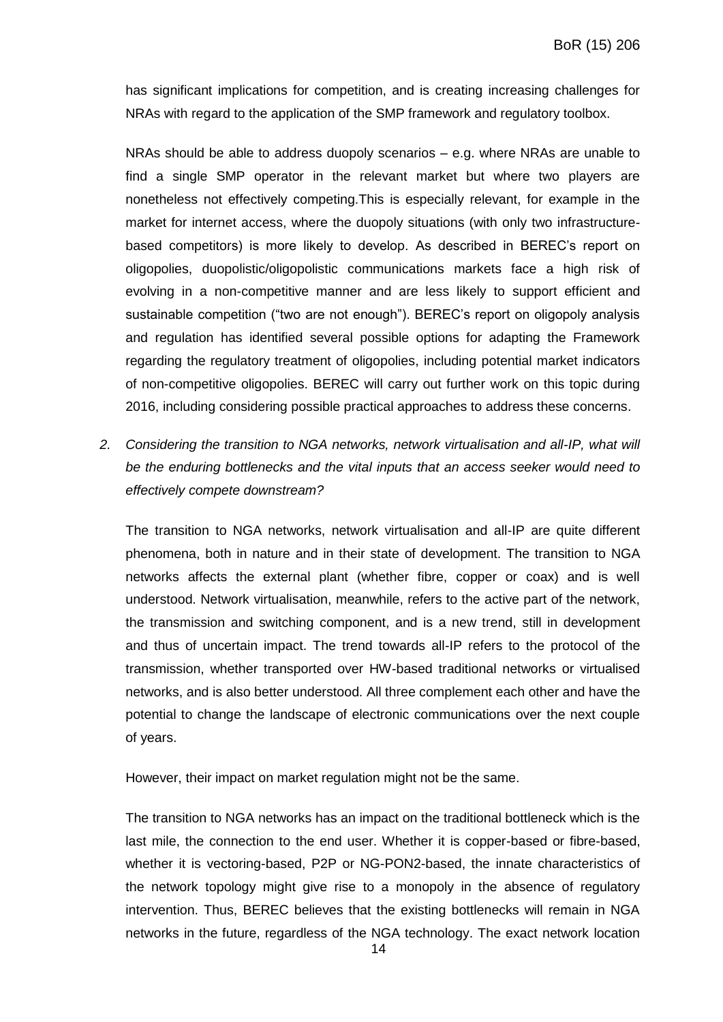has significant implications for competition, and is creating increasing challenges for NRAs with regard to the application of the SMP framework and regulatory toolbox.

NRAs should be able to address duopoly scenarios – e.g. where NRAs are unable to find a single SMP operator in the relevant market but where two players are nonetheless not effectively competing.This is especially relevant, for example in the market for internet access, where the duopoly situations (with only two infrastructurebased competitors) is more likely to develop. As described in BEREC's report on oligopolies, duopolistic/oligopolistic communications markets face a high risk of evolving in a non-competitive manner and are less likely to support efficient and sustainable competition ("two are not enough"). BEREC's report on oligopoly analysis and regulation has identified several possible options for adapting the Framework regarding the regulatory treatment of oligopolies, including potential market indicators of non-competitive oligopolies. BEREC will carry out further work on this topic during 2016, including considering possible practical approaches to address these concerns.

*2. Considering the transition to NGA networks, network virtualisation and all-IP, what will be the enduring bottlenecks and the vital inputs that an access seeker would need to effectively compete downstream?*

The transition to NGA networks, network virtualisation and all-IP are quite different phenomena, both in nature and in their state of development. The transition to NGA networks affects the external plant (whether fibre, copper or coax) and is well understood. Network virtualisation, meanwhile, refers to the active part of the network, the transmission and switching component, and is a new trend, still in development and thus of uncertain impact. The trend towards all-IP refers to the protocol of the transmission, whether transported over HW-based traditional networks or virtualised networks, and is also better understood. All three complement each other and have the potential to change the landscape of electronic communications over the next couple of years.

However, their impact on market regulation might not be the same.

The transition to NGA networks has an impact on the traditional bottleneck which is the last mile, the connection to the end user. Whether it is copper-based or fibre-based, whether it is vectoring-based, P2P or NG-PON2-based, the innate characteristics of the network topology might give rise to a monopoly in the absence of regulatory intervention. Thus, BEREC believes that the existing bottlenecks will remain in NGA networks in the future, regardless of the NGA technology. The exact network location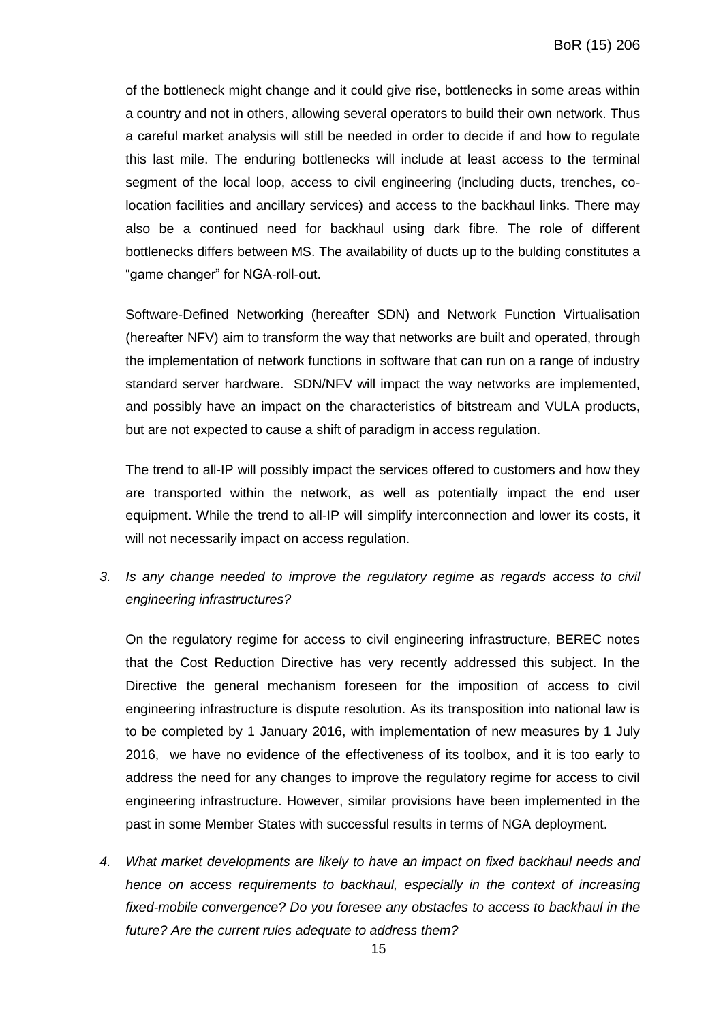of the bottleneck might change and it could give rise, bottlenecks in some areas within a country and not in others, allowing several operators to build their own network. Thus a careful market analysis will still be needed in order to decide if and how to regulate this last mile. The enduring bottlenecks will include at least access to the terminal segment of the local loop, access to civil engineering (including ducts, trenches, colocation facilities and ancillary services) and access to the backhaul links. There may also be a continued need for backhaul using dark fibre. The role of different bottlenecks differs between MS. The availability of ducts up to the bulding constitutes a "game changer" for NGA-roll-out.

Software-Defined Networking (hereafter SDN) and Network Function Virtualisation (hereafter NFV) aim to transform the way that networks are built and operated, through the implementation of network functions in software that can run on a range of industry standard server hardware. SDN/NFV will impact the way networks are implemented, and possibly have an impact on the characteristics of bitstream and VULA products, but are not expected to cause a shift of paradigm in access regulation.

The trend to all-IP will possibly impact the services offered to customers and how they are transported within the network, as well as potentially impact the end user equipment. While the trend to all-IP will simplify interconnection and lower its costs, it will not necessarily impact on access regulation.

*3. Is any change needed to improve the regulatory regime as regards access to civil engineering infrastructures?*

On the regulatory regime for access to civil engineering infrastructure, BEREC notes that the Cost Reduction Directive has very recently addressed this subject. In the Directive the general mechanism foreseen for the imposition of access to civil engineering infrastructure is dispute resolution. As its transposition into national law is to be completed by 1 January 2016, with implementation of new measures by 1 July 2016, we have no evidence of the effectiveness of its toolbox, and it is too early to address the need for any changes to improve the regulatory regime for access to civil engineering infrastructure. However, similar provisions have been implemented in the past in some Member States with successful results in terms of NGA deployment.

*4. What market developments are likely to have an impact on fixed backhaul needs and hence on access requirements to backhaul, especially in the context of increasing fixed-mobile convergence? Do you foresee any obstacles to access to backhaul in the future? Are the current rules adequate to address them?*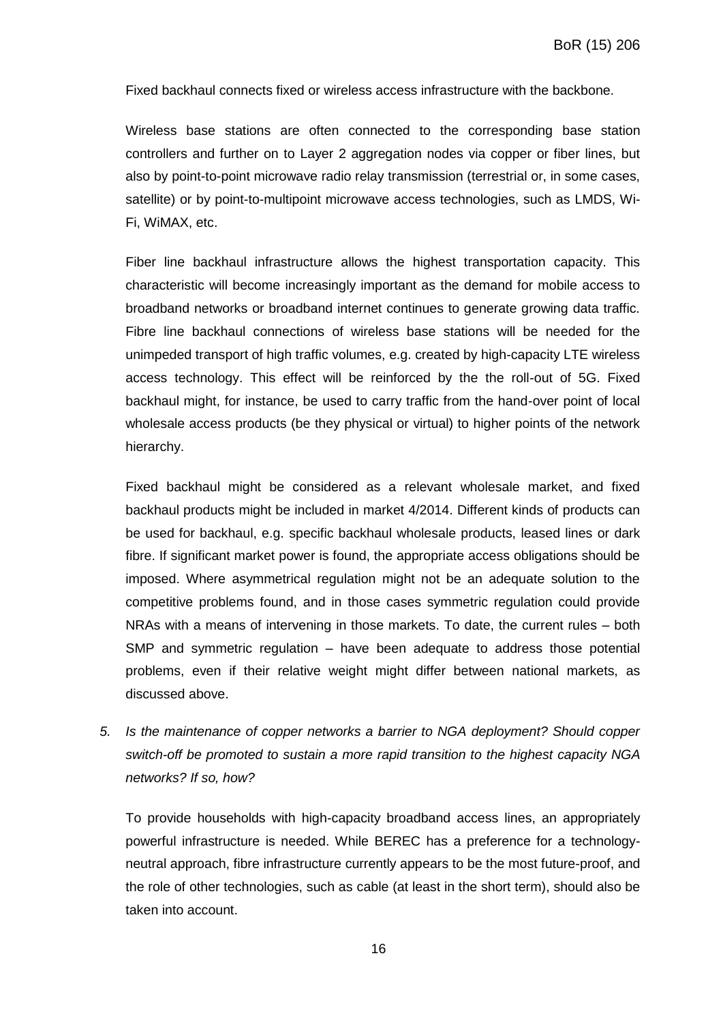Fixed backhaul connects fixed or wireless access infrastructure with the backbone.

Wireless [base stations](https://en.wikipedia.org/wiki/Base_station) are often connected to the corresponding [base station](https://en.wikipedia.org/wiki/Base_Station_subsystem)  [controllers](https://en.wikipedia.org/wiki/Base_Station_subsystem) and further on to Layer 2 aggregation nodes via copper or fiber lines, but also by point-to-point [microwave radio relay](https://en.wikipedia.org/wiki/Microwave_radio_relay) transmission (terrestrial or, in some cases, satellite) or by [point-to-multipoint](https://en.wikipedia.org/wiki/Point-to-multipoint_communication) microwave access technologies, such as [LMDS,](https://en.wikipedia.org/wiki/Local_Multipoint_Distribution_Service) [Wi-](https://en.wikipedia.org/wiki/Wi-Fi)[Fi,](https://en.wikipedia.org/wiki/Wi-Fi) [WiMAX,](https://en.wikipedia.org/wiki/WiMAX) etc.

Fiber line backhaul infrastructure allows the highest transportation capacity. This characteristic will become increasingly important as the demand for mobile access to broadband networks or broadband internet continues to generate growing data traffic. Fibre line backhaul connections of wireless base stations will be needed for the unimpeded transport of high traffic volumes, e.g. created by high-capacity LTE wireless access technology. This effect will be reinforced by the the roll-out of 5G. Fixed backhaul might, for instance, be used to carry traffic from the hand-over point of local wholesale access products (be they physical or virtual) to higher points of the network hierarchy.

Fixed backhaul might be considered as a relevant wholesale market, and fixed backhaul products might be included in market 4/2014. Different kinds of products can be used for backhaul, e.g. specific backhaul wholesale products, leased lines or dark fibre. If significant market power is found, the appropriate access obligations should be imposed. Where asymmetrical regulation might not be an adequate solution to the competitive problems found, and in those cases symmetric regulation could provide NRAs with a means of intervening in those markets. To date, the current rules – both SMP and symmetric regulation – have been adequate to address those potential problems, even if their relative weight might differ between national markets, as discussed above.

*5. Is the maintenance of copper networks a barrier to NGA deployment? Should copper switch-off be promoted to sustain a more rapid transition to the highest capacity NGA networks? If so, how?*

To provide households with high-capacity broadband access lines, an appropriately powerful infrastructure is needed. While BEREC has a preference for a technologyneutral approach, fibre infrastructure currently appears to be the most future-proof, and the role of other technologies, such as cable (at least in the short term), should also be taken into account.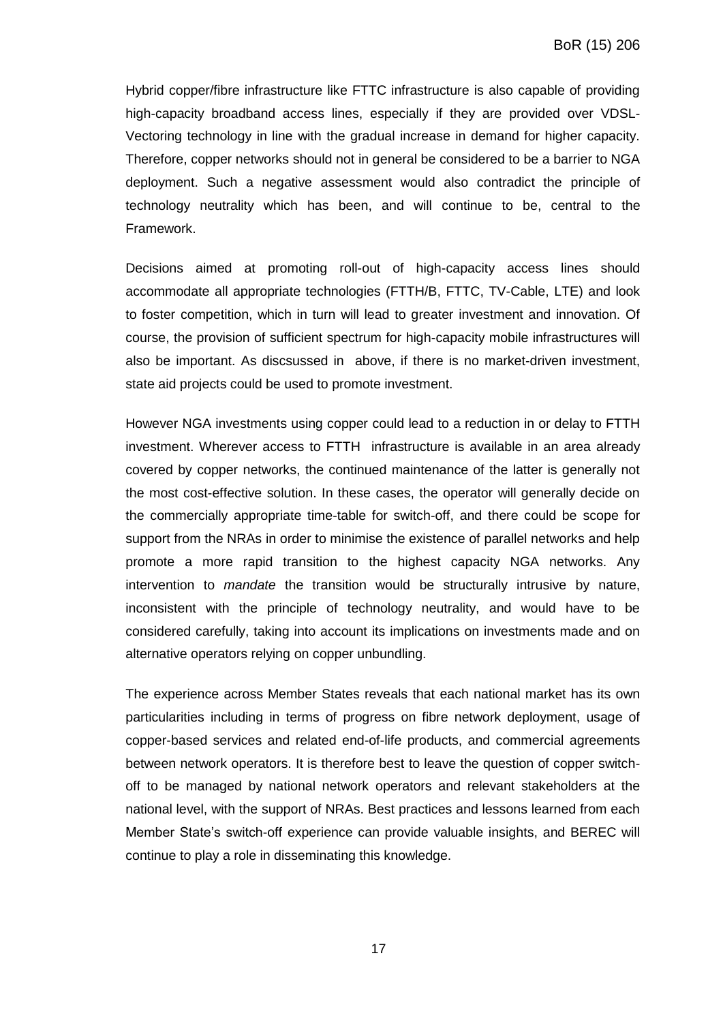Hybrid copper/fibre infrastructure like FTTC infrastructure is also capable of providing high-capacity broadband access lines, especially if they are provided over VDSL-Vectoring technology in line with the gradual increase in demand for higher capacity. Therefore, copper networks should not in general be considered to be a barrier to NGA deployment. Such a negative assessment would also contradict the principle of technology neutrality which has been, and will continue to be, central to the Framework.

Decisions aimed at promoting roll-out of high-capacity access lines should accommodate all appropriate technologies (FTTH/B, FTTC, TV-Cable, LTE) and look to foster competition, which in turn will lead to greater investment and innovation. Of course, the provision of sufficient spectrum for high-capacity mobile infrastructures will also be important. As discsussed in above, if there is no market-driven investment, state aid projects could be used to promote investment.

However NGA investments using copper could lead to a reduction in or delay to FTTH investment. Wherever access to FTTH infrastructure is available in an area already covered by copper networks, the continued maintenance of the latter is generally not the most cost-effective solution. In these cases, the operator will generally decide on the commercially appropriate time-table for switch-off, and there could be scope for support from the NRAs in order to minimise the existence of parallel networks and help promote a more rapid transition to the highest capacity NGA networks. Any intervention to *mandate* the transition would be structurally intrusive by nature, inconsistent with the principle of technology neutrality, and would have to be considered carefully, taking into account its implications on investments made and on alternative operators relying on copper unbundling.

The experience across Member States reveals that each national market has its own particularities including in terms of progress on fibre network deployment, usage of copper-based services and related end-of-life products, and commercial agreements between network operators. It is therefore best to leave the question of copper switchoff to be managed by national network operators and relevant stakeholders at the national level, with the support of NRAs. Best practices and lessons learned from each Member State's switch-off experience can provide valuable insights, and BEREC will continue to play a role in disseminating this knowledge.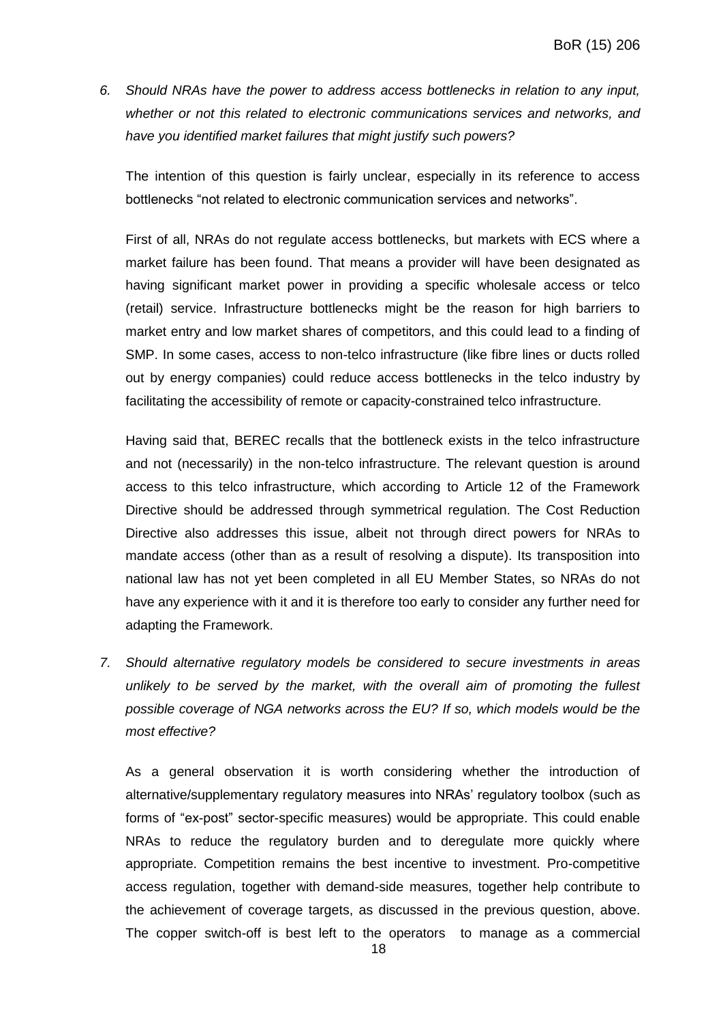*6. Should NRAs have the power to address access bottlenecks in relation to any input, whether or not this related to electronic communications services and networks, and have you identified market failures that might justify such powers?* 

The intention of this question is fairly unclear, especially in its reference to access bottlenecks "not related to electronic communication services and networks".

First of all, NRAs do not regulate access bottlenecks, but markets with ECS where a market failure has been found. That means a provider will have been designated as having significant market power in providing a specific wholesale access or telco (retail) service. Infrastructure bottlenecks might be the reason for high barriers to market entry and low market shares of competitors, and this could lead to a finding of SMP. In some cases, access to non-telco infrastructure (like fibre lines or ducts rolled out by energy companies) could reduce access bottlenecks in the telco industry by facilitating the accessibility of remote or capacity-constrained telco infrastructure.

Having said that, BEREC recalls that the bottleneck exists in the telco infrastructure and not (necessarily) in the non-telco infrastructure. The relevant question is around access to this telco infrastructure, which according to Article 12 of the Framework Directive should be addressed through symmetrical regulation. The Cost Reduction Directive also addresses this issue, albeit not through direct powers for NRAs to mandate access (other than as a result of resolving a dispute). Its transposition into national law has not yet been completed in all EU Member States, so NRAs do not have any experience with it and it is therefore too early to consider any further need for adapting the Framework.

*7. Should alternative regulatory models be considered to secure investments in areas unlikely to be served by the market, with the overall aim of promoting the fullest possible coverage of NGA networks across the EU? If so, which models would be the most effective?*

As a general observation it is worth considering whether the introduction of alternative/supplementary regulatory measures into NRAs' regulatory toolbox (such as forms of "ex-post" sector-specific measures) would be appropriate. This could enable NRAs to reduce the regulatory burden and to deregulate more quickly where appropriate. Competition remains the best incentive to investment. Pro-competitive access regulation, together with demand-side measures, together help contribute to the achievement of coverage targets, as discussed in the previous question, above. The copper switch-off is best left to the operators to manage as a commercial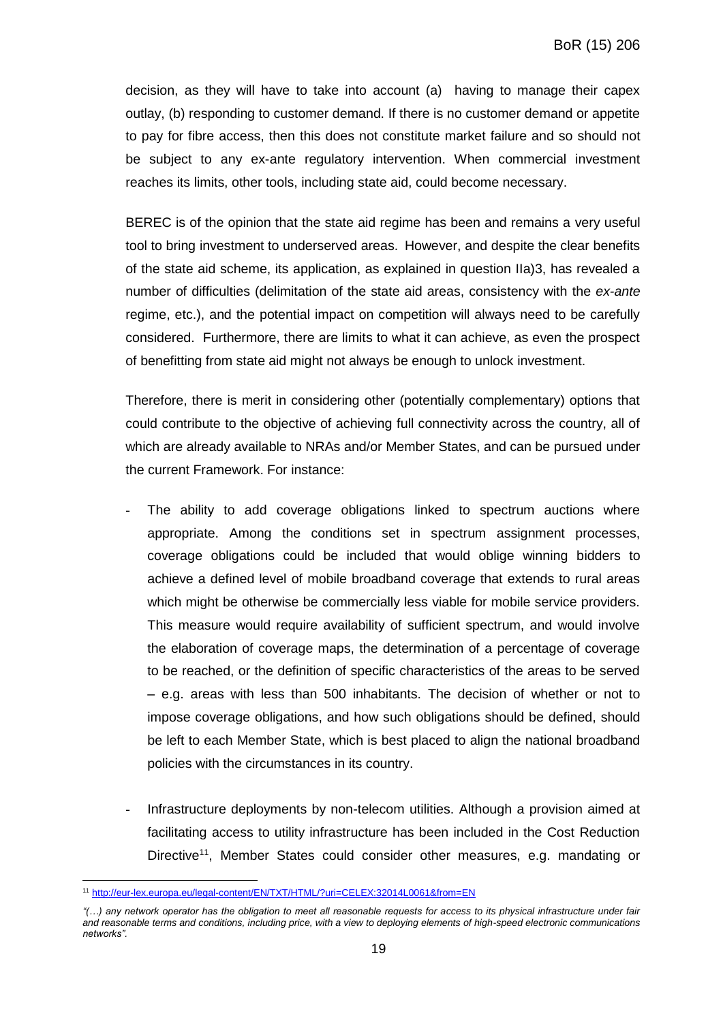decision, as they will have to take into account (a) having to manage their capex outlay, (b) responding to customer demand. If there is no customer demand or appetite to pay for fibre access, then this does not constitute market failure and so should not be subject to any ex-ante regulatory intervention. When commercial investment reaches its limits, other tools, including state aid, could become necessary.

BEREC is of the opinion that the state aid regime has been and remains a very useful tool to bring investment to underserved areas. However, and despite the clear benefits of the state aid scheme, its application, as explained in question IIa)3, has revealed a number of difficulties (delimitation of the state aid areas, consistency with the *ex-ante* regime, etc.), and the potential impact on competition will always need to be carefully considered. Furthermore, there are limits to what it can achieve, as even the prospect of benefitting from state aid might not always be enough to unlock investment.

Therefore, there is merit in considering other (potentially complementary) options that could contribute to the objective of achieving full connectivity across the country, all of which are already available to NRAs and/or Member States, and can be pursued under the current Framework. For instance:

- The ability to add coverage obligations linked to spectrum auctions where appropriate. Among the conditions set in spectrum assignment processes, coverage obligations could be included that would oblige winning bidders to achieve a defined level of mobile broadband coverage that extends to rural areas which might be otherwise be commercially less viable for mobile service providers. This measure would require availability of sufficient spectrum, and would involve the elaboration of coverage maps, the determination of a percentage of coverage to be reached, or the definition of specific characteristics of the areas to be served – e.g. areas with less than 500 inhabitants. The decision of whether or not to impose coverage obligations, and how such obligations should be defined, should be left to each Member State, which is best placed to align the national broadband policies with the circumstances in its country.
- Infrastructure deployments by non-telecom utilities. Although a provision aimed at facilitating access to utility infrastructure has been included in the Cost Reduction Directive<sup>11</sup>, Member States could consider other measures, e.g. mandating or

 $\overline{a}$ <sup>11</sup> <http://eur-lex.europa.eu/legal-content/EN/TXT/HTML/?uri=CELEX:32014L0061&from=EN>

*<sup>&</sup>quot;(…) any network operator has the obligation to meet all reasonable requests for access to its physical infrastructure under fair and reasonable terms and conditions, including price, with a view to deploying elements of high-speed electronic communications networks".*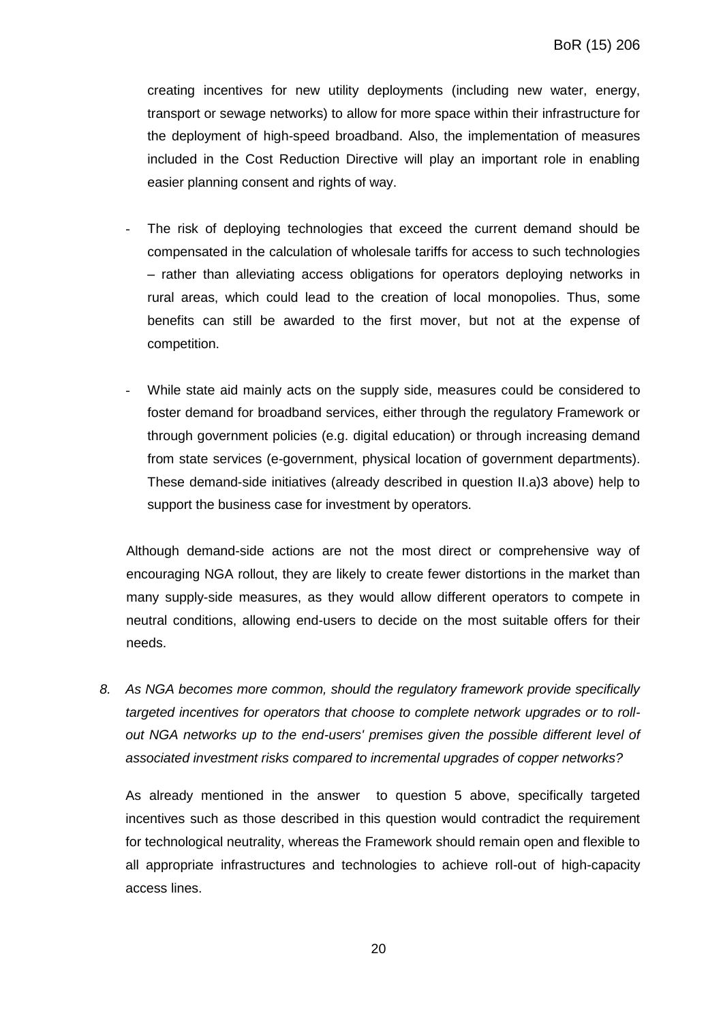creating incentives for new utility deployments (including new water, energy, transport or sewage networks) to allow for more space within their infrastructure for the deployment of high-speed broadband. Also, the implementation of measures included in the Cost Reduction Directive will play an important role in enabling easier planning consent and rights of way.

- The risk of deploying technologies that exceed the current demand should be compensated in the calculation of wholesale tariffs for access to such technologies – rather than alleviating access obligations for operators deploying networks in rural areas, which could lead to the creation of local monopolies. Thus, some benefits can still be awarded to the first mover, but not at the expense of competition.
- While state aid mainly acts on the supply side, measures could be considered to foster demand for broadband services, either through the regulatory Framework or through government policies (e.g. digital education) or through increasing demand from state services (e-government, physical location of government departments). These demand-side initiatives (already described in question II.a)3 above) help to support the business case for investment by operators.

Although demand-side actions are not the most direct or comprehensive way of encouraging NGA rollout, they are likely to create fewer distortions in the market than many supply-side measures, as they would allow different operators to compete in neutral conditions, allowing end-users to decide on the most suitable offers for their needs.

*8. As NGA becomes more common, should the regulatory framework provide specifically targeted incentives for operators that choose to complete network upgrades or to rollout NGA networks up to the end-users' premises given the possible different level of associated investment risks compared to incremental upgrades of copper networks?* 

As already mentioned in the answer to question 5 above, specifically targeted incentives such as those described in this question would contradict the requirement for technological neutrality, whereas the Framework should remain open and flexible to all appropriate infrastructures and technologies to achieve roll-out of high-capacity access lines.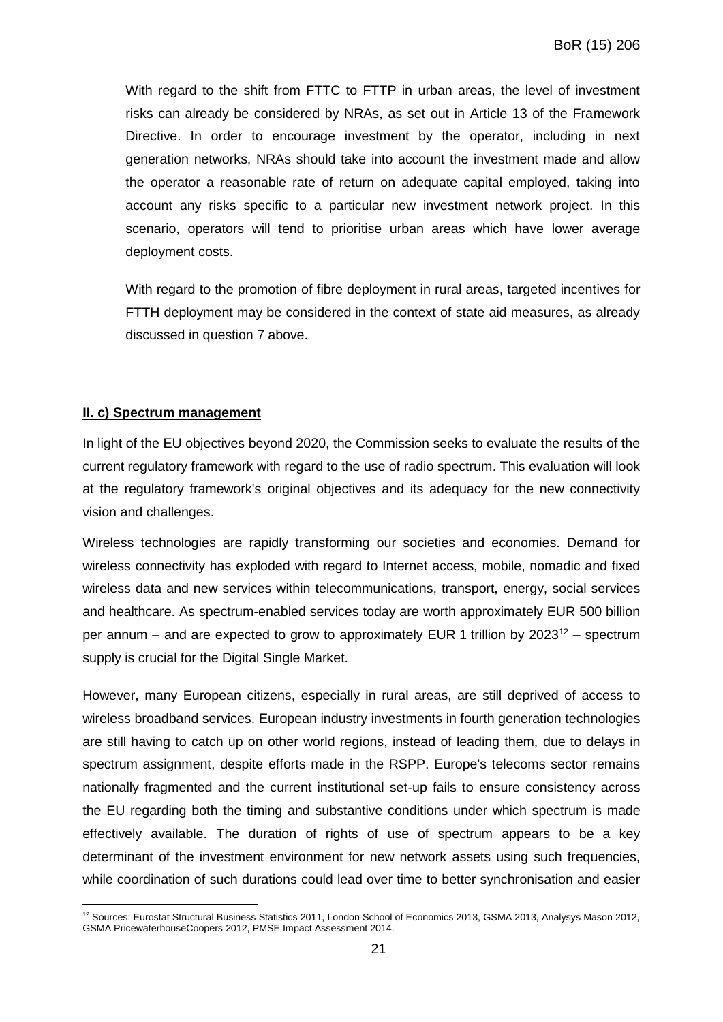With regard to the shift from FTTC to FTTP in urban areas, the level of investment risks can already be considered by NRAs, as set out in Article 13 of the Framework Directive. In order to encourage investment by the operator, including in next generation networks, NRAs should take into account the investment made and allow the operator a reasonable rate of return on adequate capital employed, taking into account any risks specific to a particular new investment network project. In this scenario, operators will tend to prioritise urban areas which have lower average deployment costs.

With regard to the promotion of fibre deployment in rural areas, targeted incentives for FTTH deployment may be considered in the context of state aid measures, as already discussed in question 7 above.

## **II. c) Spectrum management**

In light of the EU objectives beyond 2020, the Commission seeks to evaluate the results of the current regulatory framework with regard to the use of radio spectrum. This evaluation will look at the regulatory framework's original objectives and its adequacy for the new connectivity vision and challenges.

Wireless technologies are rapidly transforming our societies and economies. Demand for wireless connectivity has exploded with regard to Internet access, mobile, nomadic and fixed wireless data and new services within telecommunications, transport, energy, social services and healthcare. As spectrum-enabled services today are worth approximately EUR 500 billion per annum – and are expected to grow to approximately EUR 1 trillion by  $2023^{12}$  – spectrum supply is crucial for the Digital Single Market.

However, many European citizens, especially in rural areas, are still deprived of access to wireless broadband services. European industry investments in fourth generation technologies are still having to catch up on other world regions, instead of leading them, due to delays in spectrum assignment, despite efforts made in the RSPP. Europe's telecoms sector remains nationally fragmented and the current institutional set-up fails to ensure consistency across the EU regarding both the timing and substantive conditions under which spectrum is made effectively available. The duration of rights of use of spectrum appears to be a key determinant of the investment environment for new network assets using such frequencies, while coordination of such durations could lead over time to better synchronisation and easier

 $\overline{a}$ <sup>12</sup> Sources: Eurostat Structural Business Statistics 2011, London School of Economics 2013, GSMA 2013, Analysys Mason 2012, GSMA PricewaterhouseCoopers 2012, PMSE Impact Assessment 2014.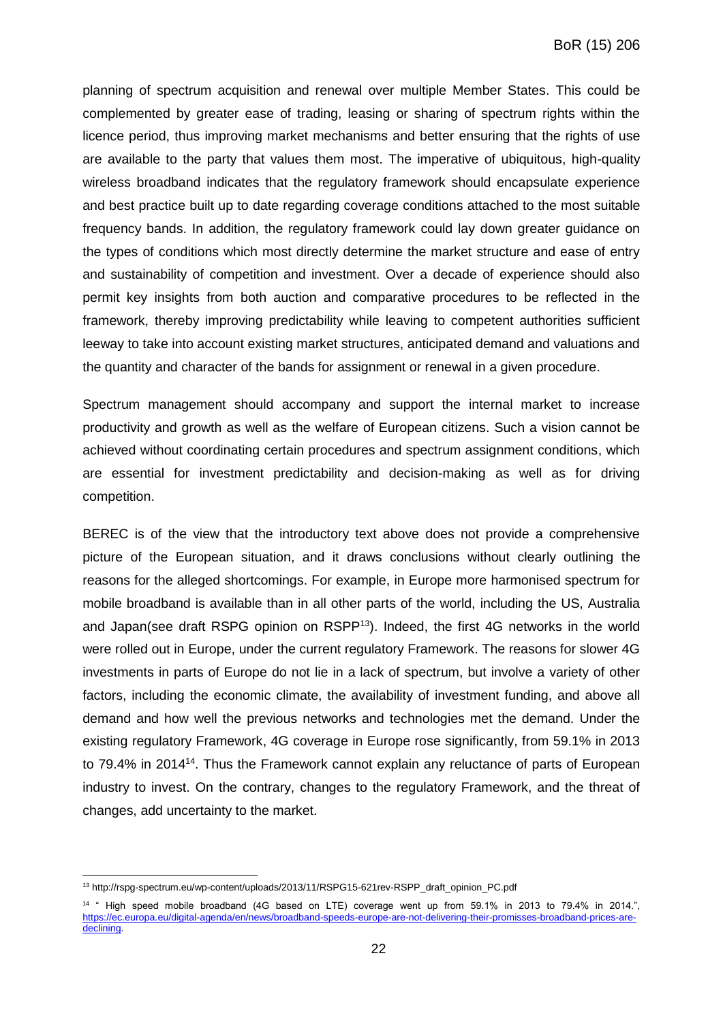planning of spectrum acquisition and renewal over multiple Member States. This could be complemented by greater ease of trading, leasing or sharing of spectrum rights within the licence period, thus improving market mechanisms and better ensuring that the rights of use are available to the party that values them most. The imperative of ubiquitous, high-quality wireless broadband indicates that the regulatory framework should encapsulate experience and best practice built up to date regarding coverage conditions attached to the most suitable frequency bands. In addition, the regulatory framework could lay down greater guidance on the types of conditions which most directly determine the market structure and ease of entry and sustainability of competition and investment. Over a decade of experience should also permit key insights from both auction and comparative procedures to be reflected in the framework, thereby improving predictability while leaving to competent authorities sufficient leeway to take into account existing market structures, anticipated demand and valuations and the quantity and character of the bands for assignment or renewal in a given procedure.

Spectrum management should accompany and support the internal market to increase productivity and growth as well as the welfare of European citizens. Such a vision cannot be achieved without coordinating certain procedures and spectrum assignment conditions, which are essential for investment predictability and decision-making as well as for driving competition.

BEREC is of the view that the introductory text above does not provide a comprehensive picture of the European situation, and it draws conclusions without clearly outlining the reasons for the alleged shortcomings. For example, in Europe more harmonised spectrum for mobile broadband is available than in all other parts of the world, including the US, Australia and Japan(see draft RSPG opinion on RSPP<sup>13</sup>). Indeed, the first 4G networks in the world were rolled out in Europe, under the current regulatory Framework. The reasons for slower 4G investments in parts of Europe do not lie in a lack of spectrum, but involve a variety of other factors, including the economic climate, the availability of investment funding, and above all demand and how well the previous networks and technologies met the demand. Under the existing regulatory Framework, 4G coverage in Europe rose significantly, from 59.1% in 2013 to 79.4% in 2014<sup>14</sup>. Thus the Framework cannot explain any reluctance of parts of European industry to invest. On the contrary, changes to the regulatory Framework, and the threat of changes, add uncertainty to the market.

 $\overline{a}$ 

<sup>&</sup>lt;sup>13</sup> http://rspg-spectrum.eu/wp-content/uploads/2013/11/RSPG15-621rev-RSPP\_draft\_opinion\_PC.pdf

<sup>14</sup> " High speed mobile broadband (4G based on LTE) coverage went up from 59.1% in 2013 to 79.4% in 2014.", [https://ec.europa.eu/digital-agenda/en/news/broadband-speeds-europe-are-not-delivering-their-promisses-broadband-prices-are](https://ec.europa.eu/digital-agenda/en/news/broadband-speeds-europe-are-not-delivering-their-promisses-broadband-prices-are-declining)[declining.](https://ec.europa.eu/digital-agenda/en/news/broadband-speeds-europe-are-not-delivering-their-promisses-broadband-prices-are-declining)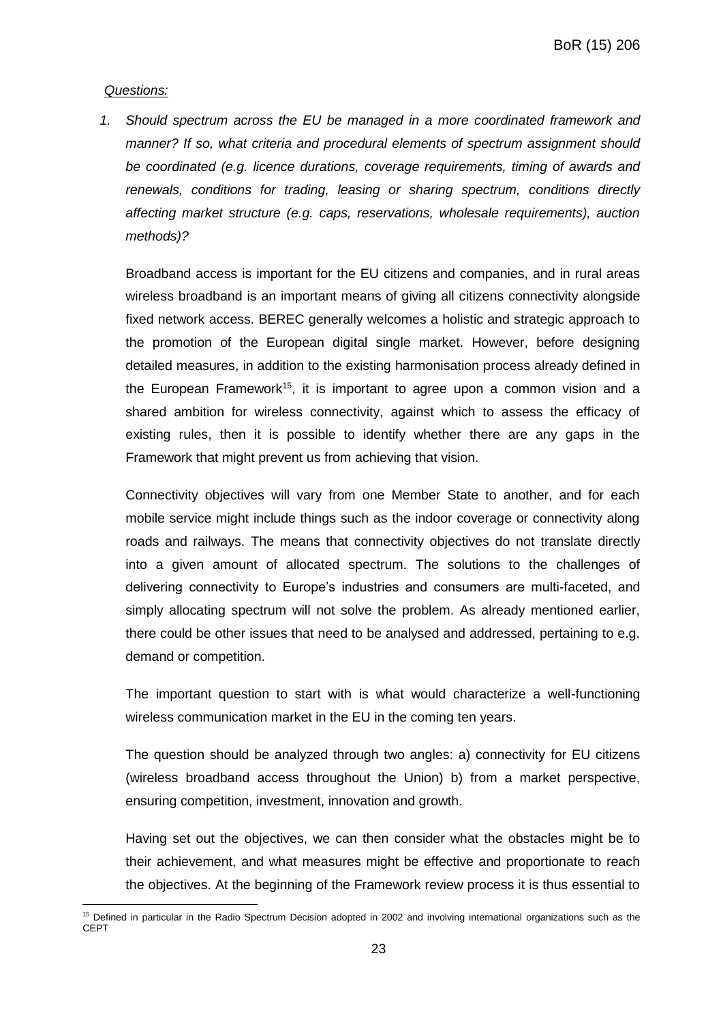#### *Questions:*

 $\overline{a}$ 

*1. Should spectrum across the EU be managed in a more coordinated framework and manner? If so, what criteria and procedural elements of spectrum assignment should be coordinated (e.g. licence durations, coverage requirements, timing of awards and renewals, conditions for trading, leasing or sharing spectrum, conditions directly affecting market structure (e.g. caps, reservations, wholesale requirements), auction methods)?* 

Broadband access is important for the EU citizens and companies, and in rural areas wireless broadband is an important means of giving all citizens connectivity alongside fixed network access. BEREC generally welcomes a holistic and strategic approach to the promotion of the European digital single market. However, before designing detailed measures, in addition to the existing harmonisation process already defined in the European Framework<sup>15</sup>, it is important to agree upon a common vision and a shared ambition for wireless connectivity, against which to assess the efficacy of existing rules, then it is possible to identify whether there are any gaps in the Framework that might prevent us from achieving that vision.

Connectivity objectives will vary from one Member State to another, and for each mobile service might include things such as the indoor coverage or connectivity along roads and railways. The means that connectivity objectives do not translate directly into a given amount of allocated spectrum. The solutions to the challenges of delivering connectivity to Europe's industries and consumers are multi-faceted, and simply allocating spectrum will not solve the problem. As already mentioned earlier, there could be other issues that need to be analysed and addressed, pertaining to e.g. demand or competition.

The important question to start with is what would characterize a well-functioning wireless communication market in the EU in the coming ten years.

The question should be analyzed through two angles: a) connectivity for EU citizens (wireless broadband access throughout the Union) b) from a market perspective, ensuring competition, investment, innovation and growth.

Having set out the objectives, we can then consider what the obstacles might be to their achievement, and what measures might be effective and proportionate to reach the objectives. At the beginning of the Framework review process it is thus essential to

<sup>&</sup>lt;sup>15</sup> Defined in particular in the Radio Spectrum Decision adopted in 2002 and involving international organizations such as the **CEPT**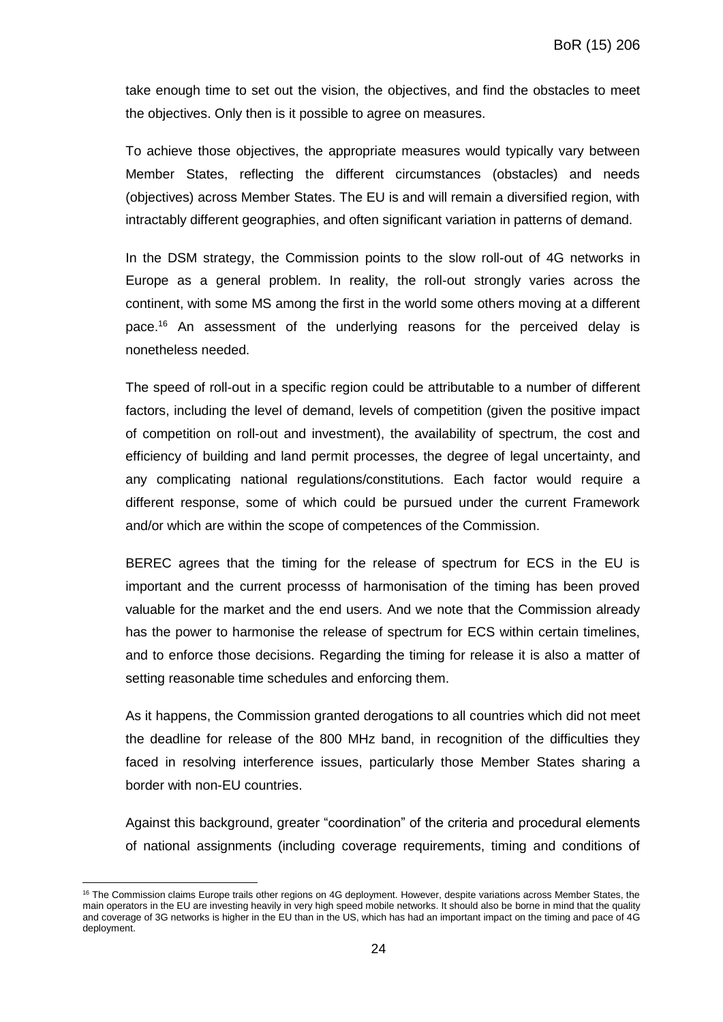take enough time to set out the vision, the objectives, and find the obstacles to meet the objectives. Only then is it possible to agree on measures.

To achieve those objectives, the appropriate measures would typically vary between Member States, reflecting the different circumstances (obstacles) and needs (objectives) across Member States. The EU is and will remain a diversified region, with intractably different geographies, and often significant variation in patterns of demand.

In the DSM strategy, the Commission points to the slow roll-out of 4G networks in Europe as a general problem. In reality, the roll-out strongly varies across the continent, with some MS among the first in the world some others moving at a different pace.<sup>16</sup> An assessment of the underlying reasons for the perceived delay is nonetheless needed.

The speed of roll-out in a specific region could be attributable to a number of different factors, including the level of demand, levels of competition (given the positive impact of competition on roll-out and investment), the availability of spectrum, the cost and efficiency of building and land permit processes, the degree of legal uncertainty, and any complicating national regulations/constitutions. Each factor would require a different response, some of which could be pursued under the current Framework and/or which are within the scope of competences of the Commission.

BEREC agrees that the timing for the release of spectrum for ECS in the EU is important and the current processs of harmonisation of the timing has been proved valuable for the market and the end users. And we note that the Commission already has the power to harmonise the release of spectrum for ECS within certain timelines, and to enforce those decisions. Regarding the timing for release it is also a matter of setting reasonable time schedules and enforcing them.

As it happens, the Commission granted derogations to all countries which did not meet the deadline for release of the 800 MHz band, in recognition of the difficulties they faced in resolving interference issues, particularly those Member States sharing a border with non-EU countries.

Against this background, greater "coordination" of the criteria and procedural elements of national assignments (including coverage requirements, timing and conditions of

 $\overline{a}$ 

<sup>&</sup>lt;sup>16</sup> The Commission claims Europe trails other regions on 4G deployment. However, despite variations across Member States, the main operators in the EU are investing heavily in very high speed mobile networks. It should also be borne in mind that the quality and coverage of 3G networks is higher in the EU than in the US, which has had an important impact on the timing and pace of 4G deployment.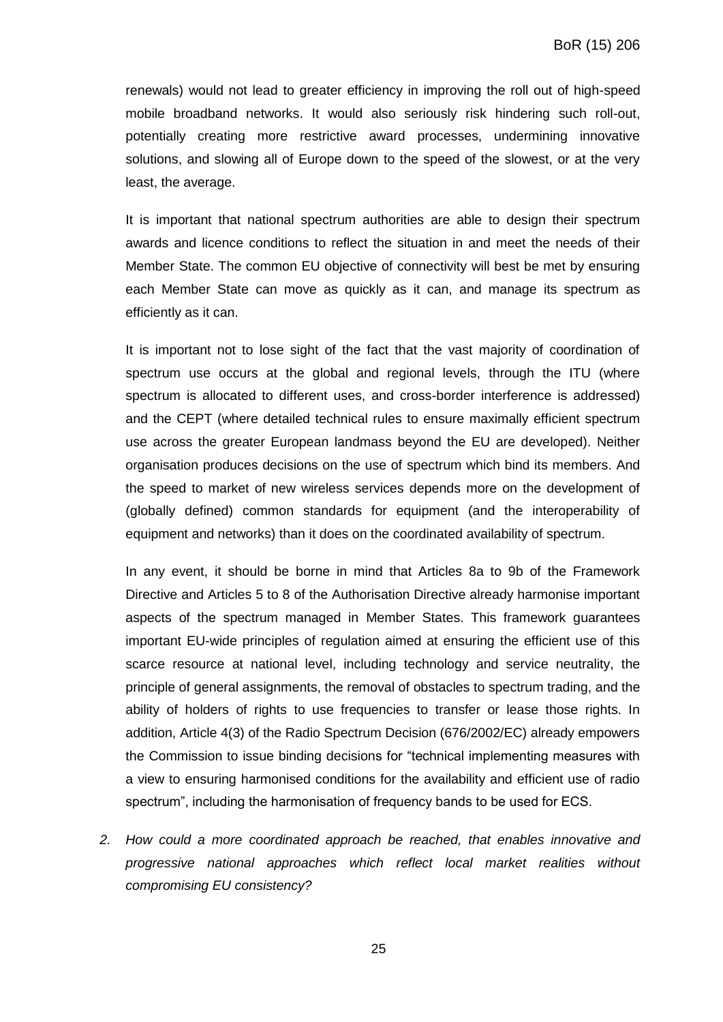renewals) would not lead to greater efficiency in improving the roll out of high-speed mobile broadband networks. It would also seriously risk hindering such roll-out, potentially creating more restrictive award processes, undermining innovative solutions, and slowing all of Europe down to the speed of the slowest, or at the very least, the average.

It is important that national spectrum authorities are able to design their spectrum awards and licence conditions to reflect the situation in and meet the needs of their Member State. The common EU objective of connectivity will best be met by ensuring each Member State can move as quickly as it can, and manage its spectrum as efficiently as it can.

It is important not to lose sight of the fact that the vast majority of coordination of spectrum use occurs at the global and regional levels, through the ITU (where spectrum is allocated to different uses, and cross-border interference is addressed) and the CEPT (where detailed technical rules to ensure maximally efficient spectrum use across the greater European landmass beyond the EU are developed). Neither organisation produces decisions on the use of spectrum which bind its members. And the speed to market of new wireless services depends more on the development of (globally defined) common standards for equipment (and the interoperability of equipment and networks) than it does on the coordinated availability of spectrum.

In any event, it should be borne in mind that Articles 8a to 9b of the Framework Directive and Articles 5 to 8 of the Authorisation Directive already harmonise important aspects of the spectrum managed in Member States. This framework guarantees important EU-wide principles of regulation aimed at ensuring the efficient use of this scarce resource at national level, including technology and service neutrality, the principle of general assignments, the removal of obstacles to spectrum trading, and the ability of holders of rights to use frequencies to transfer or lease those rights. In addition, Article 4(3) of the Radio Spectrum Decision (676/2002/EC) already empowers the Commission to issue binding decisions for "technical implementing measures with a view to ensuring harmonised conditions for the availability and efficient use of radio spectrum", including the harmonisation of frequency bands to be used for ECS.

*2. How could a more coordinated approach be reached, that enables innovative and progressive national approaches which reflect local market realities without compromising EU consistency?* 

25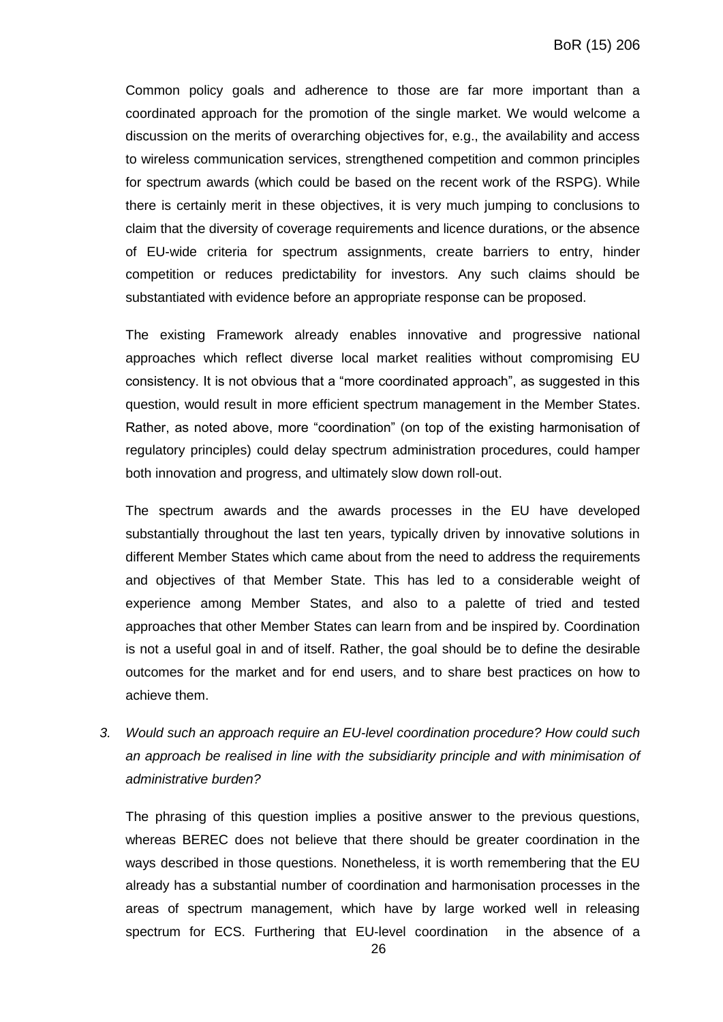Common policy goals and adherence to those are far more important than a coordinated approach for the promotion of the single market. We would welcome a discussion on the merits of overarching objectives for, e.g., the availability and access to wireless communication services, strengthened competition and common principles for spectrum awards (which could be based on the recent work of the RSPG). While there is certainly merit in these objectives, it is very much jumping to conclusions to claim that the diversity of coverage requirements and licence durations, or the absence of EU-wide criteria for spectrum assignments, create barriers to entry, hinder competition or reduces predictability for investors. Any such claims should be substantiated with evidence before an appropriate response can be proposed.

The existing Framework already enables innovative and progressive national approaches which reflect diverse local market realities without compromising EU consistency. It is not obvious that a "more coordinated approach", as suggested in this question, would result in more efficient spectrum management in the Member States. Rather, as noted above, more "coordination" (on top of the existing harmonisation of regulatory principles) could delay spectrum administration procedures, could hamper both innovation and progress, and ultimately slow down roll-out.

The spectrum awards and the awards processes in the EU have developed substantially throughout the last ten years, typically driven by innovative solutions in different Member States which came about from the need to address the requirements and objectives of that Member State. This has led to a considerable weight of experience among Member States, and also to a palette of tried and tested approaches that other Member States can learn from and be inspired by. Coordination is not a useful goal in and of itself. Rather, the goal should be to define the desirable outcomes for the market and for end users, and to share best practices on how to achieve them.

*3. Would such an approach require an EU-level coordination procedure? How could such an approach be realised in line with the subsidiarity principle and with minimisation of administrative burden?* 

The phrasing of this question implies a positive answer to the previous questions, whereas BEREC does not believe that there should be greater coordination in the ways described in those questions. Nonetheless, it is worth remembering that the EU already has a substantial number of coordination and harmonisation processes in the areas of spectrum management, which have by large worked well in releasing spectrum for ECS. Furthering that EU-level coordination in the absence of a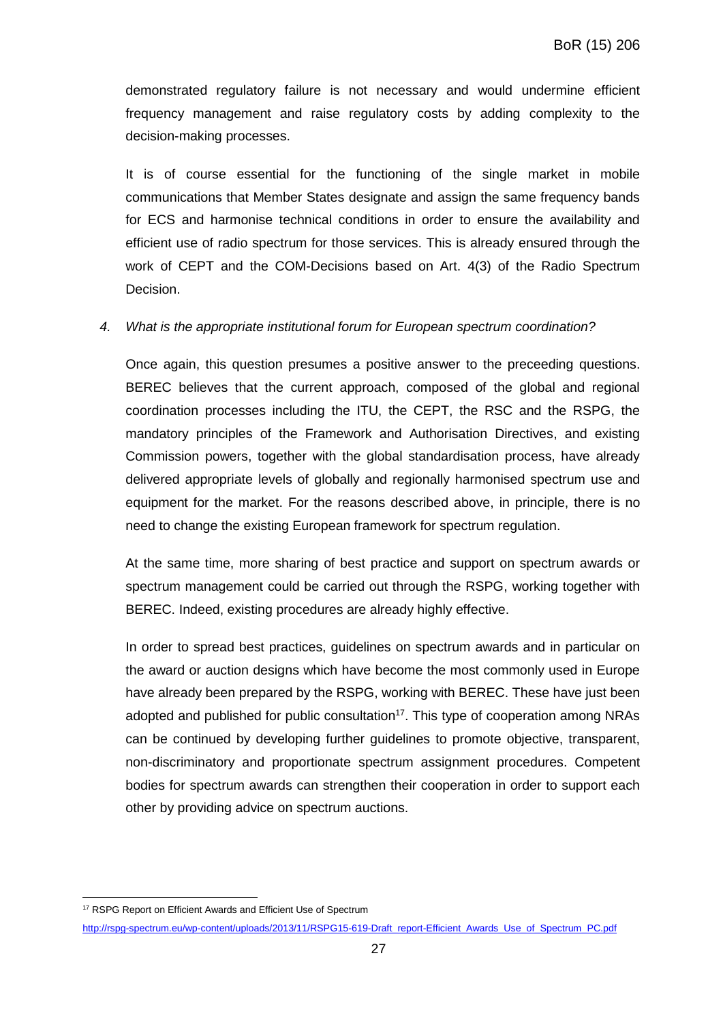demonstrated regulatory failure is not necessary and would undermine efficient frequency management and raise regulatory costs by adding complexity to the decision-making processes.

It is of course essential for the functioning of the single market in mobile communications that Member States designate and assign the same frequency bands for ECS and harmonise technical conditions in order to ensure the availability and efficient use of radio spectrum for those services. This is already ensured through the work of CEPT and the COM-Decisions based on Art. 4(3) of the Radio Spectrum Decision.

## *4. What is the appropriate institutional forum for European spectrum coordination?*

Once again, this question presumes a positive answer to the preceeding questions. BEREC believes that the current approach, composed of the global and regional coordination processes including the ITU, the CEPT, the RSC and the RSPG, the mandatory principles of the Framework and Authorisation Directives, and existing Commission powers, together with the global standardisation process, have already delivered appropriate levels of globally and regionally harmonised spectrum use and equipment for the market. For the reasons described above, in principle, there is no need to change the existing European framework for spectrum regulation.

At the same time, more sharing of best practice and support on spectrum awards or spectrum management could be carried out through the RSPG, working together with BEREC. Indeed, existing procedures are already highly effective.

In order to spread best practices, guidelines on spectrum awards and in particular on the award or auction designs which have become the most commonly used in Europe have already been prepared by the RSPG, working with BEREC. These have just been adopted and published for public consultation<sup>17</sup>. This type of cooperation among NRAs can be continued by developing further guidelines to promote objective, transparent, non-discriminatory and proportionate spectrum assignment procedures. Competent bodies for spectrum awards can strengthen their cooperation in order to support each other by providing advice on spectrum auctions.

 $\overline{a}$ 

<sup>&</sup>lt;sup>17</sup> RSPG Report on Efficient Awards and Efficient Use of Spectrum

[http://rspg-spectrum.eu/wp-content/uploads/2013/11/RSPG15-619-Draft\\_report-Efficient\\_Awards\\_Use\\_of\\_Spectrum\\_PC.pdf](http://rspg-spectrum.eu/wp-content/uploads/2013/11/RSPG15-619-Draft_report-Efficient_Awards_Use_of_Spectrum_PC.pdf)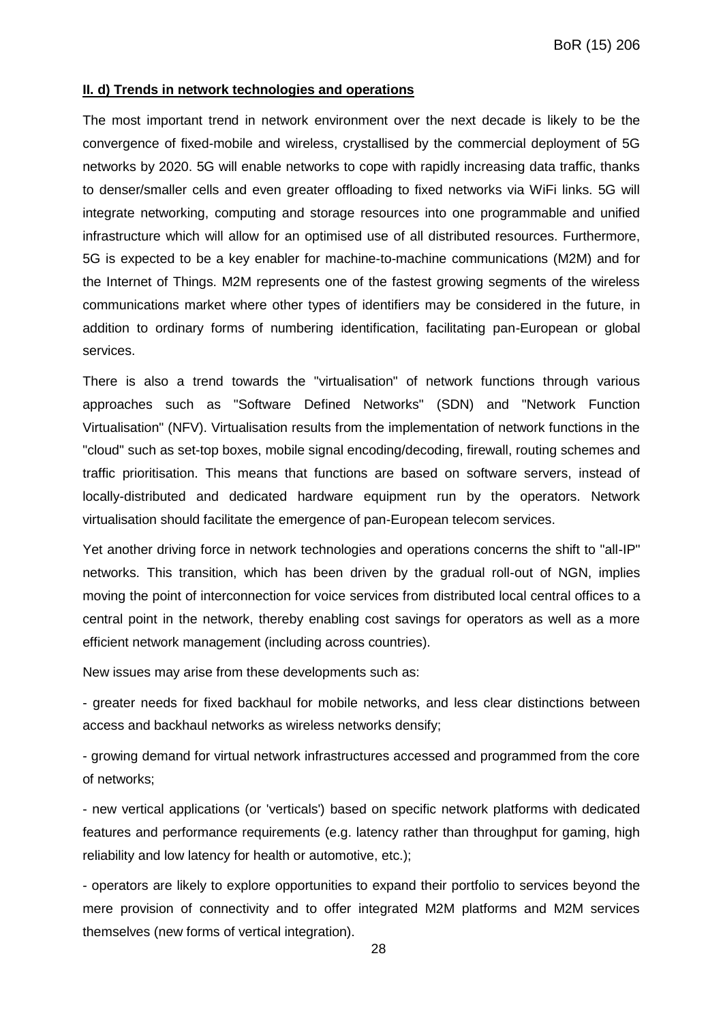#### **II. d) Trends in network technologies and operations**

The most important trend in network environment over the next decade is likely to be the convergence of fixed-mobile and wireless, crystallised by the commercial deployment of 5G networks by 2020. 5G will enable networks to cope with rapidly increasing data traffic, thanks to denser/smaller cells and even greater offloading to fixed networks via WiFi links. 5G will integrate networking, computing and storage resources into one programmable and unified infrastructure which will allow for an optimised use of all distributed resources. Furthermore, 5G is expected to be a key enabler for machine-to-machine communications (M2M) and for the Internet of Things. M2M represents one of the fastest growing segments of the wireless communications market where other types of identifiers may be considered in the future, in addition to ordinary forms of numbering identification, facilitating pan-European or global services.

There is also a trend towards the "virtualisation" of network functions through various approaches such as "Software Defined Networks" (SDN) and "Network Function Virtualisation" (NFV). Virtualisation results from the implementation of network functions in the "cloud" such as set-top boxes, mobile signal encoding/decoding, firewall, routing schemes and traffic prioritisation. This means that functions are based on software servers, instead of locally-distributed and dedicated hardware equipment run by the operators. Network virtualisation should facilitate the emergence of pan-European telecom services.

Yet another driving force in network technologies and operations concerns the shift to "all-IP" networks. This transition, which has been driven by the gradual roll-out of NGN, implies moving the point of interconnection for voice services from distributed local central offices to a central point in the network, thereby enabling cost savings for operators as well as a more efficient network management (including across countries).

New issues may arise from these developments such as:

- greater needs for fixed backhaul for mobile networks, and less clear distinctions between access and backhaul networks as wireless networks densify;

- growing demand for virtual network infrastructures accessed and programmed from the core of networks;

- new vertical applications (or 'verticals') based on specific network platforms with dedicated features and performance requirements (e.g. latency rather than throughput for gaming, high reliability and low latency for health or automotive, etc.);

- operators are likely to explore opportunities to expand their portfolio to services beyond the mere provision of connectivity and to offer integrated M2M platforms and M2M services themselves (new forms of vertical integration).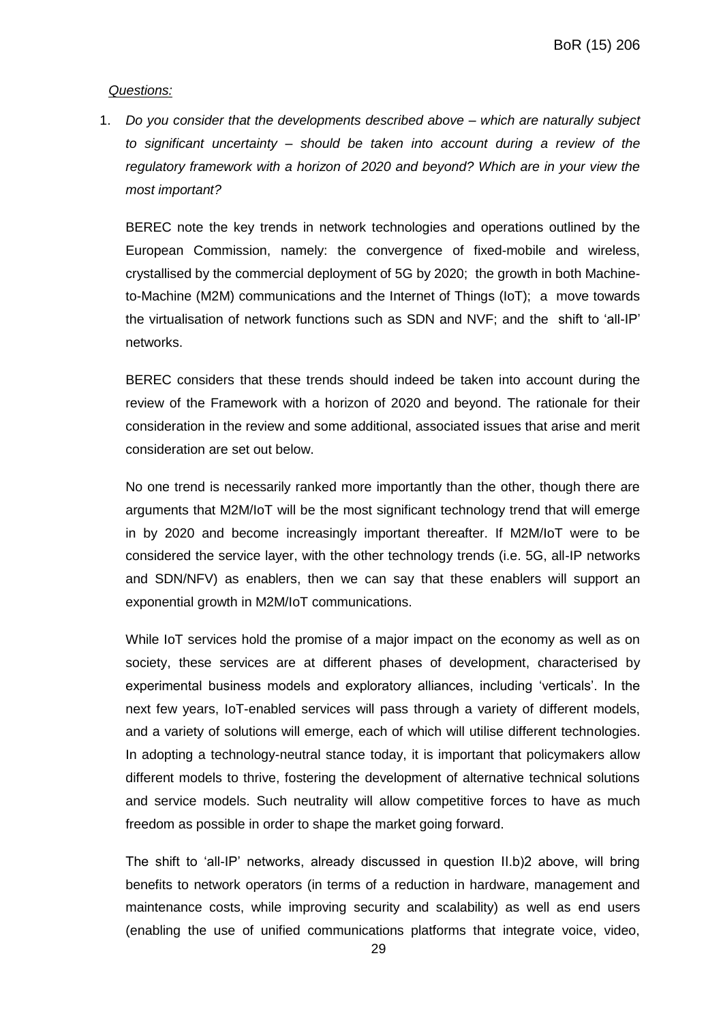#### *Questions:*

1. *Do you consider that the developments described above – which are naturally subject to significant uncertainty – should be taken into account during a review of the regulatory framework with a horizon of 2020 and beyond? Which are in your view the most important?*

BEREC note the key trends in network technologies and operations outlined by the European Commission, namely: the convergence of fixed-mobile and wireless, crystallised by the commercial deployment of 5G by 2020; the growth in both Machineto-Machine (M2M) communications and the Internet of Things (IoT); a move towards the virtualisation of network functions such as SDN and NVF; and the shift to 'all-IP' networks.

BEREC considers that these trends should indeed be taken into account during the review of the Framework with a horizon of 2020 and beyond. The rationale for their consideration in the review and some additional, associated issues that arise and merit consideration are set out below.

No one trend is necessarily ranked more importantly than the other, though there are arguments that M2M/IoT will be the most significant technology trend that will emerge in by 2020 and become increasingly important thereafter. If M2M/IoT were to be considered the service layer, with the other technology trends (i.e. 5G, all-IP networks and SDN/NFV) as enablers, then we can say that these enablers will support an exponential growth in M2M/IoT communications.

While IoT services hold the promise of a major impact on the economy as well as on society, these services are at different phases of development, characterised by experimental business models and exploratory alliances, including 'verticals'. In the next few years, IoT-enabled services will pass through a variety of different models, and a variety of solutions will emerge, each of which will utilise different technologies. In adopting a technology-neutral stance today, it is important that policymakers allow different models to thrive, fostering the development of alternative technical solutions and service models. Such neutrality will allow competitive forces to have as much freedom as possible in order to shape the market going forward.

The shift to 'all-IP' networks, already discussed in question II.b)2 above, will bring benefits to network operators (in terms of a reduction in hardware, management and maintenance costs, while improving security and scalability) as well as end users (enabling the use of unified communications platforms that integrate voice, video,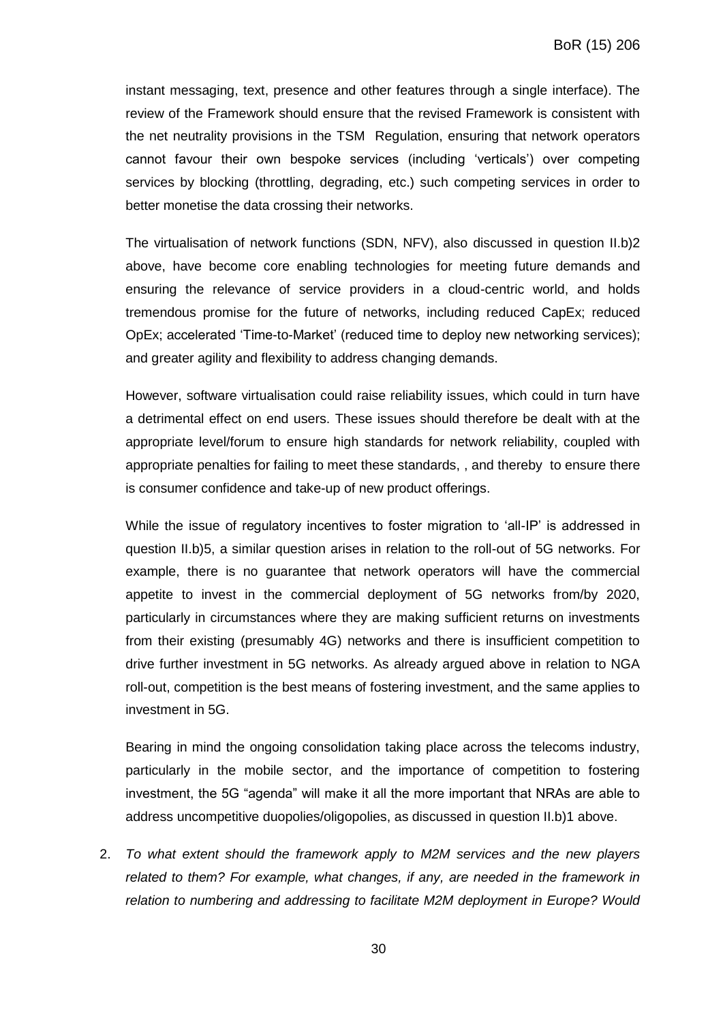instant messaging, text, presence and other features through a single interface). The review of the Framework should ensure that the revised Framework is consistent with the net neutrality provisions in the TSM Regulation, ensuring that network operators cannot favour their own bespoke services (including 'verticals') over competing services by blocking (throttling, degrading, etc.) such competing services in order to better monetise the data crossing their networks.

The virtualisation of network functions (SDN, NFV), also discussed in question II.b)2 above, have become core enabling technologies for meeting future demands and ensuring the relevance of service providers in a cloud-centric world, and holds tremendous promise for the future of networks, including reduced CapEx; reduced OpEx; accelerated 'Time-to-Market' (reduced time to deploy new networking services); and greater agility and flexibility to address changing demands.

However, software virtualisation could raise reliability issues, which could in turn have a detrimental effect on end users. These issues should therefore be dealt with at the appropriate level/forum to ensure high standards for network reliability, coupled with appropriate penalties for failing to meet these standards, , and thereby to ensure there is consumer confidence and take-up of new product offerings.

While the issue of regulatory incentives to foster migration to 'all-IP' is addressed in question II.b)5, a similar question arises in relation to the roll-out of 5G networks. For example, there is no guarantee that network operators will have the commercial appetite to invest in the commercial deployment of 5G networks from/by 2020, particularly in circumstances where they are making sufficient returns on investments from their existing (presumably 4G) networks and there is insufficient competition to drive further investment in 5G networks. As already argued above in relation to NGA roll-out, competition is the best means of fostering investment, and the same applies to investment in 5G.

Bearing in mind the ongoing consolidation taking place across the telecoms industry, particularly in the mobile sector, and the importance of competition to fostering investment, the 5G "agenda" will make it all the more important that NRAs are able to address uncompetitive duopolies/oligopolies, as discussed in question II.b)1 above.

2. *To what extent should the framework apply to M2M services and the new players related to them? For example, what changes, if any, are needed in the framework in relation to numbering and addressing to facilitate M2M deployment in Europe? Would*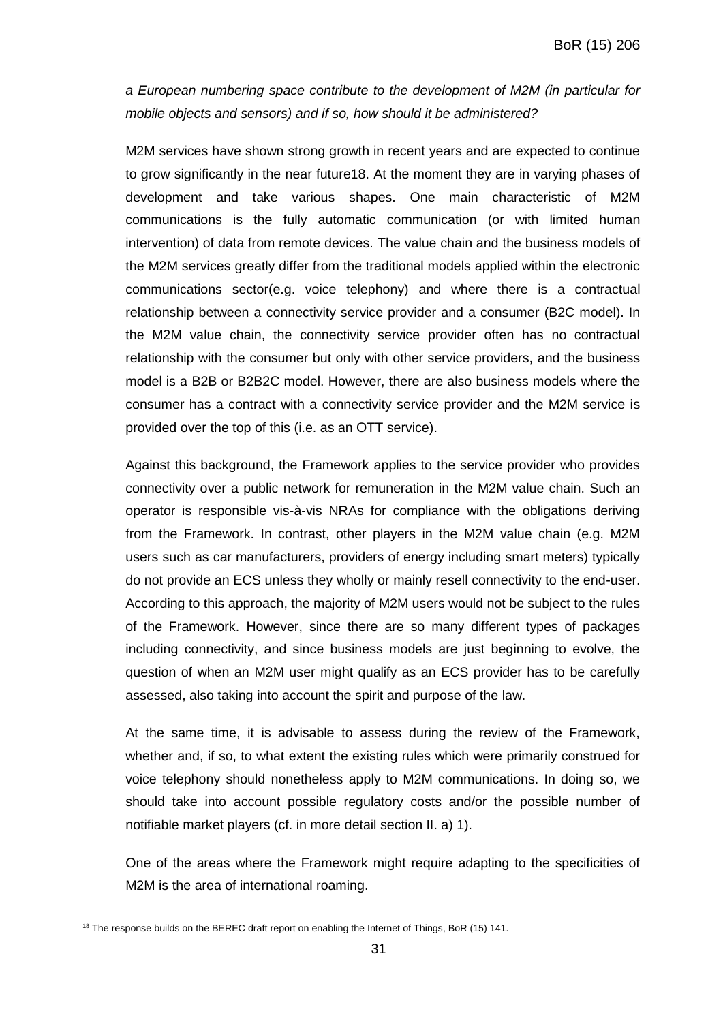*a European numbering space contribute to the development of M2M (in particular for mobile objects and sensors) and if so, how should it be administered?*

M2M services have shown strong growth in recent years and are expected to continue to grow significantly in the near future18. At the moment they are in varying phases of development and take various shapes. One main characteristic of M2M communications is the fully automatic communication (or with limited human intervention) of data from remote devices. The value chain and the business models of the M2M services greatly differ from the traditional models applied within the electronic communications sector(e.g. voice telephony) and where there is a contractual relationship between a connectivity service provider and a consumer (B2C model). In the M2M value chain, the connectivity service provider often has no contractual relationship with the consumer but only with other service providers, and the business model is a B2B or B2B2C model. However, there are also business models where the consumer has a contract with a connectivity service provider and the M2M service is provided over the top of this (i.e. as an OTT service).

Against this background, the Framework applies to the service provider who provides connectivity over a public network for remuneration in the M2M value chain. Such an operator is responsible vis-à-vis NRAs for compliance with the obligations deriving from the Framework. In contrast, other players in the M2M value chain (e.g. M2M users such as car manufacturers, providers of energy including smart meters) typically do not provide an ECS unless they wholly or mainly resell connectivity to the end-user. According to this approach, the majority of M2M users would not be subject to the rules of the Framework. However, since there are so many different types of packages including connectivity, and since business models are just beginning to evolve, the question of when an M2M user might qualify as an ECS provider has to be carefully assessed, also taking into account the spirit and purpose of the law.

At the same time, it is advisable to assess during the review of the Framework, whether and, if so, to what extent the existing rules which were primarily construed for voice telephony should nonetheless apply to M2M communications. In doing so, we should take into account possible regulatory costs and/or the possible number of notifiable market players (cf. in more detail section II. a) 1).

One of the areas where the Framework might require adapting to the specificities of M2M is the area of international roaming.

 $\overline{a}$ 

 $18$  The response builds on the BEREC draft report on enabling the Internet of Things, BoR (15) 141.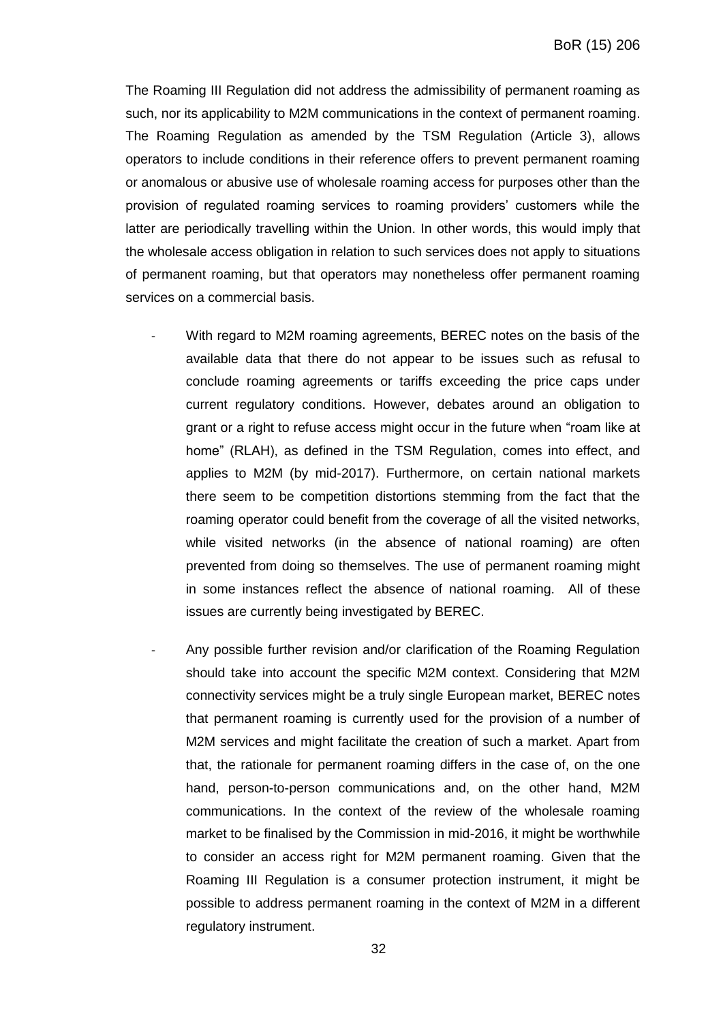The Roaming III Regulation did not address the admissibility of permanent roaming as such, nor its applicability to M2M communications in the context of permanent roaming. The Roaming Regulation as amended by the TSM Regulation (Article 3), allows operators to include conditions in their reference offers to prevent permanent roaming or anomalous or abusive use of wholesale roaming access for purposes other than the provision of regulated roaming services to roaming providers' customers while the latter are periodically travelling within the Union. In other words, this would imply that the wholesale access obligation in relation to such services does not apply to situations of permanent roaming, but that operators may nonetheless offer permanent roaming services on a commercial basis.

- With regard to M2M roaming agreements, BEREC notes on the basis of the available data that there do not appear to be issues such as refusal to conclude roaming agreements or tariffs exceeding the price caps under current regulatory conditions. However, debates around an obligation to grant or a right to refuse access might occur in the future when "roam like at home" (RLAH), as defined in the TSM Regulation, comes into effect, and applies to M2M (by mid-2017). Furthermore, on certain national markets there seem to be competition distortions stemming from the fact that the roaming operator could benefit from the coverage of all the visited networks, while visited networks (in the absence of national roaming) are often prevented from doing so themselves. The use of permanent roaming might in some instances reflect the absence of national roaming. All of these issues are currently being investigated by BEREC.
- Any possible further revision and/or clarification of the Roaming Regulation should take into account the specific M2M context. Considering that M2M connectivity services might be a truly single European market, BEREC notes that permanent roaming is currently used for the provision of a number of M2M services and might facilitate the creation of such a market. Apart from that, the rationale for permanent roaming differs in the case of, on the one hand, person-to-person communications and, on the other hand, M2M communications. In the context of the review of the wholesale roaming market to be finalised by the Commission in mid-2016, it might be worthwhile to consider an access right for M2M permanent roaming. Given that the Roaming III Regulation is a consumer protection instrument, it might be possible to address permanent roaming in the context of M2M in a different regulatory instrument.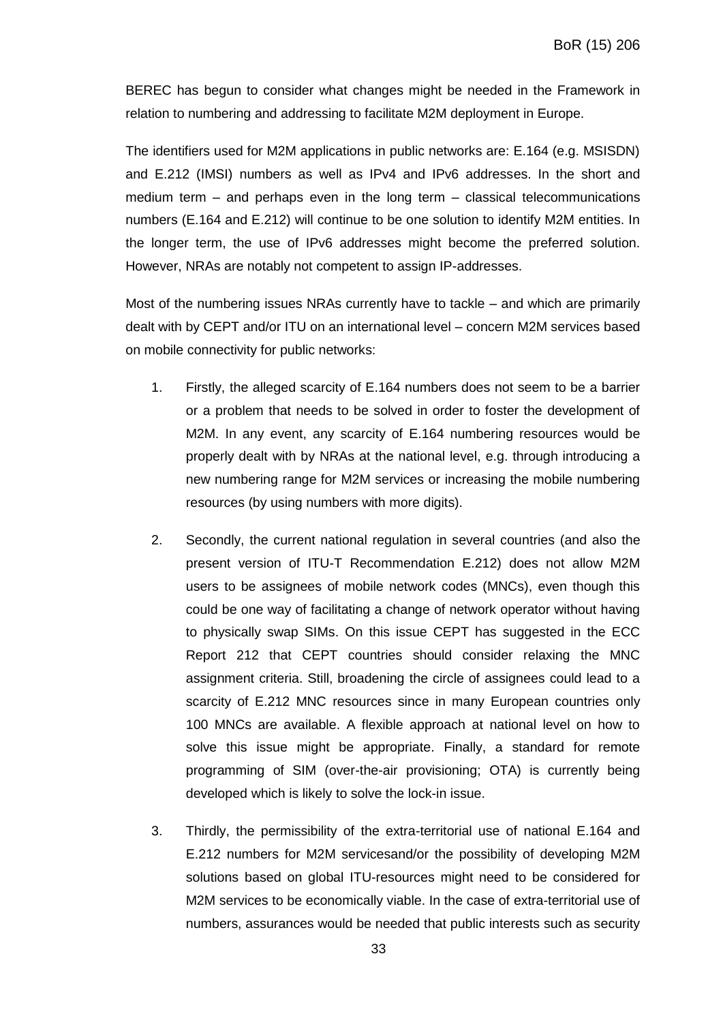BEREC has begun to consider what changes might be needed in the Framework in relation to numbering and addressing to facilitate M2M deployment in Europe.

The identifiers used for M2M applications in public networks are: E.164 (e.g. MSISDN) and E.212 (IMSI) numbers as well as IPv4 and IPv6 addresses. In the short and medium term – and perhaps even in the long term – classical telecommunications numbers (E.164 and E.212) will continue to be one solution to identify M2M entities. In the longer term, the use of IPv6 addresses might become the preferred solution. However, NRAs are notably not competent to assign IP-addresses.

Most of the numbering issues NRAs currently have to tackle – and which are primarily dealt with by CEPT and/or ITU on an international level – concern M2M services based on mobile connectivity for public networks:

- 1. Firstly, the alleged scarcity of E.164 numbers does not seem to be a barrier or a problem that needs to be solved in order to foster the development of M2M. In any event, any scarcity of E.164 numbering resources would be properly dealt with by NRAs at the national level, e.g. through introducing a new numbering range for M2M services or increasing the mobile numbering resources (by using numbers with more digits).
- 2. Secondly, the current national regulation in several countries (and also the present version of ITU-T Recommendation E.212) does not allow M2M users to be assignees of mobile network codes (MNCs), even though this could be one way of facilitating a change of network operator without having to physically swap SIMs. On this issue CEPT has suggested in the ECC Report 212 that CEPT countries should consider relaxing the MNC assignment criteria. Still, broadening the circle of assignees could lead to a scarcity of E.212 MNC resources since in many European countries only 100 MNCs are available. A flexible approach at national level on how to solve this issue might be appropriate. Finally, a standard for remote programming of SIM (over-the-air provisioning; OTA) is currently being developed which is likely to solve the lock-in issue.
- 3. Thirdly, the permissibility of the extra-territorial use of national E.164 and E.212 numbers for M2M servicesand/or the possibility of developing M2M solutions based on global ITU-resources might need to be considered for M2M services to be economically viable. In the case of extra-territorial use of numbers, assurances would be needed that public interests such as security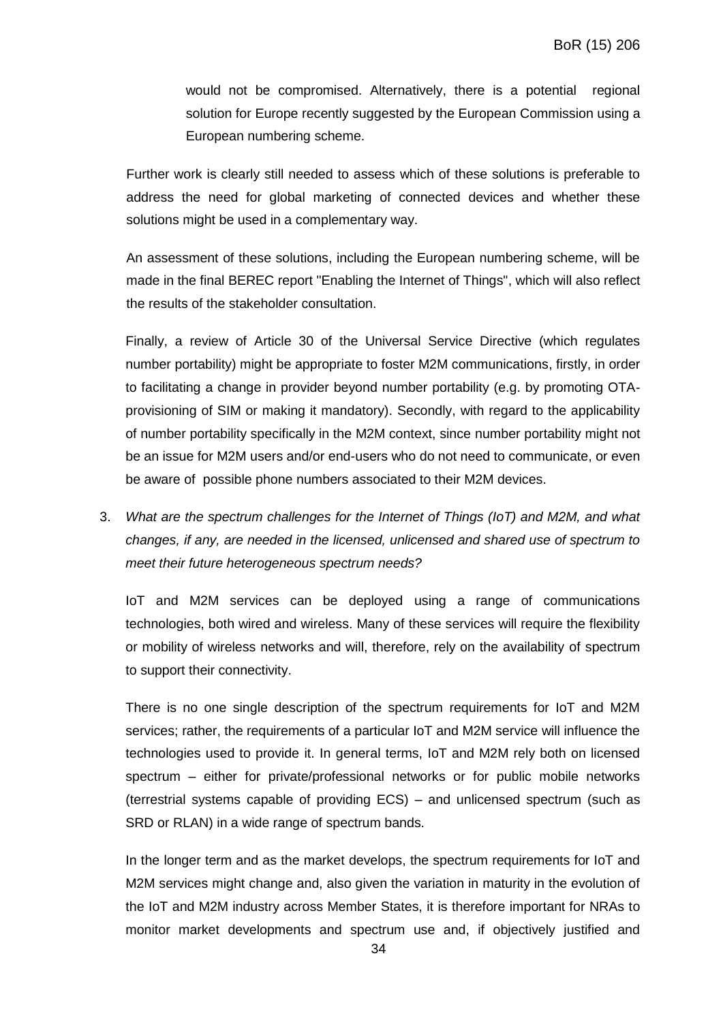would not be compromised. Alternatively, there is a potential regional solution for Europe recently suggested by the European Commission using a European numbering scheme.

Further work is clearly still needed to assess which of these solutions is preferable to address the need for global marketing of connected devices and whether these solutions might be used in a complementary way.

An assessment of these solutions, including the European numbering scheme, will be made in the final BEREC report "Enabling the Internet of Things", which will also reflect the results of the stakeholder consultation.

Finally, a review of Article 30 of the Universal Service Directive (which regulates number portability) might be appropriate to foster M2M communications, firstly, in order to facilitating a change in provider beyond number portability (e.g. by promoting OTAprovisioning of SIM or making it mandatory). Secondly, with regard to the applicability of number portability specifically in the M2M context, since number portability might not be an issue for M2M users and/or end-users who do not need to communicate, or even be aware of possible phone numbers associated to their M2M devices.

3. *What are the spectrum challenges for the Internet of Things (IoT) and M2M, and what changes, if any, are needed in the licensed, unlicensed and shared use of spectrum to meet their future heterogeneous spectrum needs?*

IoT and M2M services can be deployed using a range of communications technologies, both wired and wireless. Many of these services will require the flexibility or mobility of wireless networks and will, therefore, rely on the availability of spectrum to support their connectivity.

There is no one single description of the spectrum requirements for IoT and M2M services; rather, the requirements of a particular IoT and M2M service will influence the technologies used to provide it. In general terms, IoT and M2M rely both on licensed spectrum – either for private/professional networks or for public mobile networks (terrestrial systems capable of providing ECS) – and unlicensed spectrum (such as SRD or RLAN) in a wide range of spectrum bands.

In the longer term and as the market develops, the spectrum requirements for IoT and M2M services might change and, also given the variation in maturity in the evolution of the IoT and M2M industry across Member States, it is therefore important for NRAs to monitor market developments and spectrum use and, if objectively justified and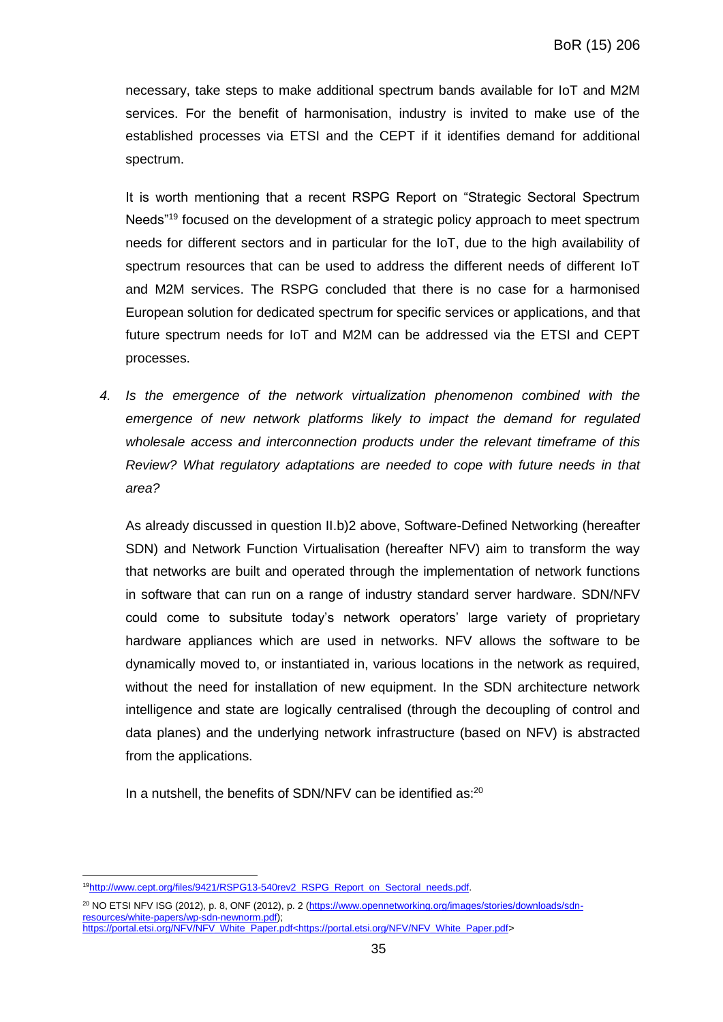necessary, take steps to make additional spectrum bands available for IoT and M2M services. For the benefit of harmonisation, industry is invited to make use of the established processes via ETSI and the CEPT if it identifies demand for additional spectrum.

It is worth mentioning that a recent RSPG Report on "Strategic Sectoral Spectrum Needs"<sup>19</sup> focused on the development of a strategic policy approach to meet spectrum needs for different sectors and in particular for the IoT, due to the high availability of spectrum resources that can be used to address the different needs of different IoT and M2M services. The RSPG concluded that there is no case for a harmonised European solution for dedicated spectrum for specific services or applications, and that future spectrum needs for IoT and M2M can be addressed via the ETSI and CEPT processes.

*4. Is the emergence of the network virtualization phenomenon combined with the emergence of new network platforms likely to impact the demand for regulated wholesale access and interconnection products under the relevant timeframe of this Review? What regulatory adaptations are needed to cope with future needs in that area?*

As already discussed in question II.b)2 above, Software-Defined Networking (hereafter SDN) and Network Function Virtualisation (hereafter NFV) aim to transform the way that networks are built and operated through the implementation of network functions in software that can run on a range of industry standard server hardware. SDN/NFV could come to subsitute today's network operators' large variety of proprietary hardware appliances which are used in networks. NFV allows the software to be dynamically moved to, or instantiated in, various locations in the network as required, without the need for installation of new equipment. In the SDN architecture network intelligence and state are logically centralised (through the decoupling of control and data planes) and the underlying network infrastructure (based on NFV) is abstracted from the applications.

In a nutshell, the benefits of SDN/NFV can be identified as:<sup>20</sup>

 $\overline{a}$ <sup>19</sup>[http://www.cept.org/files/9421/RSPG13-540rev2\\_RSPG\\_Report\\_on\\_Sectoral\\_needs.pdf.](http://www.cept.org/files/9421/RSPG13-540rev2_RSPG_Report_on_Sectoral_needs.pdf)

<sup>&</sup>lt;sup>20</sup> NO ETSI NFV ISG (2012), p. 8, ONF (2012), p. 2 [\(https://www.opennetworking.org/images/stories/downloads/sdn](https://www.opennetworking.org/images/stories/downloads/sdn-resources/white-papers/wp-sdn-newnorm.pdf)[resources/white-papers/wp-sdn-newnorm.pdf\)](https://www.opennetworking.org/images/stories/downloads/sdn-resources/white-papers/wp-sdn-newnorm.pdf); [https://portal.etsi.org/NFV/NFV\\_White\\_Paper.pdf<https://portal.etsi.org/NFV/NFV\\_White\\_Paper.pdf>](https://portal.etsi.org/NFV/NFV_White_Paper.pdf%3chttps:/portal.etsi.org/NFV/NFV_White_Paper.pdf)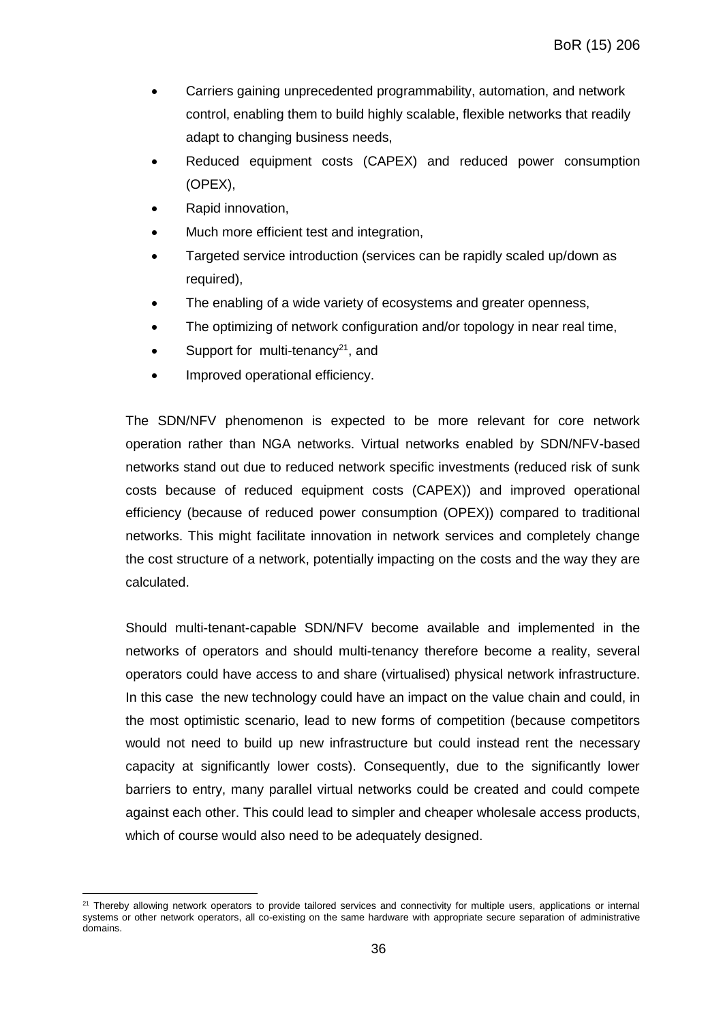- Carriers gaining unprecedented programmability, automation, and network control, enabling them to build highly scalable, flexible networks that readily adapt to changing business needs,
- Reduced equipment costs (CAPEX) and reduced power consumption (OPEX),
- Rapid innovation,
- Much more efficient test and integration,
- Targeted service introduction (services can be rapidly scaled up/down as required),
- The enabling of a wide variety of ecosystems and greater openness,
- The optimizing of network configuration and/or topology in near real time,
- Support for multi-tenancy<sup>21</sup>, and
- Improved operational efficiency.

The SDN/NFV phenomenon is expected to be more relevant for core network operation rather than NGA networks. Virtual networks enabled by SDN/NFV-based networks stand out due to reduced network specific investments (reduced risk of sunk costs because of reduced equipment costs (CAPEX)) and improved operational efficiency (because of reduced power consumption (OPEX)) compared to traditional networks. This might facilitate innovation in network services and completely change the cost structure of a network, potentially impacting on the costs and the way they are calculated.

Should multi-tenant-capable SDN/NFV become available and implemented in the networks of operators and should multi-tenancy therefore become a reality, several operators could have access to and share (virtualised) physical network infrastructure. In this case the new technology could have an impact on the value chain and could, in the most optimistic scenario, lead to new forms of competition (because competitors would not need to build up new infrastructure but could instead rent the necessary capacity at significantly lower costs). Consequently, due to the significantly lower barriers to entry, many parallel virtual networks could be created and could compete against each other. This could lead to simpler and cheaper wholesale access products, which of course would also need to be adequately designed.

 $\overline{a}$ <sup>21</sup> Thereby allowing network operators to provide tailored services and connectivity for multiple users, applications or internal systems or other network operators, all co-existing on the same hardware with appropriate secure separation of administrative domains.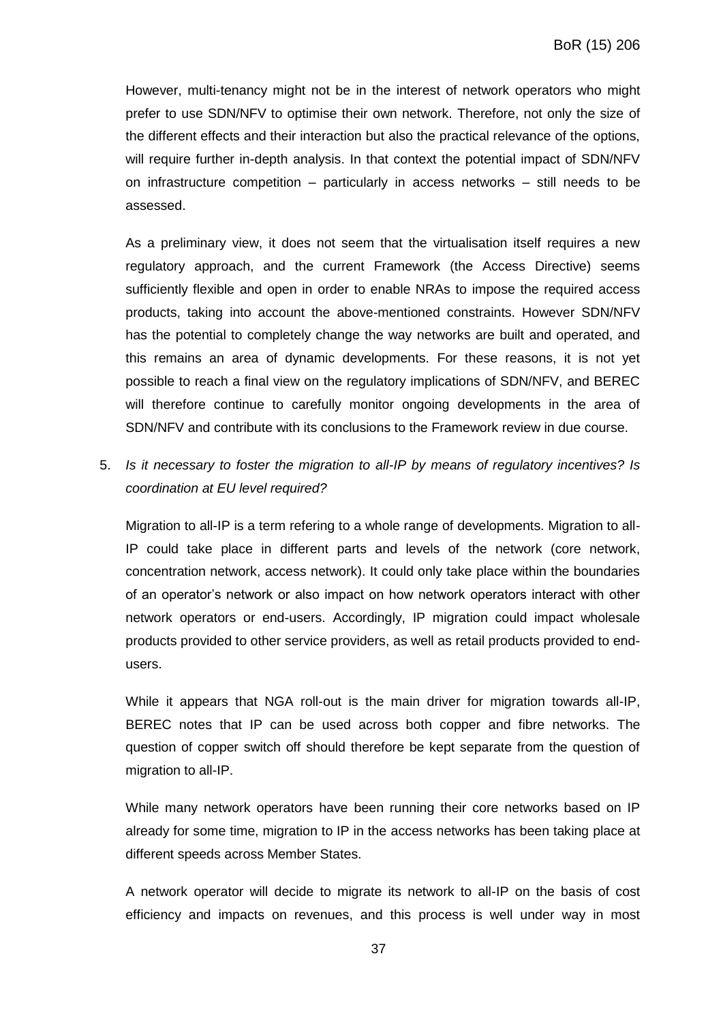However, multi-tenancy might not be in the interest of network operators who might prefer to use SDN/NFV to optimise their own network. Therefore, not only the size of the different effects and their interaction but also the practical relevance of the options, will require further in-depth analysis. In that context the potential impact of SDN/NFV on infrastructure competition – particularly in access networks – still needs to be assessed.

As a preliminary view, it does not seem that the virtualisation itself requires a new regulatory approach, and the current Framework (the Access Directive) seems sufficiently flexible and open in order to enable NRAs to impose the required access products, taking into account the above-mentioned constraints. However SDN/NFV has the potential to completely change the way networks are built and operated, and this remains an area of dynamic developments. For these reasons, it is not yet possible to reach a final view on the regulatory implications of SDN/NFV, and BEREC will therefore continue to carefully monitor ongoing developments in the area of SDN/NFV and contribute with its conclusions to the Framework review in due course.

5. *Is it necessary to foster the migration to all-IP by means of regulatory incentives? Is coordination at EU level required?*

Migration to all-IP is a term refering to a whole range of developments. Migration to all-IP could take place in different parts and levels of the network (core network, concentration network, access network). It could only take place within the boundaries of an operator's network or also impact on how network operators interact with other network operators or end-users. Accordingly, IP migration could impact wholesale products provided to other service providers, as well as retail products provided to endusers.

While it appears that NGA roll-out is the main driver for migration towards all-IP, BEREC notes that IP can be used across both copper and fibre networks. The question of copper switch off should therefore be kept separate from the question of migration to all-IP.

While many network operators have been running their core networks based on IP already for some time, migration to IP in the access networks has been taking place at different speeds across Member States.

A network operator will decide to migrate its network to all-IP on the basis of cost efficiency and impacts on revenues, and this process is well under way in most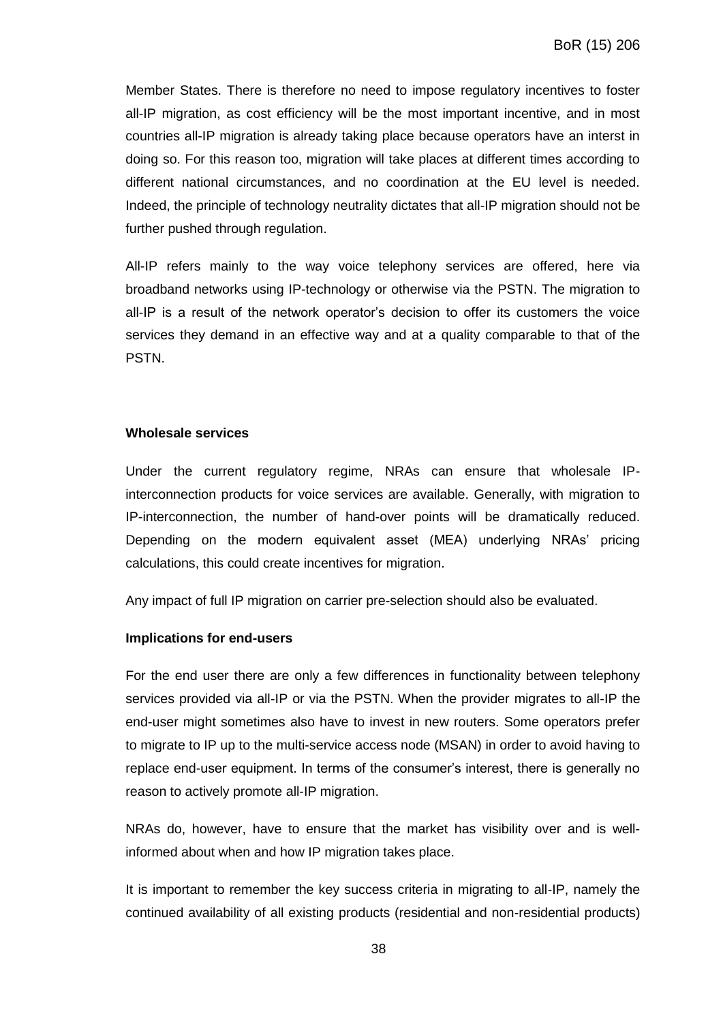Member States. There is therefore no need to impose regulatory incentives to foster all-IP migration, as cost efficiency will be the most important incentive, and in most countries all-IP migration is already taking place because operators have an interst in doing so. For this reason too, migration will take places at different times according to different national circumstances, and no coordination at the EU level is needed. Indeed, the principle of technology neutrality dictates that all-IP migration should not be further pushed through regulation.

All-IP refers mainly to the way voice telephony services are offered, here via broadband networks using IP-technology or otherwise via the PSTN. The migration to all-IP is a result of the network operator's decision to offer its customers the voice services they demand in an effective way and at a quality comparable to that of the PSTN.

#### **Wholesale services**

Under the current regulatory regime, NRAs can ensure that wholesale IPinterconnection products for voice services are available. Generally, with migration to IP-interconnection, the number of hand-over points will be dramatically reduced. Depending on the modern equivalent asset (MEA) underlying NRAs' pricing calculations, this could create incentives for migration.

Any impact of full IP migration on carrier pre-selection should also be evaluated.

## **Implications for end-users**

For the end user there are only a few differences in functionality between telephony services provided via all-IP or via the PSTN. When the provider migrates to all-IP the end-user might sometimes also have to invest in new routers. Some operators prefer to migrate to IP up to the multi-service access node (MSAN) in order to avoid having to replace end-user equipment. In terms of the consumer's interest, there is generally no reason to actively promote all-IP migration.

NRAs do, however, have to ensure that the market has visibility over and is wellinformed about when and how IP migration takes place.

It is important to remember the key success criteria in migrating to all-IP, namely the continued availability of all existing products (residential and non-residential products)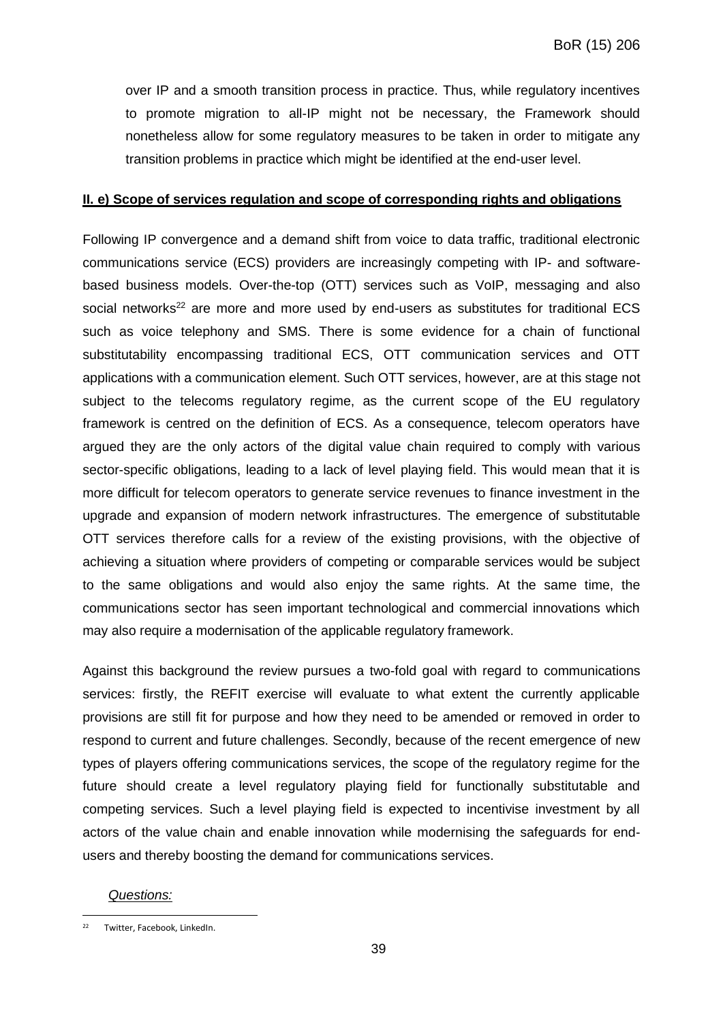over IP and a smooth transition process in practice. Thus, while regulatory incentives to promote migration to all-IP might not be necessary, the Framework should nonetheless allow for some regulatory measures to be taken in order to mitigate any transition problems in practice which might be identified at the end-user level.

#### **II. e) Scope of services regulation and scope of corresponding rights and obligations**

Following IP convergence and a demand shift from voice to data traffic, traditional electronic communications service (ECS) providers are increasingly competing with IP- and softwarebased business models. Over-the-top (OTT) services such as VoIP, messaging and also social networks<sup>22</sup> are more and more used by end-users as substitutes for traditional ECS such as voice telephony and SMS. There is some evidence for a chain of functional substitutability encompassing traditional ECS, OTT communication services and OTT applications with a communication element. Such OTT services, however, are at this stage not subject to the telecoms regulatory regime, as the current scope of the EU regulatory framework is centred on the definition of ECS. As a consequence, telecom operators have argued they are the only actors of the digital value chain required to comply with various sector-specific obligations, leading to a lack of level playing field. This would mean that it is more difficult for telecom operators to generate service revenues to finance investment in the upgrade and expansion of modern network infrastructures. The emergence of substitutable OTT services therefore calls for a review of the existing provisions, with the objective of achieving a situation where providers of competing or comparable services would be subject to the same obligations and would also enjoy the same rights. At the same time, the communications sector has seen important technological and commercial innovations which may also require a modernisation of the applicable regulatory framework.

Against this background the review pursues a two-fold goal with regard to communications services: firstly, the REFIT exercise will evaluate to what extent the currently applicable provisions are still fit for purpose and how they need to be amended or removed in order to respond to current and future challenges. Secondly, because of the recent emergence of new types of players offering communications services, the scope of the regulatory regime for the future should create a level regulatory playing field for functionally substitutable and competing services. Such a level playing field is expected to incentivise investment by all actors of the value chain and enable innovation while modernising the safeguards for endusers and thereby boosting the demand for communications services.

#### *Questions:*

 $\overline{a}$ <sup>22</sup> Twitter, Facebook, LinkedIn.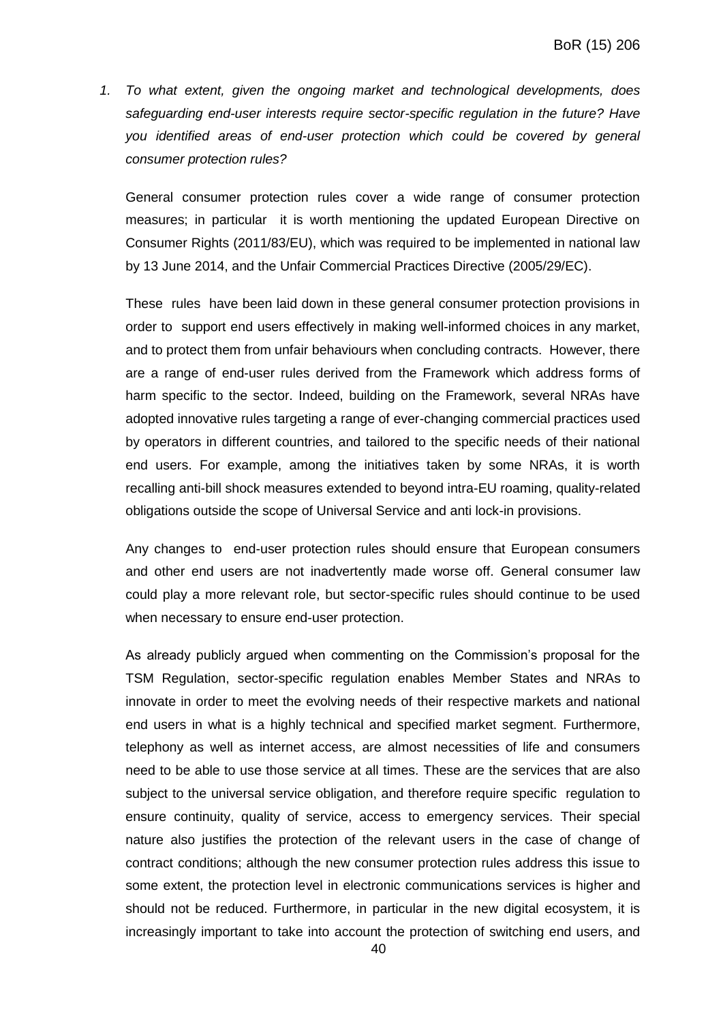*1. To what extent, given the ongoing market and technological developments, does safeguarding end-user interests require sector-specific regulation in the future? Have you identified areas of end-user protection which could be covered by general consumer protection rules?*

General consumer protection rules cover a wide range of consumer protection measures; in particular it is worth mentioning the updated European Directive on Consumer Rights (2011/83/EU), which was required to be implemented in national law by 13 June 2014, and the Unfair Commercial Practices Directive (2005/29/EC).

These rules have been laid down in these general consumer protection provisions in order to support end users effectively in making well-informed choices in any market, and to protect them from unfair behaviours when concluding contracts. However, there are a range of end-user rules derived from the Framework which address forms of harm specific to the sector. Indeed, building on the Framework, several NRAs have adopted innovative rules targeting a range of ever-changing commercial practices used by operators in different countries, and tailored to the specific needs of their national end users. For example, among the initiatives taken by some NRAs, it is worth recalling anti-bill shock measures extended to beyond intra-EU roaming, quality-related obligations outside the scope of Universal Service and anti lock-in provisions.

Any changes to end-user protection rules should ensure that European consumers and other end users are not inadvertently made worse off. General consumer law could play a more relevant role, but sector-specific rules should continue to be used when necessary to ensure end-user protection.

As already publicly argued when commenting on the Commission's proposal for the TSM Regulation, sector-specific regulation enables Member States and NRAs to innovate in order to meet the evolving needs of their respective markets and national end users in what is a highly technical and specified market segment. Furthermore, telephony as well as internet access, are almost necessities of life and consumers need to be able to use those service at all times. These are the services that are also subject to the universal service obligation, and therefore require specific regulation to ensure continuity, quality of service, access to emergency services. Their special nature also justifies the protection of the relevant users in the case of change of contract conditions; although the new consumer protection rules address this issue to some extent, the protection level in electronic communications services is higher and should not be reduced. Furthermore, in particular in the new digital ecosystem, it is increasingly important to take into account the protection of switching end users, and

40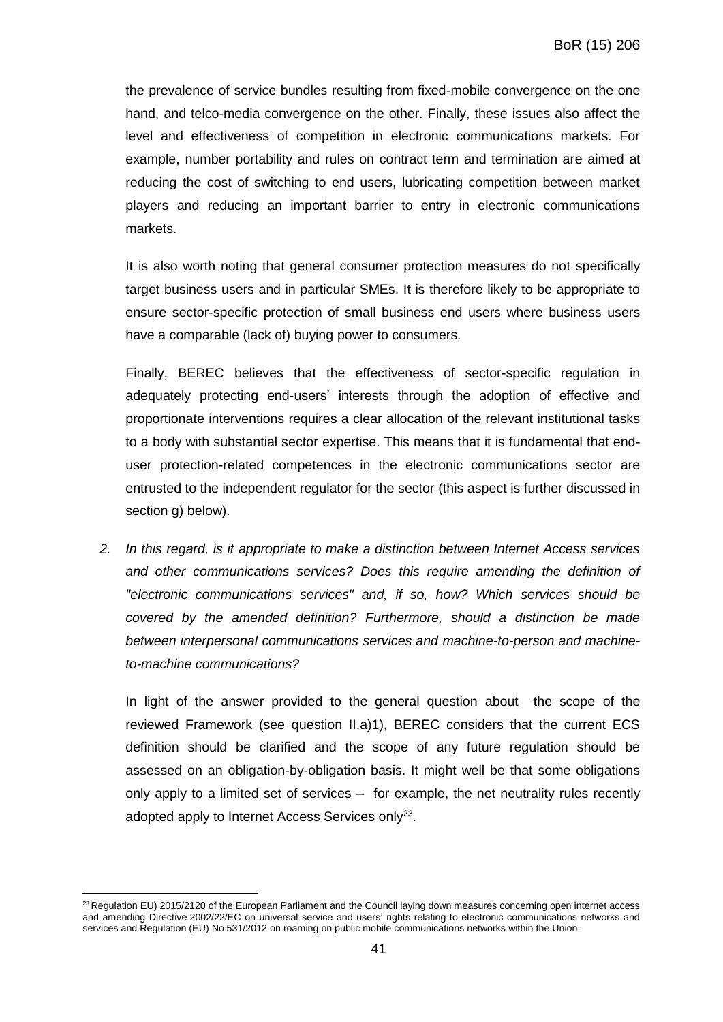the prevalence of service bundles resulting from fixed-mobile convergence on the one hand, and telco-media convergence on the other. Finally, these issues also affect the level and effectiveness of competition in electronic communications markets. For example, number portability and rules on contract term and termination are aimed at reducing the cost of switching to end users, lubricating competition between market players and reducing an important barrier to entry in electronic communications markets.

It is also worth noting that general consumer protection measures do not specifically target business users and in particular SMEs. It is therefore likely to be appropriate to ensure sector-specific protection of small business end users where business users have a comparable (lack of) buying power to consumers.

Finally, BEREC believes that the effectiveness of sector-specific regulation in adequately protecting end-users' interests through the adoption of effective and proportionate interventions requires a clear allocation of the relevant institutional tasks to a body with substantial sector expertise. This means that it is fundamental that enduser protection-related competences in the electronic communications sector are entrusted to the independent regulator for the sector (this aspect is further discussed in section g) below).

*2. In this regard, is it appropriate to make a distinction between Internet Access services and other communications services? Does this require amending the definition of "electronic communications services" and, if so, how? Which services should be covered by the amended definition? Furthermore, should a distinction be made between interpersonal communications services and machine-to-person and machineto-machine communications?*

In light of the answer provided to the general question about the scope of the reviewed Framework (see question II.a)1), BEREC considers that the current ECS definition should be clarified and the scope of any future regulation should be assessed on an obligation-by-obligation basis. It might well be that some obligations only apply to a limited set of services – for example, the net neutrality rules recently adopted apply to Internet Access Services only<sup>23</sup>.

 $\overline{a}$ 

<sup>&</sup>lt;sup>23</sup> Regulation EU) 2015/2120 of the European Parliament and the Council laying down measures concerning open internet access and amending Directive 2002/22/EC on universal service and users' rights relating to electronic communications networks and services and Regulation (EU) No 531/2012 on roaming on public mobile communications networks within the Union.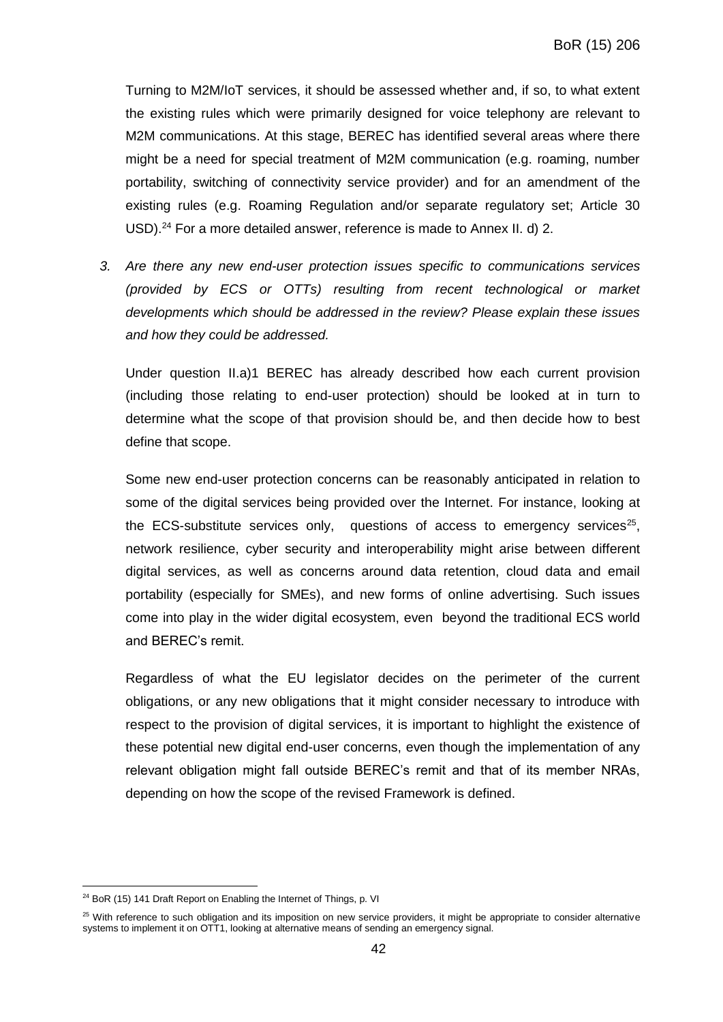Turning to M2M/IoT services, it should be assessed whether and, if so, to what extent the existing rules which were primarily designed for voice telephony are relevant to M2M communications. At this stage, BEREC has identified several areas where there might be a need for special treatment of M2M communication (e.g. roaming, number portability, switching of connectivity service provider) and for an amendment of the existing rules (e.g. Roaming Regulation and/or separate regulatory set; Article 30 USD).<sup>24</sup> For a more detailed answer, reference is made to Annex II. d) 2.

*3. Are there any new end-user protection issues specific to communications services (provided by ECS or OTTs) resulting from recent technological or market developments which should be addressed in the review? Please explain these issues and how they could be addressed.*

Under question II.a)1 BEREC has already described how each current provision (including those relating to end-user protection) should be looked at in turn to determine what the scope of that provision should be, and then decide how to best define that scope.

Some new end-user protection concerns can be reasonably anticipated in relation to some of the digital services being provided over the Internet. For instance, looking at the ECS-substitute services only, questions of access to emergency services<sup>25</sup>, network resilience, cyber security and interoperability might arise between different digital services, as well as concerns around data retention, cloud data and email portability (especially for SMEs), and new forms of online advertising. Such issues come into play in the wider digital ecosystem, even beyond the traditional ECS world and BEREC's remit.

Regardless of what the EU legislator decides on the perimeter of the current obligations, or any new obligations that it might consider necessary to introduce with respect to the provision of digital services, it is important to highlight the existence of these potential new digital end-user concerns, even though the implementation of any relevant obligation might fall outside BEREC's remit and that of its member NRAs, depending on how the scope of the revised Framework is defined.

 $\overline{a}$ 

<sup>&</sup>lt;sup>24</sup> BoR (15) 141 Draft Report on Enabling the Internet of Things, p. VI

 $25$  With reference to such obligation and its imposition on new service providers, it might be appropriate to consider alternative systems to implement it on OTT1, looking at alternative means of sending an emergency signal.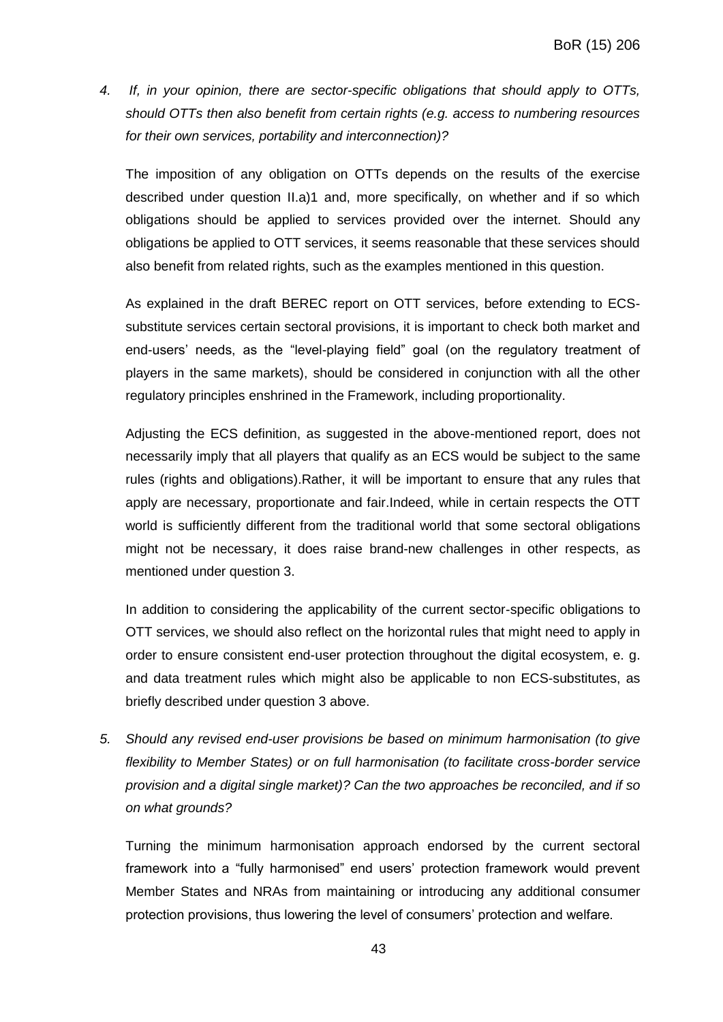*4. If, in your opinion, there are sector-specific obligations that should apply to OTTs, should OTTs then also benefit from certain rights (e.g. access to numbering resources for their own services, portability and interconnection)?*

The imposition of any obligation on OTTs depends on the results of the exercise described under question II.a)1 and, more specifically, on whether and if so which obligations should be applied to services provided over the internet. Should any obligations be applied to OTT services, it seems reasonable that these services should also benefit from related rights, such as the examples mentioned in this question.

As explained in the draft BEREC report on OTT services, before extending to ECSsubstitute services certain sectoral provisions, it is important to check both market and end-users' needs, as the "level-playing field" goal (on the regulatory treatment of players in the same markets), should be considered in conjunction with all the other regulatory principles enshrined in the Framework, including proportionality.

Adjusting the ECS definition, as suggested in the above-mentioned report, does not necessarily imply that all players that qualify as an ECS would be subject to the same rules (rights and obligations).Rather, it will be important to ensure that any rules that apply are necessary, proportionate and fair.Indeed, while in certain respects the OTT world is sufficiently different from the traditional world that some sectoral obligations might not be necessary, it does raise brand-new challenges in other respects, as mentioned under question 3.

In addition to considering the applicability of the current sector-specific obligations to OTT services, we should also reflect on the horizontal rules that might need to apply in order to ensure consistent end-user protection throughout the digital ecosystem, e. g. and data treatment rules which might also be applicable to non ECS-substitutes, as briefly described under question 3 above.

*5. Should any revised end-user provisions be based on minimum harmonisation (to give flexibility to Member States) or on full harmonisation (to facilitate cross-border service provision and a digital single market)? Can the two approaches be reconciled, and if so on what grounds?*

Turning the minimum harmonisation approach endorsed by the current sectoral framework into a "fully harmonised" end users' protection framework would prevent Member States and NRAs from maintaining or introducing any additional consumer protection provisions, thus lowering the level of consumers' protection and welfare.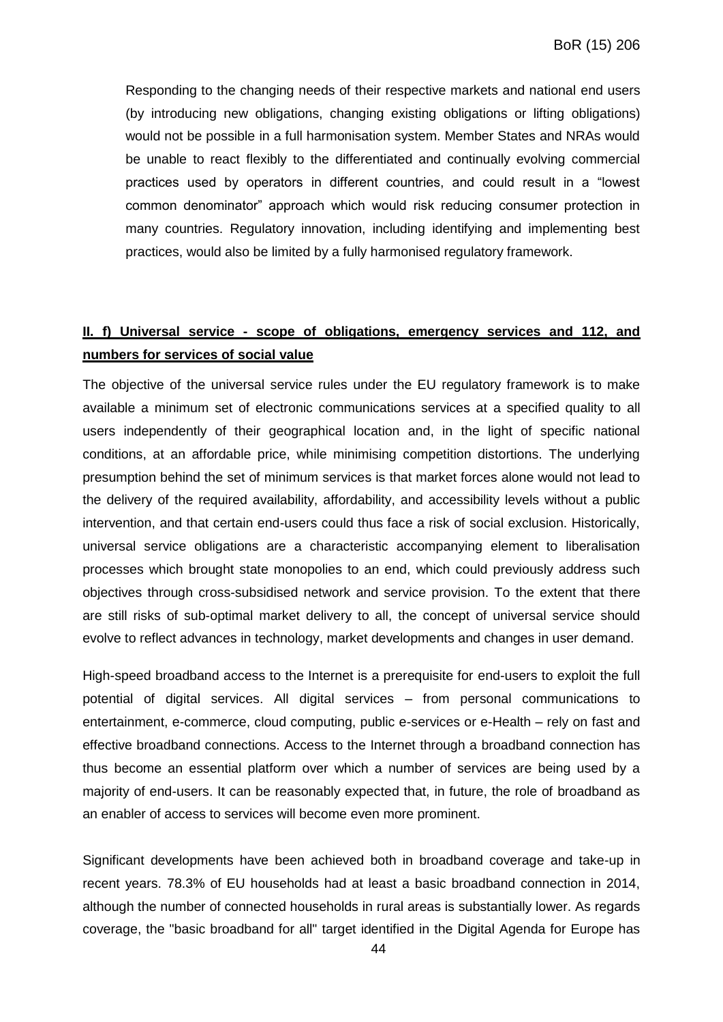Responding to the changing needs of their respective markets and national end users (by introducing new obligations, changing existing obligations or lifting obligations) would not be possible in a full harmonisation system. Member States and NRAs would be unable to react flexibly to the differentiated and continually evolving commercial practices used by operators in different countries, and could result in a "lowest common denominator" approach which would risk reducing consumer protection in many countries. Regulatory innovation, including identifying and implementing best practices, would also be limited by a fully harmonised regulatory framework.

## **II. f) Universal service - scope of obligations, emergency services and 112, and numbers for services of social value**

The objective of the universal service rules under the EU regulatory framework is to make available a minimum set of electronic communications services at a specified quality to all users independently of their geographical location and, in the light of specific national conditions, at an affordable price, while minimising competition distortions. The underlying presumption behind the set of minimum services is that market forces alone would not lead to the delivery of the required availability, affordability, and accessibility levels without a public intervention, and that certain end-users could thus face a risk of social exclusion. Historically, universal service obligations are a characteristic accompanying element to liberalisation processes which brought state monopolies to an end, which could previously address such objectives through cross-subsidised network and service provision. To the extent that there are still risks of sub-optimal market delivery to all, the concept of universal service should evolve to reflect advances in technology, market developments and changes in user demand.

High-speed broadband access to the Internet is a prerequisite for end-users to exploit the full potential of digital services. All digital services – from personal communications to entertainment, e-commerce, cloud computing, public e-services or e-Health – rely on fast and effective broadband connections. Access to the Internet through a broadband connection has thus become an essential platform over which a number of services are being used by a majority of end-users. It can be reasonably expected that, in future, the role of broadband as an enabler of access to services will become even more prominent.

Significant developments have been achieved both in broadband coverage and take-up in recent years. 78.3% of EU households had at least a basic broadband connection in 2014, although the number of connected households in rural areas is substantially lower. As regards coverage, the "basic broadband for all" target identified in the Digital Agenda for Europe has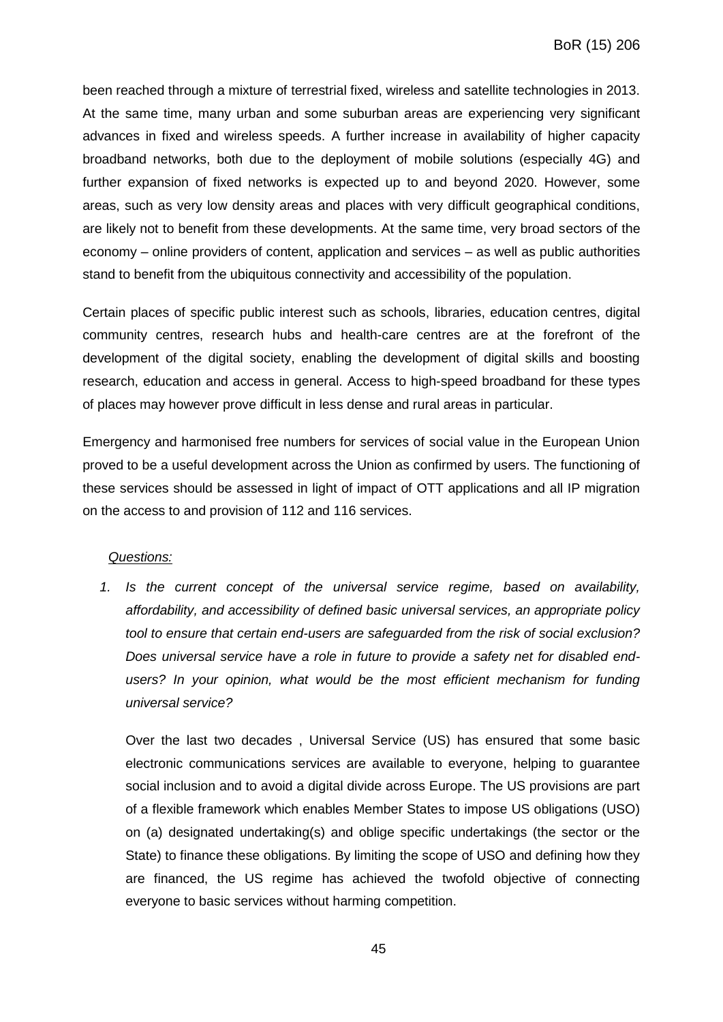been reached through a mixture of terrestrial fixed, wireless and satellite technologies in 2013. At the same time, many urban and some suburban areas are experiencing very significant advances in fixed and wireless speeds. A further increase in availability of higher capacity broadband networks, both due to the deployment of mobile solutions (especially 4G) and further expansion of fixed networks is expected up to and beyond 2020. However, some areas, such as very low density areas and places with very difficult geographical conditions, are likely not to benefit from these developments. At the same time, very broad sectors of the economy – online providers of content, application and services – as well as public authorities stand to benefit from the ubiquitous connectivity and accessibility of the population.

Certain places of specific public interest such as schools, libraries, education centres, digital community centres, research hubs and health-care centres are at the forefront of the development of the digital society, enabling the development of digital skills and boosting research, education and access in general. Access to high-speed broadband for these types of places may however prove difficult in less dense and rural areas in particular.

Emergency and harmonised free numbers for services of social value in the European Union proved to be a useful development across the Union as confirmed by users. The functioning of these services should be assessed in light of impact of OTT applications and all IP migration on the access to and provision of 112 and 116 services.

#### *Questions:*

*1. Is the current concept of the universal service regime, based on availability, affordability, and accessibility of defined basic universal services, an appropriate policy tool to ensure that certain end-users are safeguarded from the risk of social exclusion? Does universal service have a role in future to provide a safety net for disabled end*users? In your opinion, what would be the most efficient mechanism for funding *universal service?*

Over the last two decades , Universal Service (US) has ensured that some basic electronic communications services are available to everyone, helping to guarantee social inclusion and to avoid a digital divide across Europe. The US provisions are part of a flexible framework which enables Member States to impose US obligations (USO) on (a) designated undertaking(s) and oblige specific undertakings (the sector or the State) to finance these obligations. By limiting the scope of USO and defining how they are financed, the US regime has achieved the twofold objective of connecting everyone to basic services without harming competition.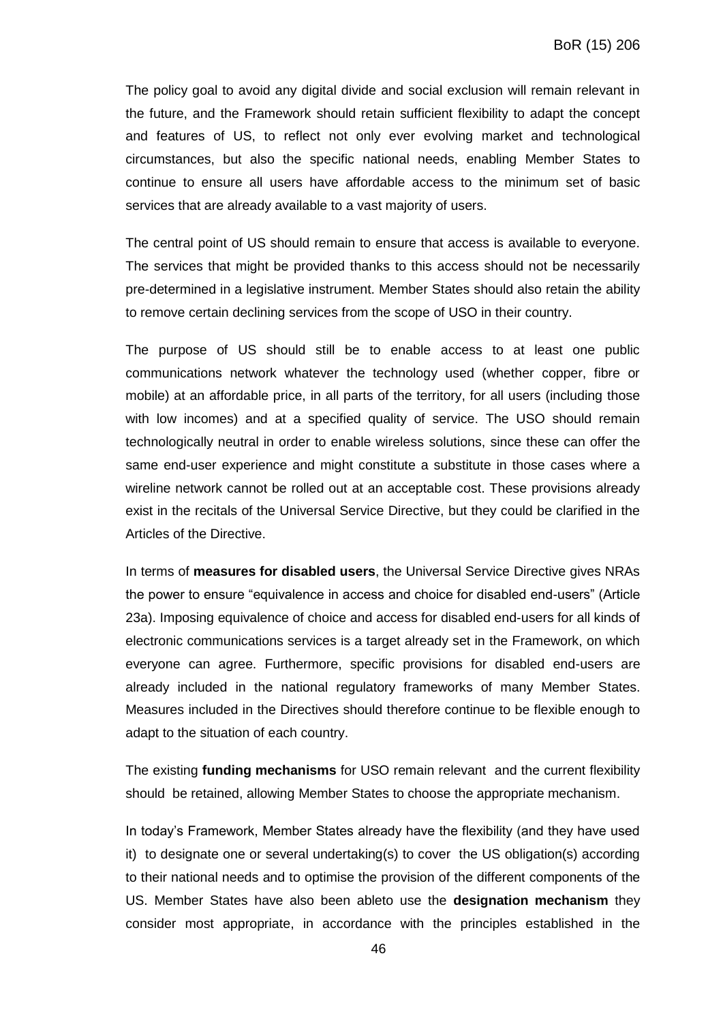The policy goal to avoid any digital divide and social exclusion will remain relevant in the future, and the Framework should retain sufficient flexibility to adapt the concept and features of US, to reflect not only ever evolving market and technological circumstances, but also the specific national needs, enabling Member States to continue to ensure all users have affordable access to the minimum set of basic services that are already available to a vast majority of users.

The central point of US should remain to ensure that access is available to everyone. The services that might be provided thanks to this access should not be necessarily pre-determined in a legislative instrument. Member States should also retain the ability to remove certain declining services from the scope of USO in their country.

The purpose of US should still be to enable access to at least one public communications network whatever the technology used (whether copper, fibre or mobile) at an affordable price, in all parts of the territory, for all users (including those with low incomes) and at a specified quality of service. The USO should remain technologically neutral in order to enable wireless solutions, since these can offer the same end-user experience and might constitute a substitute in those cases where a wireline network cannot be rolled out at an acceptable cost. These provisions already exist in the recitals of the Universal Service Directive, but they could be clarified in the Articles of the Directive.

In terms of **measures for disabled users**, the Universal Service Directive gives NRAs the power to ensure "equivalence in access and choice for disabled end-users" (Article 23a). Imposing equivalence of choice and access for disabled end-users for all kinds of electronic communications services is a target already set in the Framework, on which everyone can agree. Furthermore, specific provisions for disabled end-users are already included in the national regulatory frameworks of many Member States. Measures included in the Directives should therefore continue to be flexible enough to adapt to the situation of each country.

The existing **funding mechanisms** for USO remain relevant and the current flexibility should be retained, allowing Member States to choose the appropriate mechanism.

In today's Framework, Member States already have the flexibility (and they have used it) to designate one or several undertaking(s) to cover the US obligation(s) according to their national needs and to optimise the provision of the different components of the US. Member States have also been ableto use the **designation mechanism** they consider most appropriate, in accordance with the principles established in the

46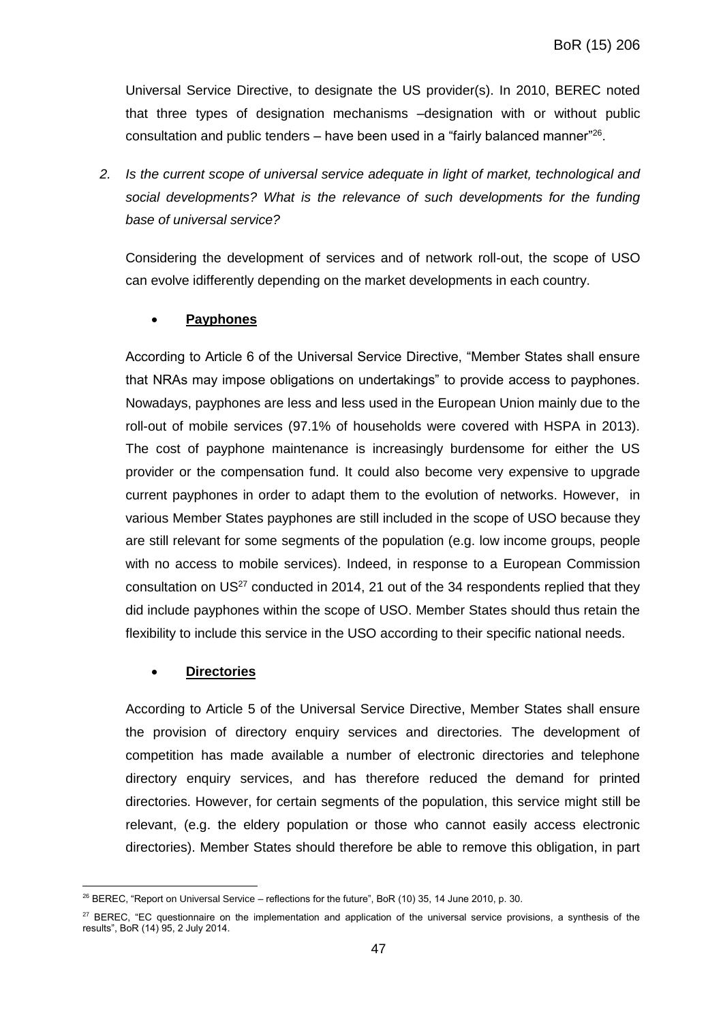Universal Service Directive, to designate the US provider(s). In 2010, BEREC noted that three types of designation mechanisms –designation with or without public consultation and public tenders  $-$  have been used in a "fairly balanced manner"<sup>26</sup>.

*2. Is the current scope of universal service adequate in light of market, technological and social developments? What is the relevance of such developments for the funding base of universal service?* 

Considering the development of services and of network roll-out, the scope of USO can evolve idifferently depending on the market developments in each country.

## **Payphones**

According to Article 6 of the Universal Service Directive, "Member States shall ensure that NRAs may impose obligations on undertakings" to provide access to payphones. Nowadays, payphones are less and less used in the European Union mainly due to the roll-out of mobile services (97.1% of households were covered with HSPA in 2013). The cost of payphone maintenance is increasingly burdensome for either the US provider or the compensation fund. It could also become very expensive to upgrade current payphones in order to adapt them to the evolution of networks. However, in various Member States payphones are still included in the scope of USO because they are still relevant for some segments of the population (e.g. low income groups, people with no access to mobile services). Indeed, in response to a European Commission consultation on  $US^{27}$  conducted in 2014, 21 out of the 34 respondents replied that they did include payphones within the scope of USO. Member States should thus retain the flexibility to include this service in the USO according to their specific national needs.

## **Directories**

According to Article 5 of the Universal Service Directive, Member States shall ensure the provision of directory enquiry services and directories. The development of competition has made available a number of electronic directories and telephone directory enquiry services, and has therefore reduced the demand for printed directories. However, for certain segments of the population, this service might still be relevant, (e.g. the eldery population or those who cannot easily access electronic directories). Member States should therefore be able to remove this obligation, in part

 $\overline{a}$ <sup>26</sup> BEREC, "Report on Universal Service – reflections for the future", BoR (10) 35, 14 June 2010, p. 30.

<sup>&</sup>lt;sup>27</sup> BEREC, "EC questionnaire on the implementation and application of the universal service provisions, a synthesis of the results", BoR (14) 95, 2 July 2014.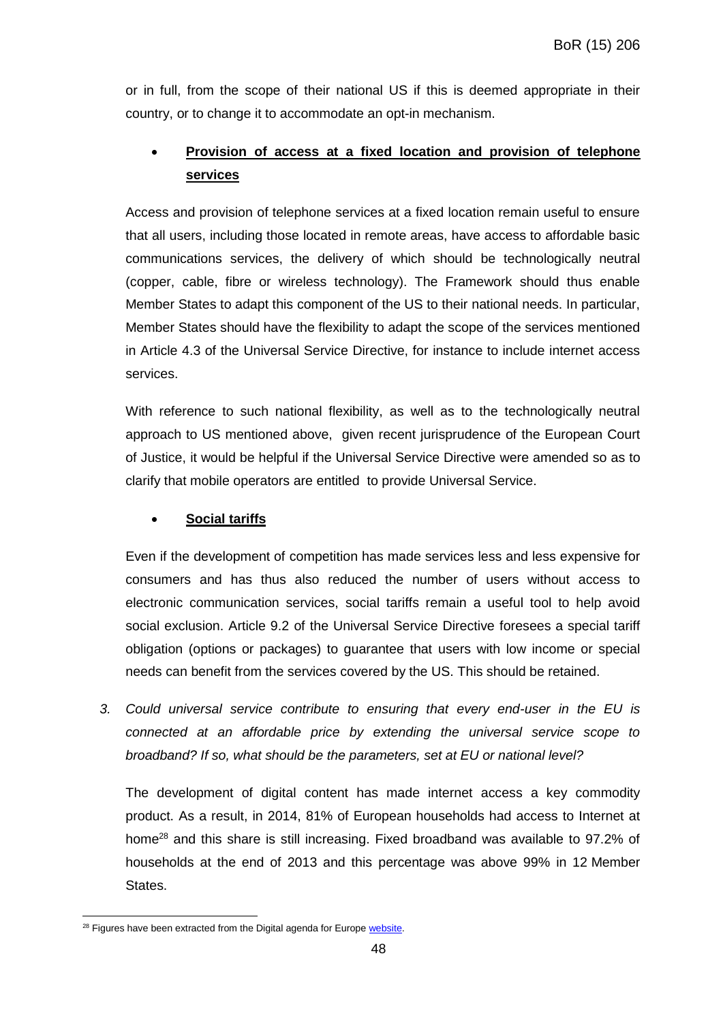or in full, from the scope of their national US if this is deemed appropriate in their country, or to change it to accommodate an opt-in mechanism.

## **Provision of access at a fixed location and provision of telephone services**

Access and provision of telephone services at a fixed location remain useful to ensure that all users, including those located in remote areas, have access to affordable basic communications services, the delivery of which should be technologically neutral (copper, cable, fibre or wireless technology). The Framework should thus enable Member States to adapt this component of the US to their national needs. In particular, Member States should have the flexibility to adapt the scope of the services mentioned in Article 4.3 of the Universal Service Directive, for instance to include internet access services.

With reference to such national flexibility, as well as to the technologically neutral approach to US mentioned above, given recent jurisprudence of the European Court of Justice, it would be helpful if the Universal Service Directive were amended so as to clarify that mobile operators are entitled to provide Universal Service.

## **Social tariffs**

Even if the development of competition has made services less and less expensive for consumers and has thus also reduced the number of users without access to electronic communication services, social tariffs remain a useful tool to help avoid social exclusion. Article 9.2 of the Universal Service Directive foresees a special tariff obligation (options or packages) to guarantee that users with low income or special needs can benefit from the services covered by the US. This should be retained.

*3. Could universal service contribute to ensuring that every end-user in the EU is connected at an affordable price by extending the universal service scope to broadband? If so, what should be the parameters, set at EU or national level?* 

The development of digital content has made internet access a key commodity product. As a result, in 2014, 81% of European households had access to Internet at home<sup>28</sup> and this share is still increasing. Fixed broadband was available to 97.2% of households at the end of 2013 and this percentage was above 99% in 12 Member States.

 $\overline{a}$ 

<sup>&</sup>lt;sup>28</sup> Figures have been extracted from the Digital agenda for Europe [website.](http://ec.europa.eu/digital-agenda/en/digital-agenda-scoreboard)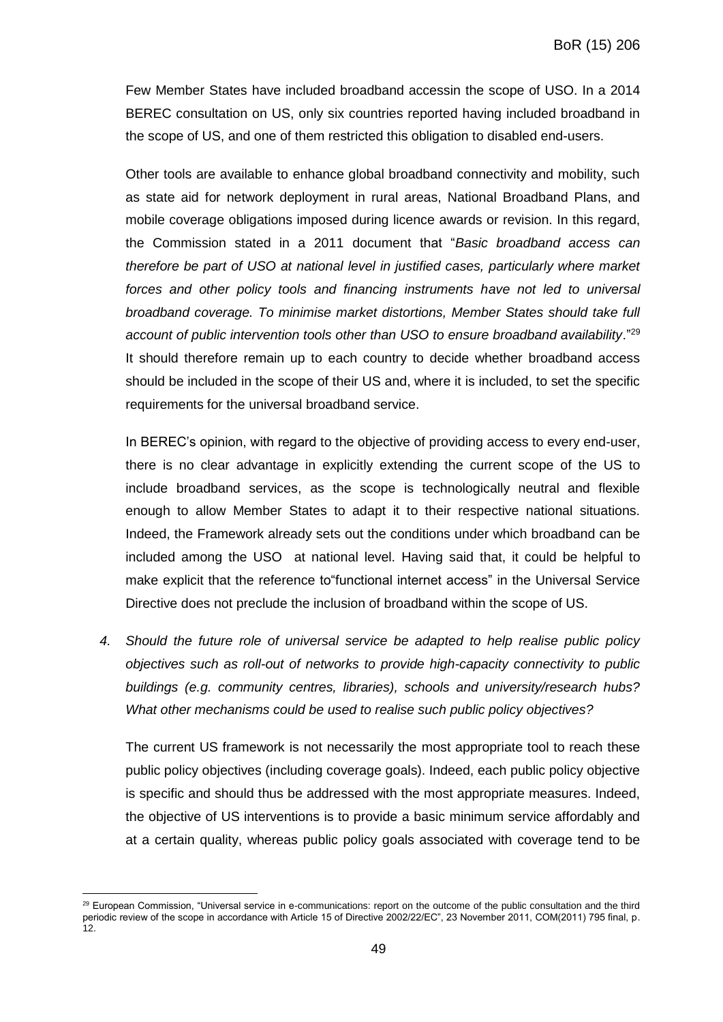Few Member States have included broadband accessin the scope of USO. In a 2014 BEREC consultation on US, only six countries reported having included broadband in the scope of US, and one of them restricted this obligation to disabled end-users.

Other tools are available to enhance global broadband connectivity and mobility, such as state aid for network deployment in rural areas, National Broadband Plans, and mobile coverage obligations imposed during licence awards or revision. In this regard, the Commission stated in a 2011 document that "*Basic broadband access can therefore be part of USO at national level in justified cases, particularly where market forces and other policy tools and financing instruments have not led to universal broadband coverage. To minimise market distortions, Member States should take full account of public intervention tools other than USO to ensure broadband availability*."<sup>29</sup> It should therefore remain up to each country to decide whether broadband access should be included in the scope of their US and, where it is included, to set the specific requirements for the universal broadband service.

In BEREC's opinion, with regard to the objective of providing access to every end-user, there is no clear advantage in explicitly extending the current scope of the US to include broadband services, as the scope is technologically neutral and flexible enough to allow Member States to adapt it to their respective national situations. Indeed, the Framework already sets out the conditions under which broadband can be included among the USO at national level. Having said that, it could be helpful to make explicit that the reference to"functional internet access" in the Universal Service Directive does not preclude the inclusion of broadband within the scope of US.

*4. Should the future role of universal service be adapted to help realise public policy objectives such as roll-out of networks to provide high-capacity connectivity to public buildings (e.g. community centres, libraries), schools and university/research hubs? What other mechanisms could be used to realise such public policy objectives?* 

The current US framework is not necessarily the most appropriate tool to reach these public policy objectives (including coverage goals). Indeed, each public policy objective is specific and should thus be addressed with the most appropriate measures. Indeed, the objective of US interventions is to provide a basic minimum service affordably and at a certain quality, whereas public policy goals associated with coverage tend to be

 $\overline{a}$ <sup>29</sup> European Commission, "Universal service in e-communications: report on the outcome of the public consultation and the third periodic review of the scope in accordance with Article 15 of Directive 2002/22/EC", 23 November 2011, COM(2011) 795 final, p. 12.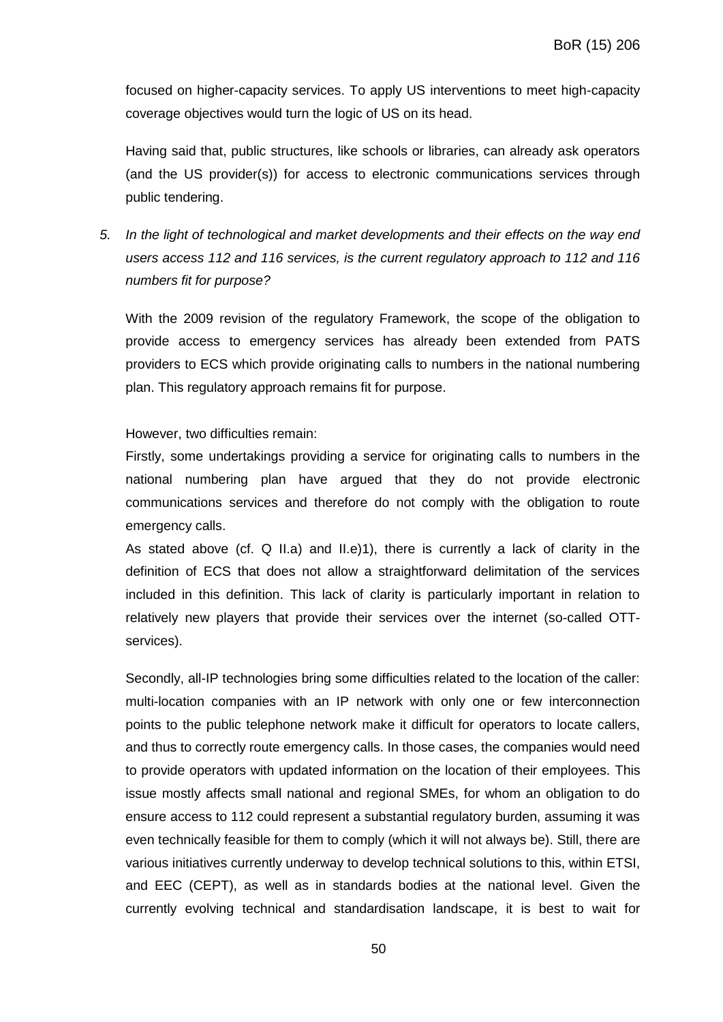focused on higher-capacity services. To apply US interventions to meet high-capacity coverage objectives would turn the logic of US on its head.

Having said that, public structures, like schools or libraries, can already ask operators (and the US provider(s)) for access to electronic communications services through public tendering.

*5. In the light of technological and market developments and their effects on the way end users access 112 and 116 services, is the current regulatory approach to 112 and 116 numbers fit for purpose?*

With the 2009 revision of the regulatory Framework, the scope of the obligation to provide access to emergency services has already been extended from PATS providers to ECS which provide originating calls to numbers in the national numbering plan. This regulatory approach remains fit for purpose.

#### However, two difficulties remain:

Firstly, some undertakings providing a service for originating calls to numbers in the national numbering plan have argued that they do not provide electronic communications services and therefore do not comply with the obligation to route emergency calls.

As stated above (cf.  $Q$  II.a) and II.e)1), there is currently a lack of clarity in the definition of ECS that does not allow a straightforward delimitation of the services included in this definition. This lack of clarity is particularly important in relation to relatively new players that provide their services over the internet (so-called OTTservices).

Secondly, all-IP technologies bring some difficulties related to the location of the caller: multi-location companies with an IP network with only one or few interconnection points to the public telephone network make it difficult for operators to locate callers, and thus to correctly route emergency calls. In those cases, the companies would need to provide operators with updated information on the location of their employees. This issue mostly affects small national and regional SMEs, for whom an obligation to do ensure access to 112 could represent a substantial regulatory burden, assuming it was even technically feasible for them to comply (which it will not always be). Still, there are various initiatives currently underway to develop technical solutions to this, within ETSI, and EEC (CEPT), as well as in standards bodies at the national level. Given the currently evolving technical and standardisation landscape, it is best to wait for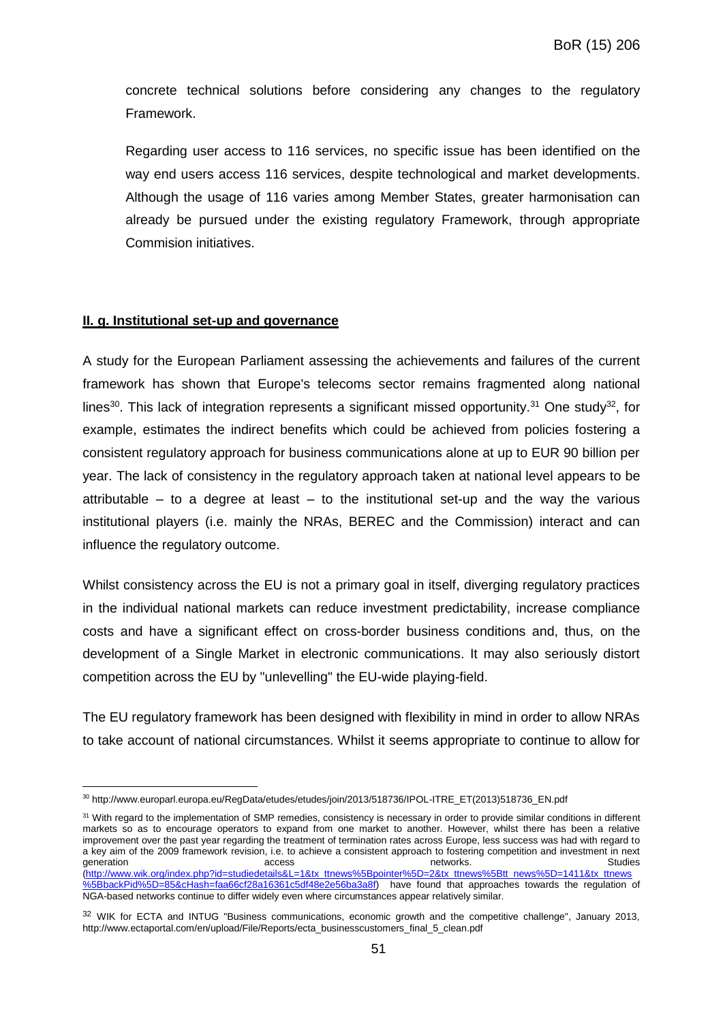concrete technical solutions before considering any changes to the regulatory Framework.

Regarding user access to 116 services, no specific issue has been identified on the way end users access 116 services, despite technological and market developments. Although the usage of 116 varies among Member States, greater harmonisation can already be pursued under the existing regulatory Framework, through appropriate Commision initiatives.

#### **II. g. Institutional set-up and governance**

 $\overline{a}$ 

A study for the European Parliament assessing the achievements and failures of the current framework has shown that Europe's telecoms sector remains fragmented along national lines<sup>30</sup>. This lack of integration represents a significant missed opportunity.<sup>31</sup> One study<sup>32</sup>, for example, estimates the indirect benefits which could be achieved from policies fostering a consistent regulatory approach for business communications alone at up to EUR 90 billion per year. The lack of consistency in the regulatory approach taken at national level appears to be attributable – to a degree at least – to the institutional set-up and the way the various institutional players (i.e. mainly the NRAs, BEREC and the Commission) interact and can influence the regulatory outcome.

Whilst consistency across the EU is not a primary goal in itself, diverging regulatory practices in the individual national markets can reduce investment predictability, increase compliance costs and have a significant effect on cross-border business conditions and, thus, on the development of a Single Market in electronic communications. It may also seriously distort competition across the EU by "unlevelling" the EU-wide playing-field.

The EU regulatory framework has been designed with flexibility in mind in order to allow NRAs to take account of national circumstances. Whilst it seems appropriate to continue to allow for

<sup>30</sup> http://www.europarl.europa.eu/RegData/etudes/etudes/join/2013/518736/IPOL-ITRE\_ET(2013)518736\_EN.pdf

<sup>&</sup>lt;sup>31</sup> With regard to the implementation of SMP remedies, consistency is necessary in order to provide similar conditions in different markets so as to encourage operators to expand from one market to another. However, whilst there has been a relative improvement over the past year regarding the treatment of termination rates across Europe, less success was had with regard to a key aim of the 2009 framework revision, i.e. to achieve a consistent approach to fostering competition and investment in next generation and the controller controller access the controller controller controller controller controller studies [\(http://www.wik.org/index.php?id=studiedetails&L=1&tx\\_ttnews%5Bpointer%5D=2&tx\\_ttnews%5Btt\\_news%5D=1411&tx\\_ttnews](http://www.wik.org/index.php?id=studiedetails&L=1&tx_ttnews%5Bpointer%5D=2&tx_ttnews%5Btt_news%5D=1411&tx_ttnews%5BbackPid%5D=85&cHash=faa66cf28a16361c5df48e2e56ba3a8f) [%5BbackPid%5D=85&cHash=faa66cf28a16361c5df48e2e56ba3a8f\)](http://www.wik.org/index.php?id=studiedetails&L=1&tx_ttnews%5Bpointer%5D=2&tx_ttnews%5Btt_news%5D=1411&tx_ttnews%5BbackPid%5D=85&cHash=faa66cf28a16361c5df48e2e56ba3a8f) have found that approaches towards the regulation of NGA-based networks continue to differ widely even where circumstances appear relatively similar.

<sup>&</sup>lt;sup>32</sup> WIK for ECTA and INTUG "Business communications, economic growth and the competitive challenge", January 2013, [http://www.ectaportal.com/en/upload/File/Reports/ecta\\_businesscustomers\\_final\\_5\\_clean.pdf](http://www.ectaportal.com/en/upload/File/Reports/ecta_businesscustomers_final_5_clean.pdf)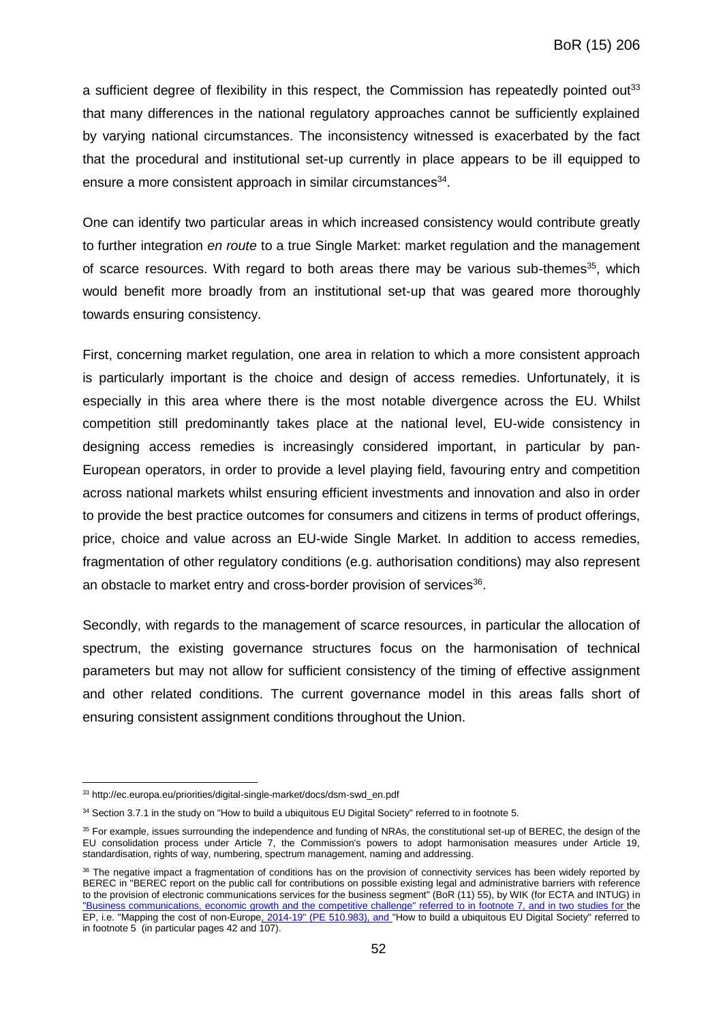a sufficient degree of flexibility in this respect, the Commission has repeatedly pointed out<sup>33</sup> that many differences in the national regulatory approaches cannot be sufficiently explained by varying national circumstances. The inconsistency witnessed is exacerbated by the fact that the procedural and institutional set-up currently in place appears to be ill equipped to ensure a more consistent approach in similar circumstances<sup>34</sup>.

One can identify two particular areas in which increased consistency would contribute greatly to further integration *en route* to a true Single Market: market regulation and the management of scarce resources. With regard to both areas there may be various sub-themes<sup>35</sup>, which would benefit more broadly from an institutional set-up that was geared more thoroughly towards ensuring consistency.

First, concerning market regulation, one area in relation to which a more consistent approach is particularly important is the choice and design of access remedies. Unfortunately, it is especially in this area where there is the most notable divergence across the EU. Whilst competition still predominantly takes place at the national level, EU-wide consistency in designing access remedies is increasingly considered important, in particular by pan-European operators, in order to provide a level playing field, favouring entry and competition across national markets whilst ensuring efficient investments and innovation and also in order to provide the best practice outcomes for consumers and citizens in terms of product offerings, price, choice and value across an EU-wide Single Market. In addition to access remedies, fragmentation of other regulatory conditions (e.g. authorisation conditions) may also represent an obstacle to market entry and cross-border provision of services<sup>36</sup>.

Secondly, with regards to the management of scarce resources, in particular the allocation of spectrum, the existing governance structures focus on the harmonisation of technical parameters but may not allow for sufficient consistency of the timing of effective assignment and other related conditions. The current governance model in this areas falls short of ensuring consistent assignment conditions throughout the Union.

 $\overline{a}$ 

<sup>&</sup>lt;sup>33</sup> [http://ec.europa.eu/priorities/digital-single-market/docs/dsm-swd\\_en.pdf](http://ec.europa.eu/priorities/digital-single-market/docs/dsm-swd_en.pdf)

<sup>34</sup> Section 3.7.1 in the study on "How to build a ubiquitous EU Digital Society" referred to in footnote 5.

<sup>35</sup> For example, issues surrounding the independence and funding of NRAs, the constitutional set-up of BEREC, the design of the EU consolidation process under Article 7, the Commission's powers to adopt harmonisation measures under Article 19, standardisation, rights of way, numbering, spectrum management, naming and addressing.

<sup>&</sup>lt;sup>36</sup> The negative impact a fragmentation of conditions has on the provision of connectivity services has been widely reported by BEREC in "BEREC report on the public call for contributions on possible existing legal and administrative barriers with reference to the provision of electronic communications services for the business segment" (BoR (11) 55), by WIK (for ECTA and INTUG) in "Business communications, economic growth and the competitive challenge" referred to in footnote 7, and in two studies for the EP, i.e. "Mapping the cost of non-Europe, 2014-19" (PE 510.983), and "How to build a ubiquitous EU Digital Society" referred to in footnote 5 (in particular pages 42 and 107).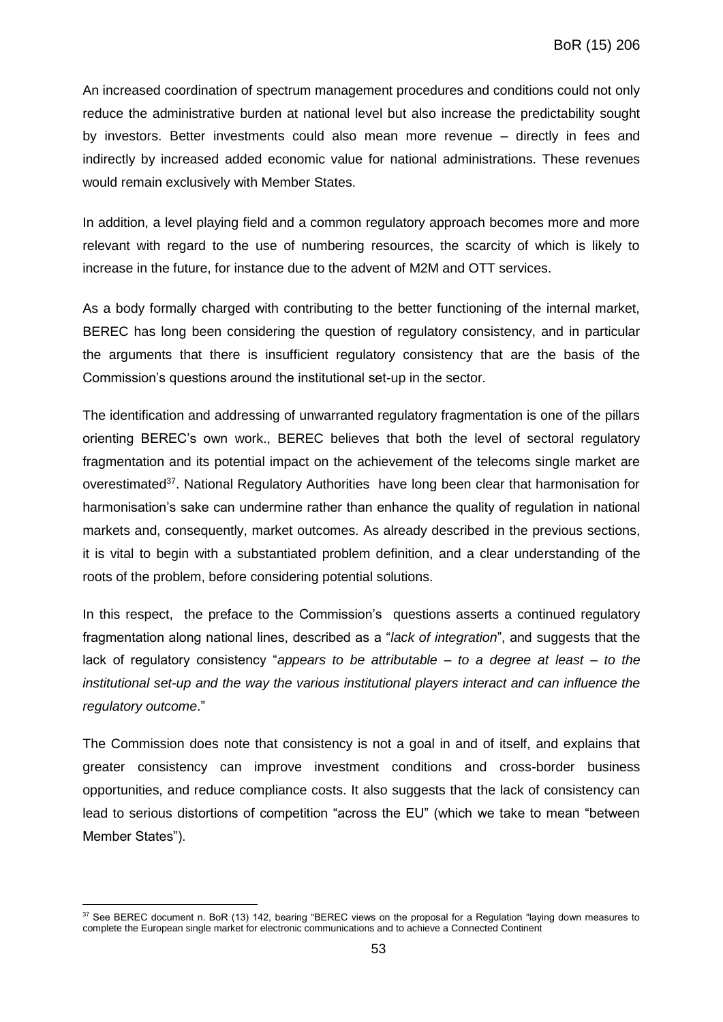An increased coordination of spectrum management procedures and conditions could not only reduce the administrative burden at national level but also increase the predictability sought by investors. Better investments could also mean more revenue – directly in fees and indirectly by increased added economic value for national administrations. These revenues would remain exclusively with Member States.

In addition, a level playing field and a common regulatory approach becomes more and more relevant with regard to the use of numbering resources, the scarcity of which is likely to increase in the future, for instance due to the advent of M2M and OTT services.

As a body formally charged with contributing to the better functioning of the internal market, BEREC has long been considering the question of regulatory consistency, and in particular the arguments that there is insufficient regulatory consistency that are the basis of the Commission's questions around the institutional set-up in the sector.

The identification and addressing of unwarranted regulatory fragmentation is one of the pillars orienting BEREC's own work., BEREC believes that both the level of sectoral regulatory fragmentation and its potential impact on the achievement of the telecoms single market are overestimated<sup>37</sup>. National Regulatory Authorities have long been clear that harmonisation for harmonisation's sake can undermine rather than enhance the quality of regulation in national markets and, consequently, market outcomes. As already described in the previous sections, it is vital to begin with a substantiated problem definition, and a clear understanding of the roots of the problem, before considering potential solutions.

In this respect, the preface to the Commission's questions asserts a continued regulatory fragmentation along national lines, described as a "*lack of integration*", and suggests that the lack of regulatory consistency "*appears to be attributable – to a degree at least – to the institutional set-up and the way the various institutional players interact and can influence the regulatory outcome*."

The Commission does note that consistency is not a goal in and of itself, and explains that greater consistency can improve investment conditions and cross-border business opportunities, and reduce compliance costs. It also suggests that the lack of consistency can lead to serious distortions of competition "across the EU" (which we take to mean "between Member States").

 $\overline{a}$ 

<sup>&</sup>lt;sup>37</sup> See BEREC document n. BoR (13) 142, bearing "BEREC views on the proposal for a Regulation "laying down measures to complete the European single market for electronic communications and to achieve a Connected Continent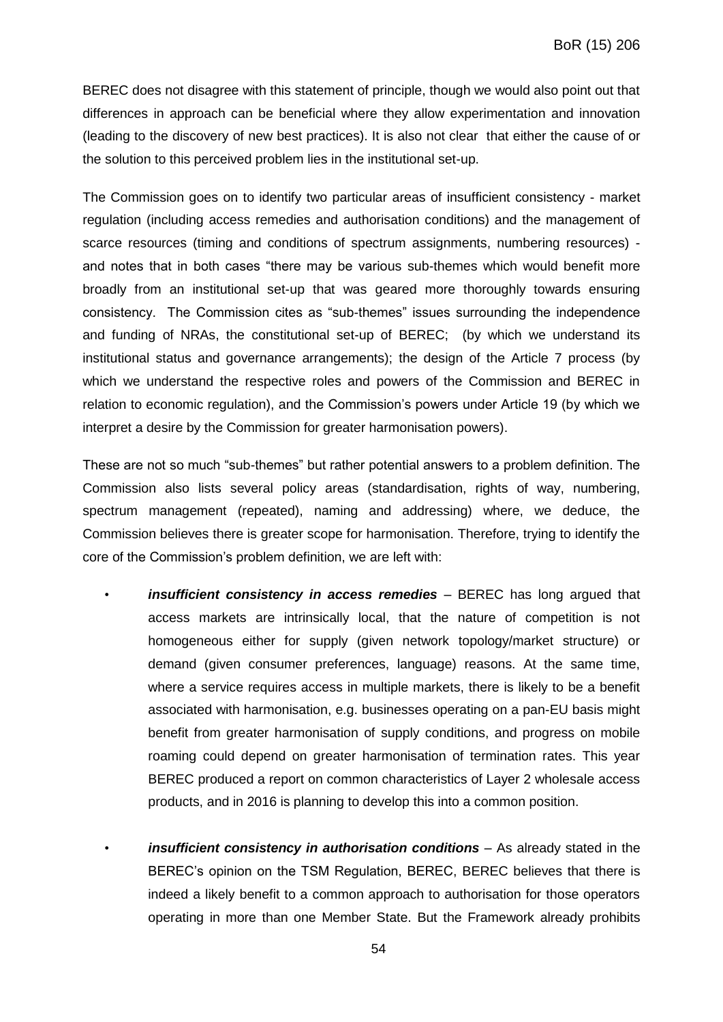BEREC does not disagree with this statement of principle, though we would also point out that differences in approach can be beneficial where they allow experimentation and innovation (leading to the discovery of new best practices). It is also not clear that either the cause of or the solution to this perceived problem lies in the institutional set-up.

The Commission goes on to identify two particular areas of insufficient consistency - market regulation (including access remedies and authorisation conditions) and the management of scarce resources (timing and conditions of spectrum assignments, numbering resources) and notes that in both cases "there may be various sub-themes which would benefit more broadly from an institutional set-up that was geared more thoroughly towards ensuring consistency. The Commission cites as "sub-themes" issues surrounding the independence and funding of NRAs, the constitutional set-up of BEREC; (by which we understand its institutional status and governance arrangements); the design of the Article 7 process (by which we understand the respective roles and powers of the Commission and BEREC in relation to economic regulation), and the Commission's powers under Article 19 (by which we interpret a desire by the Commission for greater harmonisation powers).

These are not so much "sub-themes" but rather potential answers to a problem definition. The Commission also lists several policy areas (standardisation, rights of way, numbering, spectrum management (repeated), naming and addressing) where, we deduce, the Commission believes there is greater scope for harmonisation. Therefore, trying to identify the core of the Commission's problem definition, we are left with:

- *insufficient consistency in access remedies* BEREC has long argued that access markets are intrinsically local, that the nature of competition is not homogeneous either for supply (given network topology/market structure) or demand (given consumer preferences, language) reasons. At the same time, where a service requires access in multiple markets, there is likely to be a benefit associated with harmonisation, e.g. businesses operating on a pan-EU basis might benefit from greater harmonisation of supply conditions, and progress on mobile roaming could depend on greater harmonisation of termination rates. This year BEREC produced a report on common characteristics of Layer 2 wholesale access products, and in 2016 is planning to develop this into a common position.
- *insufficient consistency in authorisation conditions* As already stated in the BEREC's opinion on the TSM Regulation, BEREC, BEREC believes that there is indeed a likely benefit to a common approach to authorisation for those operators operating in more than one Member State. But the Framework already prohibits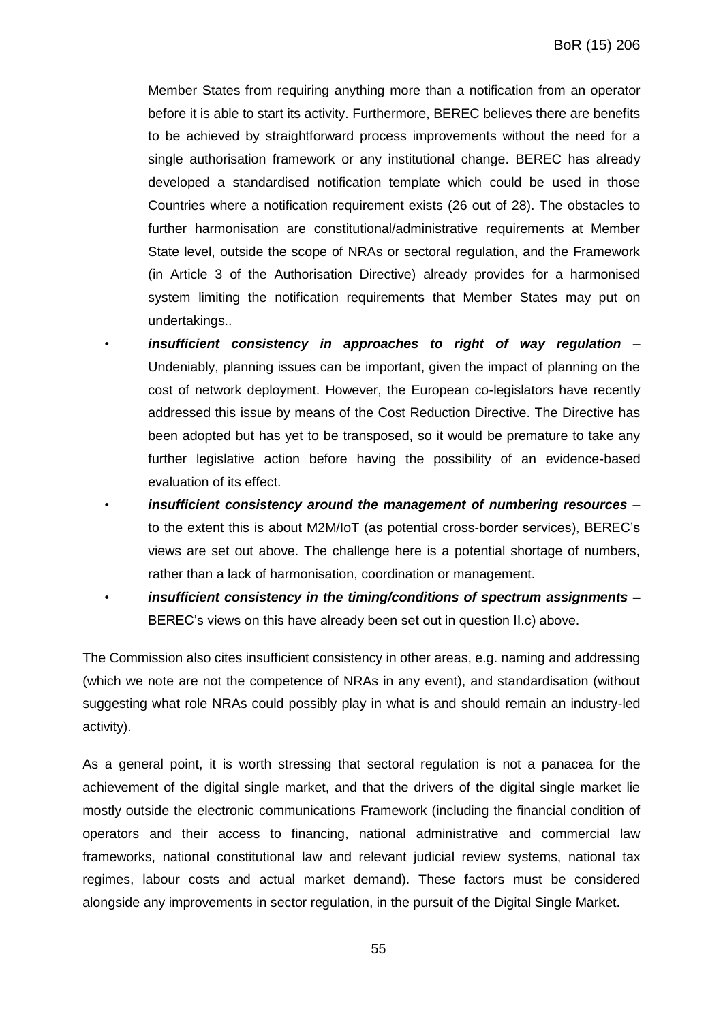Member States from requiring anything more than a notification from an operator before it is able to start its activity. Furthermore, BEREC believes there are benefits to be achieved by straightforward process improvements without the need for a single authorisation framework or any institutional change. BEREC has already developed a standardised notification template which could be used in those Countries where a notification requirement exists (26 out of 28). The obstacles to further harmonisation are constitutional/administrative requirements at Member State level, outside the scope of NRAs or sectoral regulation, and the Framework (in Article 3 of the Authorisation Directive) already provides for a harmonised system limiting the notification requirements that Member States may put on undertakings..

- *insufficient consistency in approaches to right of way regulation*  Undeniably, planning issues can be important, given the impact of planning on the cost of network deployment. However, the European co-legislators have recently addressed this issue by means of the Cost Reduction Directive. The Directive has been adopted but has yet to be transposed, so it would be premature to take any further legislative action before having the possibility of an evidence-based evaluation of its effect.
- *insufficient consistency around the management of numbering resources* to the extent this is about M2M/IoT (as potential cross-border services), BEREC's views are set out above. The challenge here is a potential shortage of numbers, rather than a lack of harmonisation, coordination or management.
	- *insufficient consistency in the timing/conditions of spectrum assignments* **–** BEREC's views on this have already been set out in question II.c) above.

The Commission also cites insufficient consistency in other areas, e.g. naming and addressing (which we note are not the competence of NRAs in any event), and standardisation (without suggesting what role NRAs could possibly play in what is and should remain an industry-led activity).

As a general point, it is worth stressing that sectoral regulation is not a panacea for the achievement of the digital single market, and that the drivers of the digital single market lie mostly outside the electronic communications Framework (including the financial condition of operators and their access to financing, national administrative and commercial law frameworks, national constitutional law and relevant judicial review systems, national tax regimes, labour costs and actual market demand). These factors must be considered alongside any improvements in sector regulation, in the pursuit of the Digital Single Market.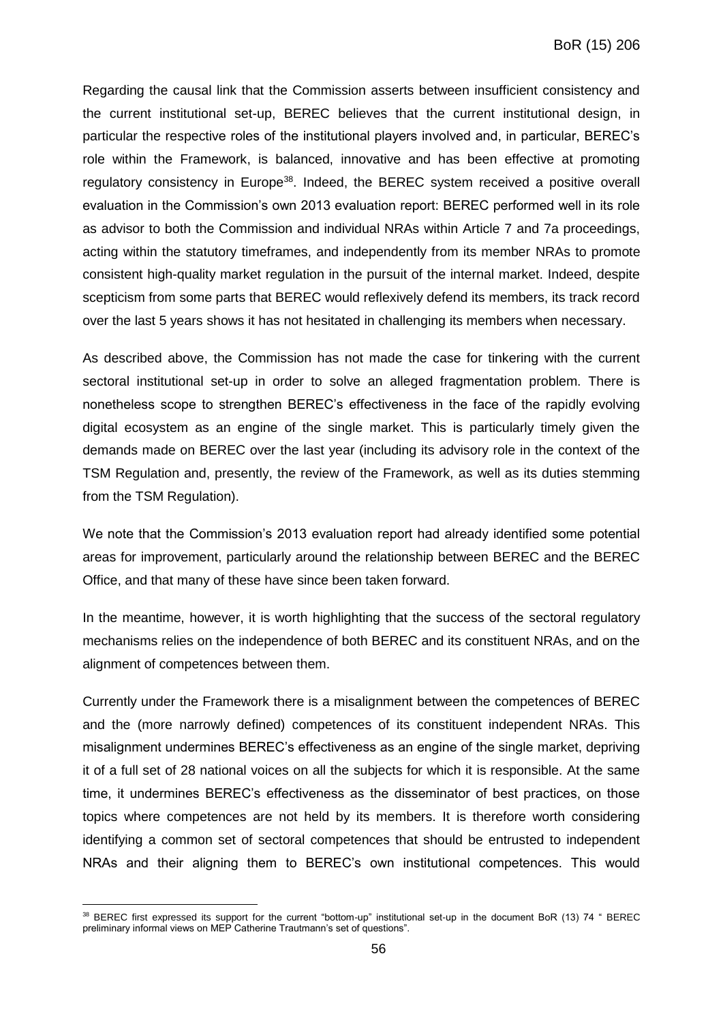Regarding the causal link that the Commission asserts between insufficient consistency and the current institutional set-up, BEREC believes that the current institutional design, in particular the respective roles of the institutional players involved and, in particular, BEREC's role within the Framework, is balanced, innovative and has been effective at promoting regulatory consistency in Europe<sup>38</sup>. Indeed, the BEREC system received a positive overall evaluation in the Commission's own 2013 evaluation report: BEREC performed well in its role as advisor to both the Commission and individual NRAs within Article 7 and 7a proceedings, acting within the statutory timeframes, and independently from its member NRAs to promote consistent high-quality market regulation in the pursuit of the internal market. Indeed, despite scepticism from some parts that BEREC would reflexively defend its members, its track record over the last 5 years shows it has not hesitated in challenging its members when necessary.

As described above, the Commission has not made the case for tinkering with the current sectoral institutional set-up in order to solve an alleged fragmentation problem. There is nonetheless scope to strengthen BEREC's effectiveness in the face of the rapidly evolving digital ecosystem as an engine of the single market. This is particularly timely given the demands made on BEREC over the last year (including its advisory role in the context of the TSM Regulation and, presently, the review of the Framework, as well as its duties stemming from the TSM Regulation).

We note that the Commission's 2013 evaluation report had already identified some potential areas for improvement, particularly around the relationship between BEREC and the BEREC Office, and that many of these have since been taken forward.

In the meantime, however, it is worth highlighting that the success of the sectoral regulatory mechanisms relies on the independence of both BEREC and its constituent NRAs, and on the alignment of competences between them.

Currently under the Framework there is a misalignment between the competences of BEREC and the (more narrowly defined) competences of its constituent independent NRAs. This misalignment undermines BEREC's effectiveness as an engine of the single market, depriving it of a full set of 28 national voices on all the subjects for which it is responsible. At the same time, it undermines BEREC's effectiveness as the disseminator of best practices, on those topics where competences are not held by its members. It is therefore worth considering identifying a common set of sectoral competences that should be entrusted to independent NRAs and their aligning them to BEREC's own institutional competences. This would

 $\overline{a}$ 

<sup>38</sup> BEREC first expressed its support for the current "bottom-up" institutional set-up in the document BoR (13) 74 " BEREC preliminary informal views on MEP Catherine Trautmann's set of questions".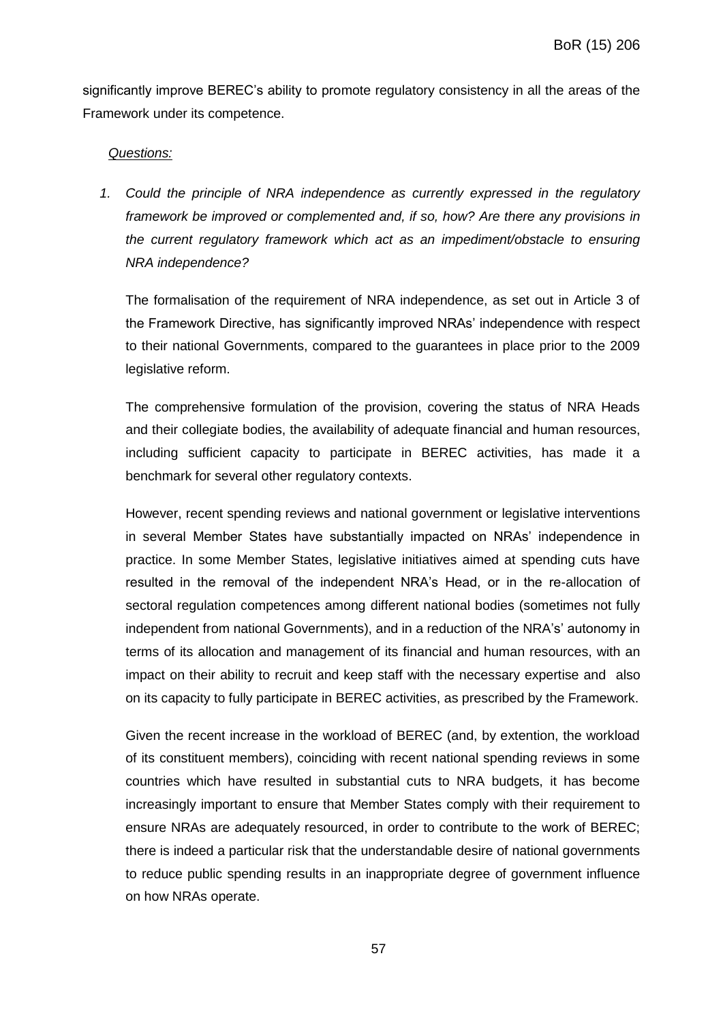significantly improve BEREC's ability to promote regulatory consistency in all the areas of the Framework under its competence.

## *Questions:*

*1. Could the principle of NRA independence as currently expressed in the regulatory framework be improved or complemented and, if so, how? Are there any provisions in the current regulatory framework which act as an impediment/obstacle to ensuring NRA independence?*

The formalisation of the requirement of NRA independence, as set out in Article 3 of the Framework Directive, has significantly improved NRAs' independence with respect to their national Governments, compared to the guarantees in place prior to the 2009 legislative reform.

The comprehensive formulation of the provision, covering the status of NRA Heads and their collegiate bodies, the availability of adequate financial and human resources, including sufficient capacity to participate in BEREC activities, has made it a benchmark for several other regulatory contexts.

However, recent spending reviews and national government or legislative interventions in several Member States have substantially impacted on NRAs' independence in practice. In some Member States, legislative initiatives aimed at spending cuts have resulted in the removal of the independent NRA's Head, or in the re-allocation of sectoral regulation competences among different national bodies (sometimes not fully independent from national Governments), and in a reduction of the NRA's' autonomy in terms of its allocation and management of its financial and human resources, with an impact on their ability to recruit and keep staff with the necessary expertise and also on its capacity to fully participate in BEREC activities, as prescribed by the Framework.

Given the recent increase in the workload of BEREC (and, by extention, the workload of its constituent members), coinciding with recent national spending reviews in some countries which have resulted in substantial cuts to NRA budgets, it has become increasingly important to ensure that Member States comply with their requirement to ensure NRAs are adequately resourced, in order to contribute to the work of BEREC; there is indeed a particular risk that the understandable desire of national governments to reduce public spending results in an inappropriate degree of government influence on how NRAs operate.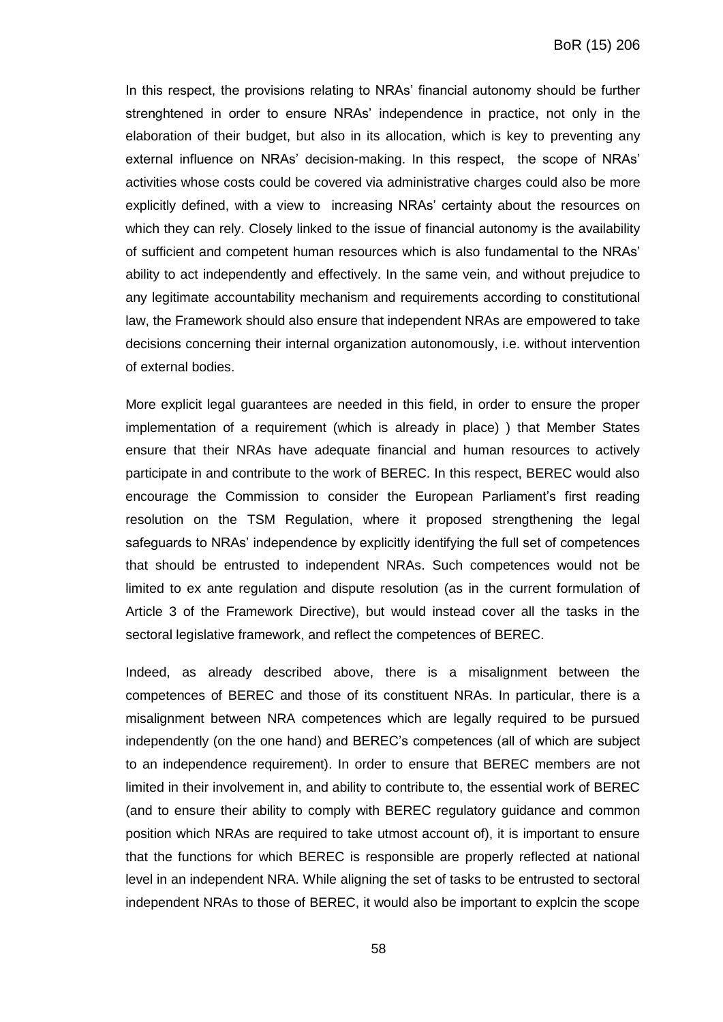In this respect, the provisions relating to NRAs' financial autonomy should be further strenghtened in order to ensure NRAs' independence in practice, not only in the elaboration of their budget, but also in its allocation, which is key to preventing any external influence on NRAs' decision-making. In this respect, the scope of NRAs' activities whose costs could be covered via administrative charges could also be more explicitly defined, with a view to increasing NRAs' certainty about the resources on which they can rely. Closely linked to the issue of financial autonomy is the availability of sufficient and competent human resources which is also fundamental to the NRAs' ability to act independently and effectively. In the same vein, and without prejudice to any legitimate accountability mechanism and requirements according to constitutional law, the Framework should also ensure that independent NRAs are empowered to take decisions concerning their internal organization autonomously, i.e. without intervention of external bodies.

More explicit legal guarantees are needed in this field, in order to ensure the proper implementation of a requirement (which is already in place) ) that Member States ensure that their NRAs have adequate financial and human resources to actively participate in and contribute to the work of BEREC. In this respect, BEREC would also encourage the Commission to consider the European Parliament's first reading resolution on the TSM Regulation, where it proposed strengthening the legal safeguards to NRAs' independence by explicitly identifying the full set of competences that should be entrusted to independent NRAs. Such competences would not be limited to ex ante regulation and dispute resolution (as in the current formulation of Article 3 of the Framework Directive), but would instead cover all the tasks in the sectoral legislative framework, and reflect the competences of BEREC.

Indeed, as already described above, there is a misalignment between the competences of BEREC and those of its constituent NRAs. In particular, there is a misalignment between NRA competences which are legally required to be pursued independently (on the one hand) and BEREC's competences (all of which are subject to an independence requirement). In order to ensure that BEREC members are not limited in their involvement in, and ability to contribute to, the essential work of BEREC (and to ensure their ability to comply with BEREC regulatory guidance and common position which NRAs are required to take utmost account of), it is important to ensure that the functions for which BEREC is responsible are properly reflected at national level in an independent NRA. While aligning the set of tasks to be entrusted to sectoral independent NRAs to those of BEREC, it would also be important to explcin the scope

58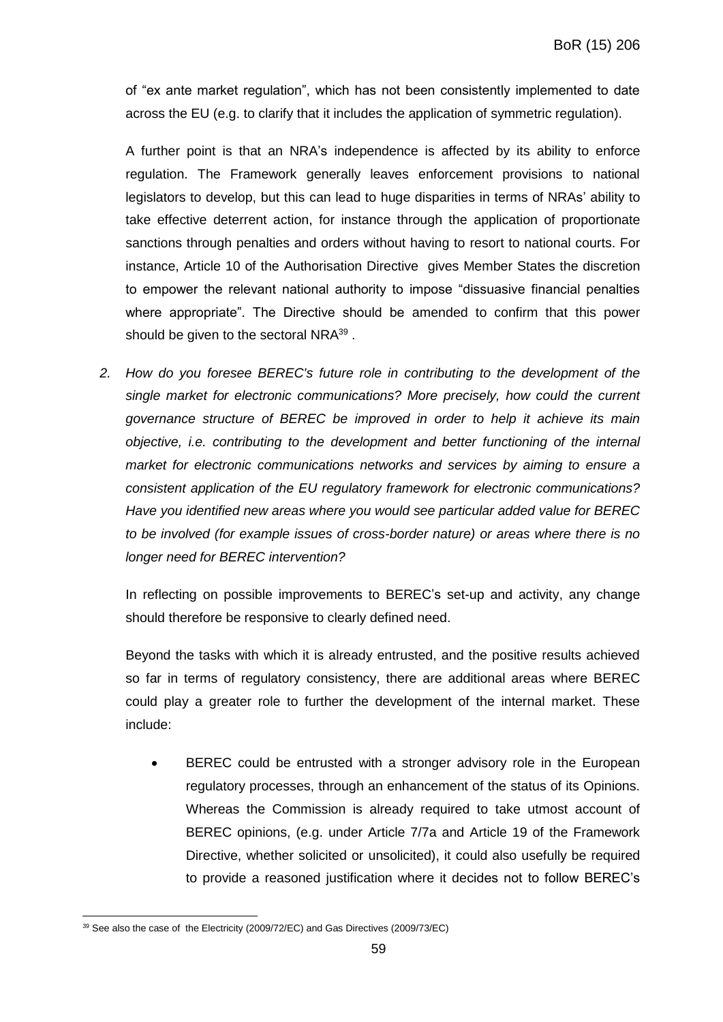of "ex ante market regulation", which has not been consistently implemented to date across the EU (e.g. to clarify that it includes the application of symmetric regulation).

A further point is that an NRA's independence is affected by its ability to enforce regulation. The Framework generally leaves enforcement provisions to national legislators to develop, but this can lead to huge disparities in terms of NRAs' ability to take effective deterrent action, for instance through the application of proportionate sanctions through penalties and orders without having to resort to national courts. For instance, Article 10 of the Authorisation Directive gives Member States the discretion to empower the relevant national authority to impose "dissuasive financial penalties where appropriate". The Directive should be amended to confirm that this power should be given to the sectoral NRA $^{39}$  .

*2. How do you foresee BEREC's future role in contributing to the development of the single market for electronic communications? More precisely, how could the current governance structure of BEREC be improved in order to help it achieve its main objective, i.e. contributing to the development and better functioning of the internal market for electronic communications networks and services by aiming to ensure a consistent application of the EU regulatory framework for electronic communications? Have you identified new areas where you would see particular added value for BEREC to be involved (for example issues of cross-border nature) or areas where there is no longer need for BEREC intervention?*

In reflecting on possible improvements to BEREC's set-up and activity, any change should therefore be responsive to clearly defined need.

Beyond the tasks with which it is already entrusted, and the positive results achieved so far in terms of regulatory consistency, there are additional areas where BEREC could play a greater role to further the development of the internal market. These include:

 BEREC could be entrusted with a stronger advisory role in the European regulatory processes, through an enhancement of the status of its Opinions. Whereas the Commission is already required to take utmost account of BEREC opinions, (e.g. under Article 7/7a and Article 19 of the Framework Directive, whether solicited or unsolicited), it could also usefully be required to provide a reasoned justification where it decides not to follow BEREC's

 $\overline{a}$ <sup>39</sup> See also the case of the Electricity (2009/72/EC) and Gas Directives (2009/73/EC)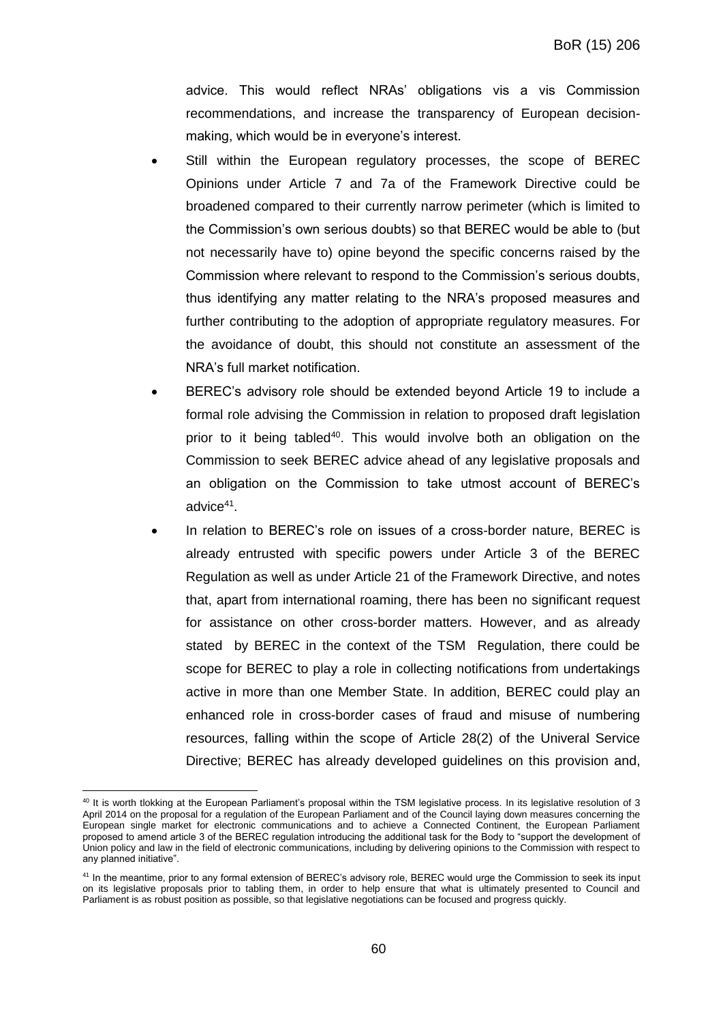advice. This would reflect NRAs' obligations vis a vis Commission recommendations, and increase the transparency of European decisionmaking, which would be in everyone's interest.

- Still within the European regulatory processes, the scope of BEREC Opinions under Article 7 and 7a of the Framework Directive could be broadened compared to their currently narrow perimeter (which is limited to the Commission's own serious doubts) so that BEREC would be able to (but not necessarily have to) opine beyond the specific concerns raised by the Commission where relevant to respond to the Commission's serious doubts, thus identifying any matter relating to the NRA's proposed measures and further contributing to the adoption of appropriate regulatory measures. For the avoidance of doubt, this should not constitute an assessment of the NRA's full market notification.
- BEREC's advisory role should be extended beyond Article 19 to include a formal role advising the Commission in relation to proposed draft legislation prior to it being tabled<sup>40</sup>. This would involve both an obligation on the Commission to seek BEREC advice ahead of any legislative proposals and an obligation on the Commission to take utmost account of BEREC's advice<sup>41</sup>.
- In relation to BEREC's role on issues of a cross-border nature, BEREC is already entrusted with specific powers under Article 3 of the BEREC Regulation as well as under Article 21 of the Framework Directive, and notes that, apart from international roaming, there has been no significant request for assistance on other cross-border matters. However, and as already stated by BEREC in the context of the TSM Regulation, there could be scope for BEREC to play a role in collecting notifications from undertakings active in more than one Member State. In addition, BEREC could play an enhanced role in cross-border cases of fraud and misuse of numbering resources, falling within the scope of Article 28(2) of the Univeral Service Directive; BEREC has already developed guidelines on this provision and,

 $\overline{a}$ <sup>40</sup> It is worth tlokking at the European Parliament's proposal within the TSM legislative process. In its legislative resolution of 3 April 2014 on the proposal for a regulation of the European Parliament and of the Council laying down measures concerning the European single market for electronic communications and to achieve a Connected Continent, the European Parliament proposed to amend article 3 of the BEREC regulation introducing the additional task for the Body to "support the development of Union policy and law in the field of electronic communications, including by delivering opinions to the Commission with respect to any planned initiative".

<sup>41</sup> In the meantime, prior to any formal extension of BEREC's advisory role, BEREC would urge the Commission to seek its input on its legislative proposals prior to tabling them, in order to help ensure that what is ultimately presented to Council and Parliament is as robust position as possible, so that legislative negotiations can be focused and progress quickly.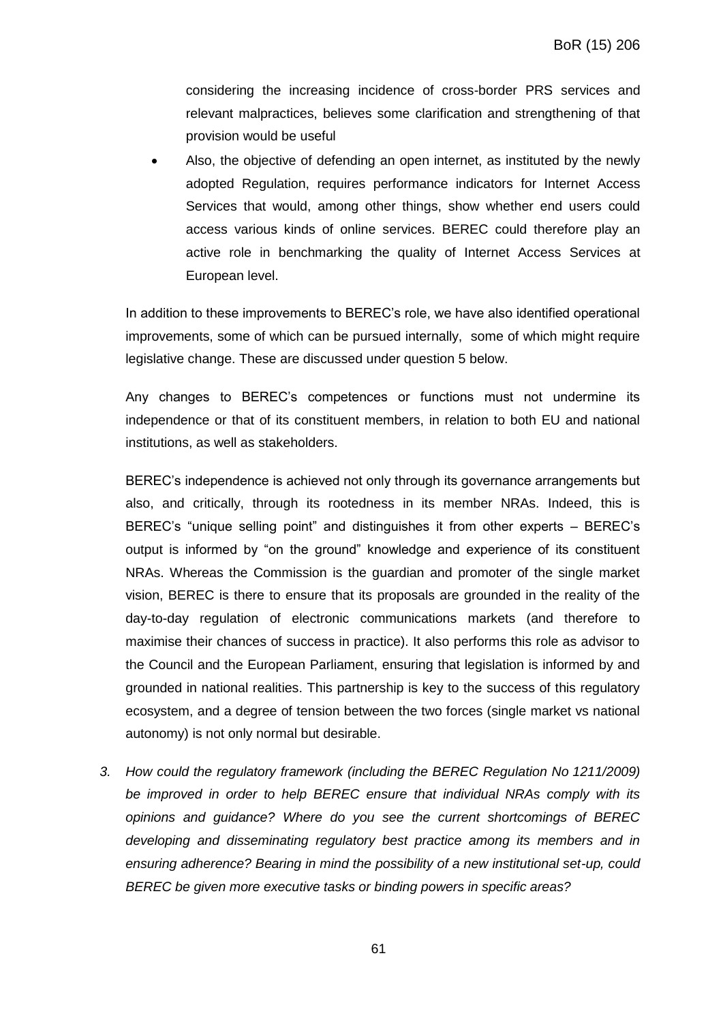considering the increasing incidence of cross-border PRS services and relevant malpractices, believes some clarification and strengthening of that provision would be useful

 Also, the objective of defending an open internet, as instituted by the newly adopted Regulation, requires performance indicators for Internet Access Services that would, among other things, show whether end users could access various kinds of online services. BEREC could therefore play an active role in benchmarking the quality of Internet Access Services at European level.

In addition to these improvements to BEREC's role, we have also identified operational improvements, some of which can be pursued internally, some of which might require legislative change. These are discussed under question 5 below.

Any changes to BEREC's competences or functions must not undermine its independence or that of its constituent members, in relation to both EU and national institutions, as well as stakeholders.

BEREC's independence is achieved not only through its governance arrangements but also, and critically, through its rootedness in its member NRAs. Indeed, this is BEREC's "unique selling point" and distinguishes it from other experts – BEREC's output is informed by "on the ground" knowledge and experience of its constituent NRAs. Whereas the Commission is the guardian and promoter of the single market vision, BEREC is there to ensure that its proposals are grounded in the reality of the day-to-day regulation of electronic communications markets (and therefore to maximise their chances of success in practice). It also performs this role as advisor to the Council and the European Parliament, ensuring that legislation is informed by and grounded in national realities. This partnership is key to the success of this regulatory ecosystem, and a degree of tension between the two forces (single market vs national autonomy) is not only normal but desirable.

*3. How could the regulatory framework (including the BEREC Regulation No 1211/2009) be improved in order to help BEREC ensure that individual NRAs comply with its opinions and guidance? Where do you see the current shortcomings of BEREC developing and disseminating regulatory best practice among its members and in ensuring adherence? Bearing in mind the possibility of a new institutional set-up, could BEREC be given more executive tasks or binding powers in specific areas?*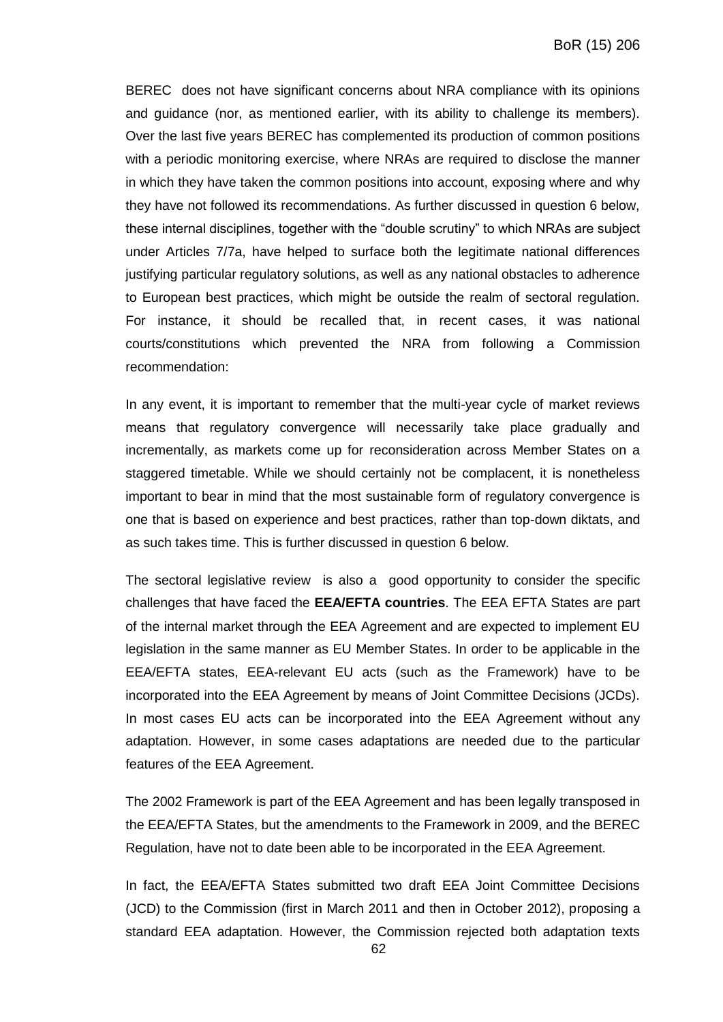BEREC does not have significant concerns about NRA compliance with its opinions and guidance (nor, as mentioned earlier, with its ability to challenge its members). Over the last five years BEREC has complemented its production of common positions with a periodic monitoring exercise, where NRAs are required to disclose the manner in which they have taken the common positions into account, exposing where and why they have not followed its recommendations. As further discussed in question 6 below, these internal disciplines, together with the "double scrutiny" to which NRAs are subject under Articles 7/7a, have helped to surface both the legitimate national differences justifying particular regulatory solutions, as well as any national obstacles to adherence to European best practices, which might be outside the realm of sectoral regulation. For instance, it should be recalled that, in recent cases, it was national courts/constitutions which prevented the NRA from following a Commission recommendation:

In any event, it is important to remember that the multi-year cycle of market reviews means that regulatory convergence will necessarily take place gradually and incrementally, as markets come up for reconsideration across Member States on a staggered timetable. While we should certainly not be complacent, it is nonetheless important to bear in mind that the most sustainable form of regulatory convergence is one that is based on experience and best practices, rather than top-down diktats, and as such takes time. This is further discussed in question 6 below.

The sectoral legislative review is also a good opportunity to consider the specific challenges that have faced the **EEA/EFTA countries**. The EEA EFTA States are part of the internal market through the EEA Agreement and are expected to implement EU legislation in the same manner as EU Member States. In order to be applicable in the EEA/EFTA states, EEA-relevant EU acts (such as the Framework) have to be incorporated into the EEA Agreement by means of Joint Committee Decisions (JCDs). In most cases EU acts can be incorporated into the EEA Agreement without any adaptation. However, in some cases adaptations are needed due to the particular features of the EEA Agreement.

The 2002 Framework is part of the EEA Agreement and has been legally transposed in the EEA/EFTA States, but the amendments to the Framework in 2009, and the BEREC Regulation, have not to date been able to be incorporated in the EEA Agreement.

In fact, the EEA/EFTA States submitted two draft EEA Joint Committee Decisions (JCD) to the Commission (first in March 2011 and then in October 2012), proposing a standard EEA adaptation. However, the Commission rejected both adaptation texts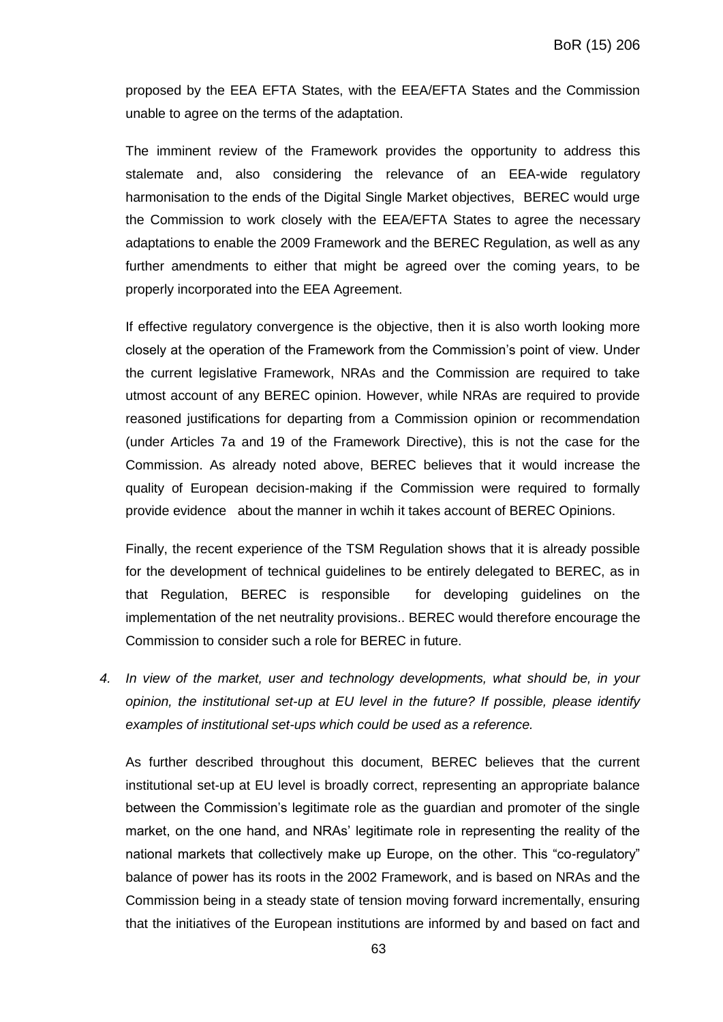proposed by the EEA EFTA States, with the EEA/EFTA States and the Commission unable to agree on the terms of the adaptation.

The imminent review of the Framework provides the opportunity to address this stalemate and, also considering the relevance of an EEA-wide regulatory harmonisation to the ends of the Digital Single Market objectives, BEREC would urge the Commission to work closely with the EEA/EFTA States to agree the necessary adaptations to enable the 2009 Framework and the BEREC Regulation, as well as any further amendments to either that might be agreed over the coming years, to be properly incorporated into the EEA Agreement.

If effective regulatory convergence is the objective, then it is also worth looking more closely at the operation of the Framework from the Commission's point of view. Under the current legislative Framework, NRAs and the Commission are required to take utmost account of any BEREC opinion. However, while NRAs are required to provide reasoned justifications for departing from a Commission opinion or recommendation (under Articles 7a and 19 of the Framework Directive), this is not the case for the Commission. As already noted above, BEREC believes that it would increase the quality of European decision-making if the Commission were required to formally provide evidence about the manner in wchih it takes account of BEREC Opinions.

Finally, the recent experience of the TSM Regulation shows that it is already possible for the development of technical guidelines to be entirely delegated to BEREC, as in that Regulation, BEREC is responsible for developing guidelines on the implementation of the net neutrality provisions.. BEREC would therefore encourage the Commission to consider such a role for BEREC in future.

*4. In view of the market, user and technology developments, what should be, in your opinion, the institutional set-up at EU level in the future? If possible, please identify examples of institutional set-ups which could be used as a reference.*

As further described throughout this document, BEREC believes that the current institutional set-up at EU level is broadly correct, representing an appropriate balance between the Commission's legitimate role as the guardian and promoter of the single market, on the one hand, and NRAs' legitimate role in representing the reality of the national markets that collectively make up Europe, on the other. This "co-regulatory" balance of power has its roots in the 2002 Framework, and is based on NRAs and the Commission being in a steady state of tension moving forward incrementally, ensuring that the initiatives of the European institutions are informed by and based on fact and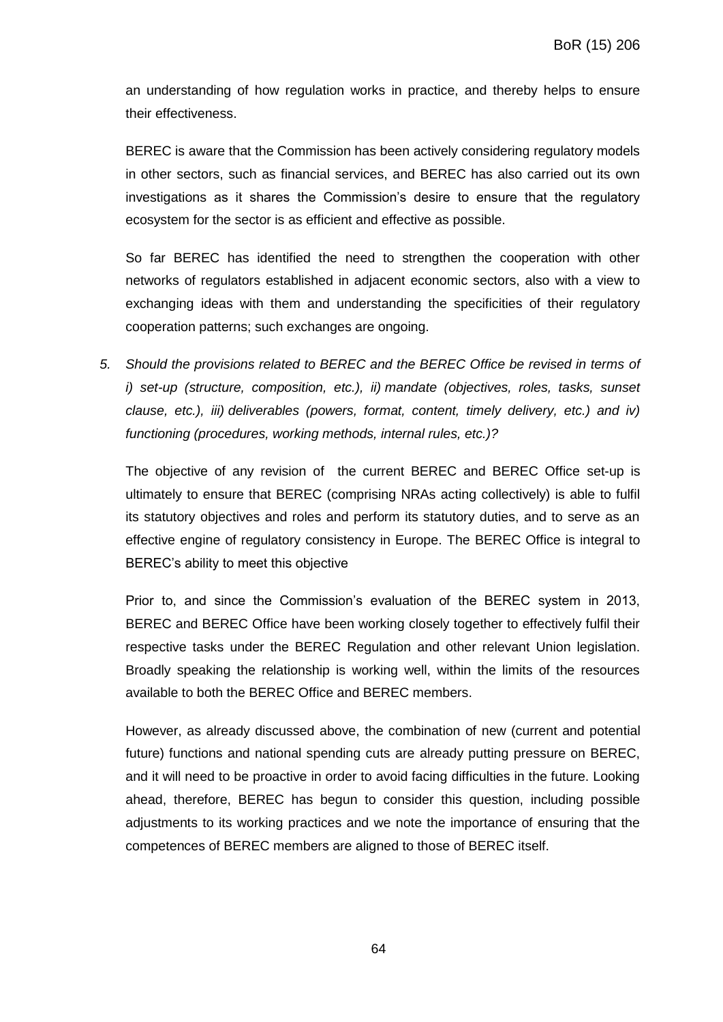an understanding of how regulation works in practice, and thereby helps to ensure their effectiveness.

BEREC is aware that the Commission has been actively considering regulatory models in other sectors, such as financial services, and BEREC has also carried out its own investigations as it shares the Commission's desire to ensure that the regulatory ecosystem for the sector is as efficient and effective as possible.

So far BEREC has identified the need to strengthen the cooperation with other networks of regulators established in adjacent economic sectors, also with a view to exchanging ideas with them and understanding the specificities of their regulatory cooperation patterns; such exchanges are ongoing.

*5. Should the provisions related to BEREC and the BEREC Office be revised in terms of i) set-up (structure, composition, etc.), ii) mandate (objectives, roles, tasks, sunset clause, etc.), iii) deliverables (powers, format, content, timely delivery, etc.) and iv) functioning (procedures, working methods, internal rules, etc.)?*

The objective of any revision of the current BEREC and BEREC Office set-up is ultimately to ensure that BEREC (comprising NRAs acting collectively) is able to fulfil its statutory objectives and roles and perform its statutory duties, and to serve as an effective engine of regulatory consistency in Europe. The BEREC Office is integral to BEREC's ability to meet this objective

Prior to, and since the Commission's evaluation of the BEREC system in 2013, BEREC and BEREC Office have been working closely together to effectively fulfil their respective tasks under the BEREC Regulation and other relevant Union legislation. Broadly speaking the relationship is working well, within the limits of the resources available to both the BEREC Office and BEREC members.

However, as already discussed above, the combination of new (current and potential future) functions and national spending cuts are already putting pressure on BEREC, and it will need to be proactive in order to avoid facing difficulties in the future. Looking ahead, therefore, BEREC has begun to consider this question, including possible adjustments to its working practices and we note the importance of ensuring that the competences of BEREC members are aligned to those of BEREC itself.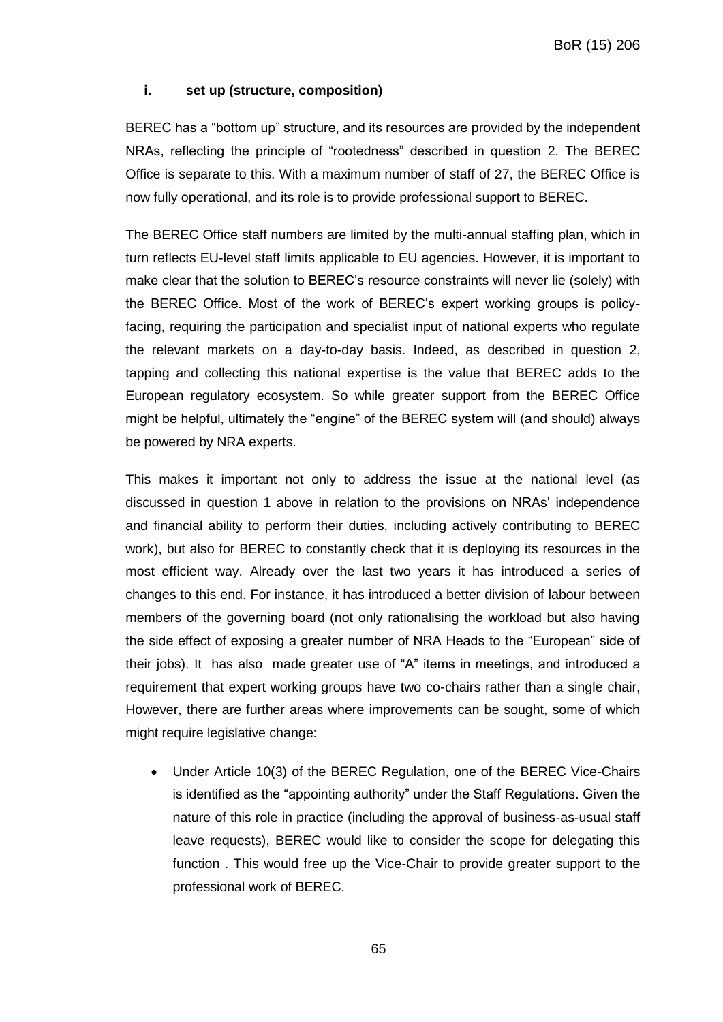## **i. set up (structure, composition)**

BEREC has a "bottom up" structure, and its resources are provided by the independent NRAs, reflecting the principle of "rootedness" described in question 2. The BEREC Office is separate to this. With a maximum number of staff of 27, the BEREC Office is now fully operational, and its role is to provide professional support to BEREC.

The BEREC Office staff numbers are limited by the multi-annual staffing plan, which in turn reflects EU-level staff limits applicable to EU agencies. However, it is important to make clear that the solution to BEREC's resource constraints will never lie (solely) with the BEREC Office. Most of the work of BEREC's expert working groups is policyfacing, requiring the participation and specialist input of national experts who regulate the relevant markets on a day-to-day basis. Indeed, as described in question 2, tapping and collecting this national expertise is the value that BEREC adds to the European regulatory ecosystem. So while greater support from the BEREC Office might be helpful, ultimately the "engine" of the BEREC system will (and should) always be powered by NRA experts.

This makes it important not only to address the issue at the national level (as discussed in question 1 above in relation to the provisions on NRAs' independence and financial ability to perform their duties, including actively contributing to BEREC work), but also for BEREC to constantly check that it is deploying its resources in the most efficient way. Already over the last two years it has introduced a series of changes to this end. For instance, it has introduced a better division of labour between members of the governing board (not only rationalising the workload but also having the side effect of exposing a greater number of NRA Heads to the "European" side of their jobs). It has also made greater use of "A" items in meetings, and introduced a requirement that expert working groups have two co-chairs rather than a single chair, However, there are further areas where improvements can be sought, some of which might require legislative change:

 Under Article 10(3) of the BEREC Regulation, one of the BEREC Vice-Chairs is identified as the "appointing authority" under the Staff Regulations. Given the nature of this role in practice (including the approval of business-as-usual staff leave requests), BEREC would like to consider the scope for delegating this function . This would free up the Vice-Chair to provide greater support to the professional work of BEREC.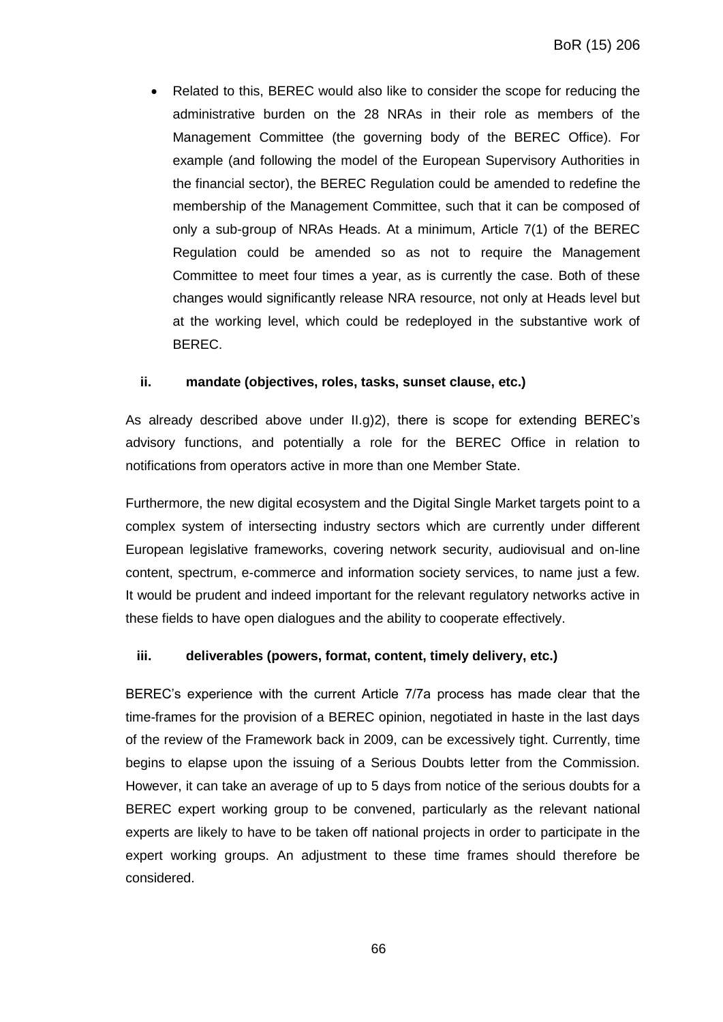Related to this, BEREC would also like to consider the scope for reducing the administrative burden on the 28 NRAs in their role as members of the Management Committee (the governing body of the BEREC Office). For example (and following the model of the European Supervisory Authorities in the financial sector), the BEREC Regulation could be amended to redefine the membership of the Management Committee, such that it can be composed of only a sub-group of NRAs Heads. At a minimum, Article 7(1) of the BEREC Regulation could be amended so as not to require the Management Committee to meet four times a year, as is currently the case. Both of these changes would significantly release NRA resource, not only at Heads level but at the working level, which could be redeployed in the substantive work of BEREC.

## **ii. mandate (objectives, roles, tasks, sunset clause, etc.)**

As already described above under II.g)2), there is scope for extending BEREC's advisory functions, and potentially a role for the BEREC Office in relation to notifications from operators active in more than one Member State.

Furthermore, the new digital ecosystem and the Digital Single Market targets point to a complex system of intersecting industry sectors which are currently under different European legislative frameworks, covering network security, audiovisual and on-line content, spectrum, e-commerce and information society services, to name just a few. It would be prudent and indeed important for the relevant regulatory networks active in these fields to have open dialogues and the ability to cooperate effectively.

## **iii. deliverables (powers, format, content, timely delivery, etc.)**

BEREC's experience with the current Article 7/7a process has made clear that the time-frames for the provision of a BEREC opinion, negotiated in haste in the last days of the review of the Framework back in 2009, can be excessively tight. Currently, time begins to elapse upon the issuing of a Serious Doubts letter from the Commission. However, it can take an average of up to 5 days from notice of the serious doubts for a BEREC expert working group to be convened, particularly as the relevant national experts are likely to have to be taken off national projects in order to participate in the expert working groups. An adjustment to these time frames should therefore be considered.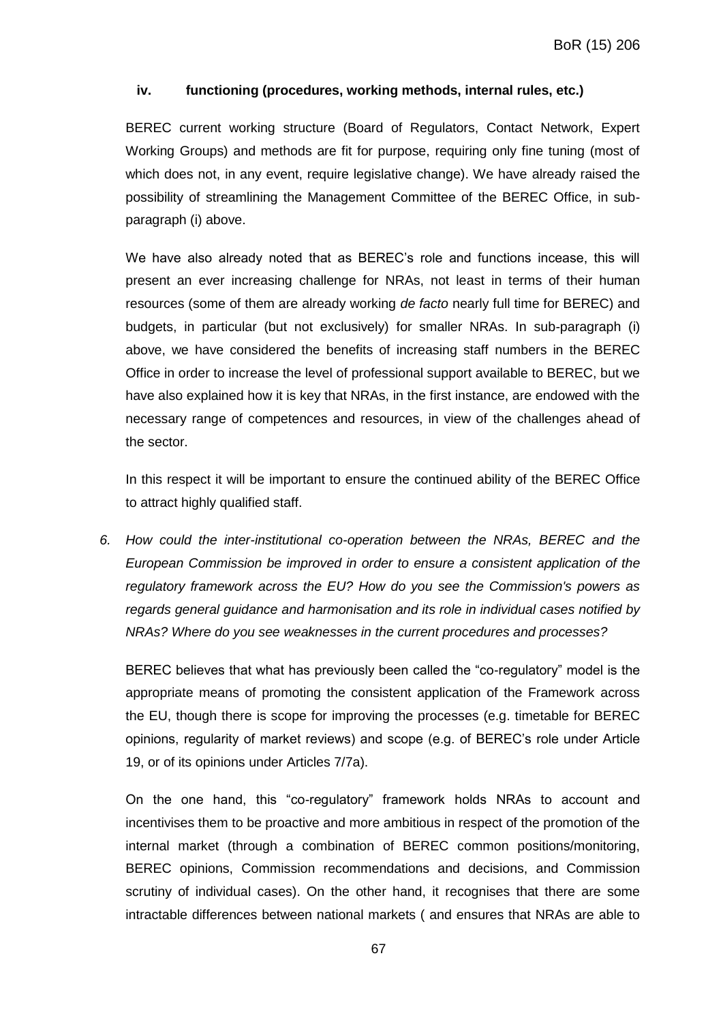## **iv. functioning (procedures, working methods, internal rules, etc.)**

BEREC current working structure (Board of Regulators, Contact Network, Expert Working Groups) and methods are fit for purpose, requiring only fine tuning (most of which does not, in any event, require legislative change). We have already raised the possibility of streamlining the Management Committee of the BEREC Office, in subparagraph (i) above.

We have also already noted that as BEREC's role and functions incease, this will present an ever increasing challenge for NRAs, not least in terms of their human resources (some of them are already working *de facto* nearly full time for BEREC) and budgets, in particular (but not exclusively) for smaller NRAs. In sub-paragraph (i) above, we have considered the benefits of increasing staff numbers in the BEREC Office in order to increase the level of professional support available to BEREC, but we have also explained how it is key that NRAs, in the first instance, are endowed with the necessary range of competences and resources, in view of the challenges ahead of the sector.

In this respect it will be important to ensure the continued ability of the BEREC Office to attract highly qualified staff.

*6. How could the inter-institutional co-operation between the NRAs, BEREC and the European Commission be improved in order to ensure a consistent application of the regulatory framework across the EU? How do you see the Commission's powers as regards general guidance and harmonisation and its role in individual cases notified by NRAs? Where do you see weaknesses in the current procedures and processes?* 

BEREC believes that what has previously been called the "co-regulatory" model is the appropriate means of promoting the consistent application of the Framework across the EU, though there is scope for improving the processes (e.g. timetable for BEREC opinions, regularity of market reviews) and scope (e.g. of BEREC's role under Article 19, or of its opinions under Articles 7/7a).

On the one hand, this "co-regulatory" framework holds NRAs to account and incentivises them to be proactive and more ambitious in respect of the promotion of the internal market (through a combination of BEREC common positions/monitoring, BEREC opinions, Commission recommendations and decisions, and Commission scrutiny of individual cases). On the other hand, it recognises that there are some intractable differences between national markets ( and ensures that NRAs are able to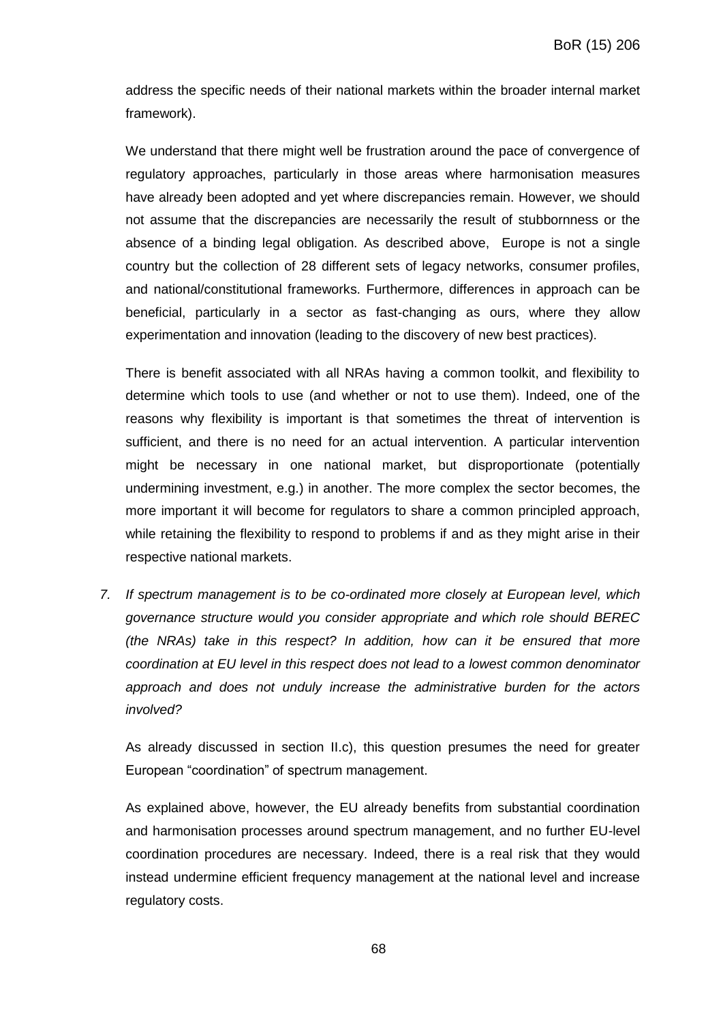address the specific needs of their national markets within the broader internal market framework).

We understand that there might well be frustration around the pace of convergence of regulatory approaches, particularly in those areas where harmonisation measures have already been adopted and yet where discrepancies remain. However, we should not assume that the discrepancies are necessarily the result of stubbornness or the absence of a binding legal obligation. As described above, Europe is not a single country but the collection of 28 different sets of legacy networks, consumer profiles, and national/constitutional frameworks. Furthermore, differences in approach can be beneficial, particularly in a sector as fast-changing as ours, where they allow experimentation and innovation (leading to the discovery of new best practices).

There is benefit associated with all NRAs having a common toolkit, and flexibility to determine which tools to use (and whether or not to use them). Indeed, one of the reasons why flexibility is important is that sometimes the threat of intervention is sufficient, and there is no need for an actual intervention. A particular intervention might be necessary in one national market, but disproportionate (potentially undermining investment, e.g.) in another. The more complex the sector becomes, the more important it will become for regulators to share a common principled approach, while retaining the flexibility to respond to problems if and as they might arise in their respective national markets.

*7. If spectrum management is to be co-ordinated more closely at European level, which governance structure would you consider appropriate and which role should BEREC (the NRAs) take in this respect? In addition, how can it be ensured that more coordination at EU level in this respect does not lead to a lowest common denominator approach and does not unduly increase the administrative burden for the actors involved?*

As already discussed in section II.c), this question presumes the need for greater European "coordination" of spectrum management.

As explained above, however, the EU already benefits from substantial coordination and harmonisation processes around spectrum management, and no further EU-level coordination procedures are necessary. Indeed, there is a real risk that they would instead undermine efficient frequency management at the national level and increase regulatory costs.